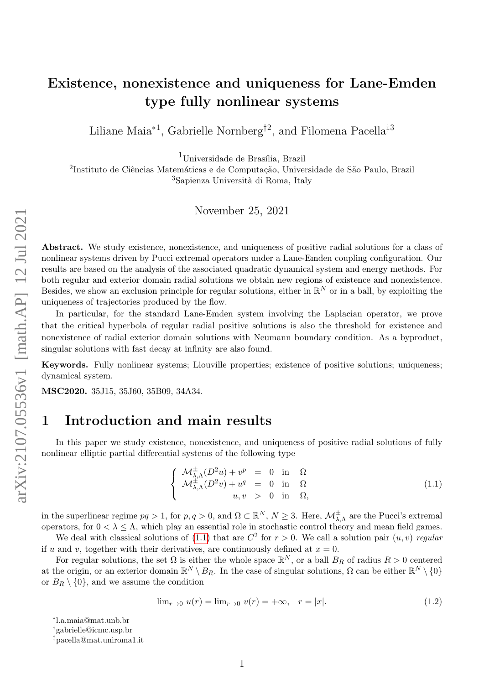# Existence, nonexistence and uniqueness for Lane-Emden type fully nonlinear systems

Liliane Maia<sup>∗1</sup>, Gabrielle Nornberg<sup>†2</sup>, and Filomena Pacella<sup>‡3</sup>

 $1$ Universidade de Brasília, Brazil

 $^{2}$ Instituto de Ciências Matemáticas e de Computação, Universidade de São Paulo, Brazil <sup>3</sup>Sapienza Università di Roma, Italy

November 25, 2021

Abstract. We study existence, nonexistence, and uniqueness of positive radial solutions for a class of nonlinear systems driven by Pucci extremal operators under a Lane-Emden coupling configuration. Our results are based on the analysis of the associated quadratic dynamical system and energy methods. For both regular and exterior domain radial solutions we obtain new regions of existence and nonexistence. Besides, we show an exclusion principle for regular solutions, either in  $\mathbb{R}^N$  or in a ball, by exploiting the uniqueness of trajectories produced by the flow.

In particular, for the standard Lane-Emden system involving the Laplacian operator, we prove that the critical hyperbola of regular radial positive solutions is also the threshold for existence and nonexistence of radial exterior domain solutions with Neumann boundary condition. As a byproduct, singular solutions with fast decay at infinity are also found.

Keywords. Fully nonlinear systems; Liouville properties; existence of positive solutions; uniqueness; dynamical system.

MSC2020. 35J15, 35J60, 35B09, 34A34.

### 1 Introduction and main results

In this paper we study existence, nonexistence, and uniqueness of positive radial solutions of fully nonlinear elliptic partial differential systems of the following type

<span id="page-0-0"></span>
$$
\begin{cases}\n\mathcal{M}^{\pm}_{\lambda,\Lambda}(D^2u) + v^p = 0 \text{ in } \Omega \\
\mathcal{M}^{\pm}_{\lambda,\Lambda}(D^2v) + u^q = 0 \text{ in } \Omega \\
u, v > 0 \text{ in } \Omega,\n\end{cases}
$$
\n(1.1)

in the superlinear regime  $pq > 1$ , for  $p, q > 0$ , and  $\Omega \subset \mathbb{R}^N$ ,  $N \geq 3$ . Here,  $\mathcal{M}_{\lambda,\Lambda}^{\pm}$  are the Pucci's extremal operators, for  $0 < \lambda \leq \Lambda$ , which play an essential role in stochastic control theory and mean field games.

We deal with classical solutions of [\(1.1\)](#page-0-0) that are  $C^2$  for  $r > 0$ . We call a solution pair  $(u, v)$  regular if u and v, together with their derivatives, are continuously defined at  $x = 0$ .

For regular solutions, the set  $\Omega$  is either the whole space  $\mathbb{R}^N$ , or a ball  $B_R$  of radius  $R > 0$  centered at the origin, or an exterior domain  $\mathbb{R}^N \setminus B_R$ . In the case of singular solutions,  $\Omega$  can be either  $\mathbb{R}^N \setminus \{0\}$ or  $B_R \setminus \{0\}$ , and we assume the condition

<span id="page-0-1"></span>
$$
\lim_{r \to 0} u(r) = \lim_{r \to 0} v(r) = +\infty, \quad r = |x|.
$$
\n(1.2)

<sup>∗</sup> l.a.maia@mat.unb.br

<sup>†</sup>gabrielle@icmc.usp.br

<sup>‡</sup>pacella@mat.uniroma1.it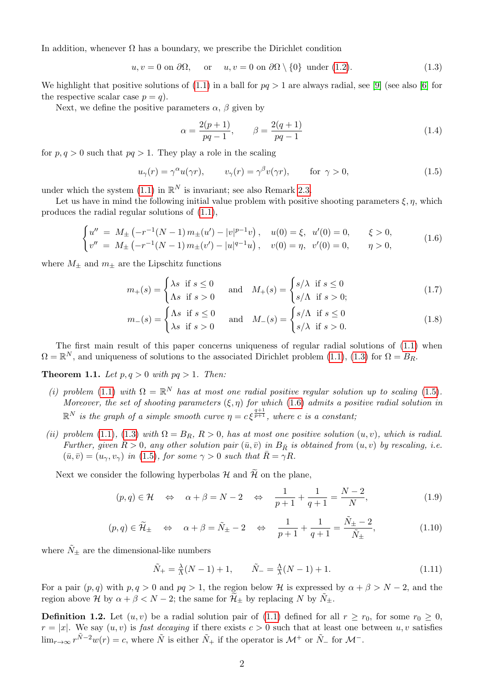In addition, whenever  $\Omega$  has a boundary, we prescribe the Dirichlet condition

 $u, v = 0$  on  $\partial\Omega$ , or  $u, v = 0$  on  $\partial\Omega \setminus \{0\}$  under [\(1.2\)](#page-0-1). (1.3)

We highlight that positive solutions of  $(1.1)$  in a ball for  $pq > 1$  are always radial, see [\[9\]](#page-29-0) (see also [\[6\]](#page-29-1) for the respective scalar case  $p = q$ ).

Next, we define the positive parameters  $\alpha$ ,  $\beta$  given by

<span id="page-1-5"></span><span id="page-1-2"></span><span id="page-1-1"></span><span id="page-1-0"></span>
$$
\alpha = \frac{2(p+1)}{pq-1}, \qquad \beta = \frac{2(q+1)}{pq-1}
$$
\n(1.4)

for  $p, q > 0$  such that  $pq > 1$ . They play a role in the scaling

$$
u_{\gamma}(r) = \gamma^{\alpha} u(\gamma r), \qquad v_{\gamma}(r) = \gamma^{\beta} v(\gamma r), \qquad \text{for } \gamma > 0,
$$
\n(1.5)

under which the system [\(1.1\)](#page-0-0) in  $\mathbb{R}^N$  is invariant; see also Remark [2.3.](#page-6-0)

Let us have in mind the following initial value problem with positive shooting parameters  $\xi, \eta$ , which produces the radial regular solutions of [\(1.1\)](#page-0-0),

$$
\begin{cases}\nu'' = M_{\pm} \left( -r^{-1}(N-1) \, m_{\pm}(u') - |v|^{p-1} v \right), & u(0) = \xi, \ u'(0) = 0, & \xi > 0, \\
v'' = M_{\pm} \left( -r^{-1}(N-1) \, m_{\pm}(v') - |u|^{q-1} u \right), & v(0) = \eta, \ v'(0) = 0, & \eta > 0,\n\end{cases}
$$
\n(1.6)

where  $M_{\pm}$  and  $m_{\pm}$  are the Lipschitz functions

$$
m_{+}(s) = \begin{cases} \lambda s & \text{if } s \le 0 \\ \Lambda s & \text{if } s > 0 \end{cases} \quad \text{and} \quad M_{+}(s) = \begin{cases} s/\lambda & \text{if } s \le 0 \\ s/\Lambda & \text{if } s > 0; \end{cases}
$$
 (1.7)

$$
m_{-}(s) = \begin{cases} \Lambda s & \text{if } s \le 0 \\ \lambda s & \text{if } s > 0 \end{cases} \quad \text{and} \quad M_{-}(s) = \begin{cases} s/\Lambda & \text{if } s \le 0 \\ s/\lambda & \text{if } s > 0. \end{cases}
$$
 (1.8)

The first main result of this paper concerns uniqueness of regular radial solutions of [\(1.1\)](#page-0-0) when  $\Omega = \mathbb{R}^N$ , and uniqueness of solutions to the associated Dirichlet problem [\(1.1\)](#page-0-0), [\(1.3\)](#page-1-0) for  $\Omega = B_R$ .

<span id="page-1-3"></span>**Theorem 1.1.** Let  $p, q > 0$  with  $pq > 1$ . Then:

- (i) problem [\(1.1\)](#page-0-0) with  $\Omega = \mathbb{R}^N$  has at most one radial positive regular solution up to scaling [\(1.5\)](#page-1-1). Moreover, the set of shooting parameters  $(\xi, \eta)$  for which [\(1.6\)](#page-1-2) admits a positive radial solution in  $\mathbb{R}^N$  is the graph of a simple smooth curve  $\eta = c \, \xi^{\frac{q+1}{p+1}},$  where c is a constant;
- (ii) problem [\(1.1\)](#page-0-0), [\(1.3\)](#page-1-0) with  $\Omega = B_R$ ,  $R > 0$ , has at most one positive solution  $(u, v)$ , which is radial. Further, given  $\bar{R} > 0$ , any other solution pair  $(\bar{u}, \bar{v})$  in  $B_{\bar{R}}$  is obtained from  $(u, v)$  by rescaling, i.e.  $(\bar{u}, \bar{v}) = (u_{\gamma}, v_{\gamma})$  in [\(1.5\)](#page-1-1), for some  $\gamma > 0$  such that  $\bar{R} = \gamma R$ .

Next we consider the following hyperbolas  $\mathcal H$  and  $\widetilde{\mathcal H}$  on the plane,

<span id="page-1-4"></span>
$$
(p,q) \in \mathcal{H} \quad \Leftrightarrow \quad \alpha + \beta = N - 2 \quad \Leftrightarrow \quad \frac{1}{p+1} + \frac{1}{q+1} = \frac{N-2}{N}, \tag{1.9}
$$

<span id="page-1-6"></span>
$$
(p,q) \in \widetilde{\mathcal{H}}_{\pm} \quad \Leftrightarrow \quad \alpha + \beta = \widetilde{N}_{\pm} - 2 \quad \Leftrightarrow \quad \frac{1}{p+1} + \frac{1}{q+1} = \frac{\widetilde{N}_{\pm} - 2}{\widetilde{N}_{\pm}},\tag{1.10}
$$

where  $\tilde{N}_{\pm}$  are the dimensional-like numbers

$$
\tilde{N}_{+} = \frac{\lambda}{\Lambda}(N-1) + 1, \qquad \tilde{N}_{-} = \frac{\Lambda}{\lambda}(N-1) + 1.
$$
\n(1.11)

For a pair  $(p, q)$  with  $p, q > 0$  and  $pq > 1$ , the region below H is expressed by  $\alpha + \beta > N - 2$ , and the region above H by  $\alpha + \beta < N - 2$ ; the same for  $\mathcal{H}_{\pm}$  by replacing N by  $\tilde{N}_{\pm}$ .

<span id="page-1-7"></span>**Definition 1.2.** Let  $(u, v)$  be a radial solution pair of [\(1.1\)](#page-0-0) defined for all  $r \ge r_0$ , for some  $r_0 \ge 0$ ,  $r = |x|$ . We say  $(u, v)$  is *fast decaying* if there exists  $c > 0$  such that at least one between  $u, v$  satisfies  $\lim_{r\to\infty} r^{\tilde{N}-2}w(r) = c$ , where  $\tilde{N}$  is either  $\tilde{N}_+$  if the operator is  $\mathcal{M}^+$  or  $\tilde{N}_-$  for  $\mathcal{M}^-$ .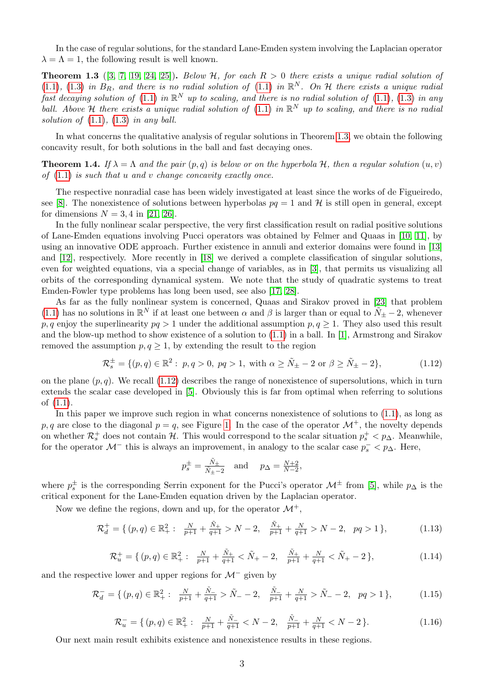In the case of regular solutions, for the standard Lane-Emden system involving the Laplacian operator  $\lambda = \Lambda = 1$ , the following result is well known.

<span id="page-2-0"></span>**Theorem 1.3** ([\[3,](#page-28-0) [7,](#page-29-2) [19,](#page-29-3) [24,](#page-30-0) [25\]](#page-30-1)). Below H, for each  $R > 0$  there exists a unique radial solution of [\(1.1\)](#page-0-0), [\(1.3\)](#page-1-0) in  $B_R$ , and there is no radial solution of (1.1) in  $\mathbb{R}^N$ . On H there exists a unique radial fast decaying solution of [\(1.1\)](#page-0-0) in  $\mathbb{R}^N$  up to scaling, and there is no radial solution of (1.1), [\(1.3\)](#page-1-0) in any ball. Above H there exists a unique radial solution of [\(1.1\)](#page-0-0) in  $\mathbb{R}^N$  up to scaling, and there is no radial solution of  $(1.1)$ ,  $(1.3)$  in any ball.

In what concerns the qualitative analysis of regular solutions in Theorem [1.3,](#page-2-0) we obtain the following concavity result, for both solutions in the ball and fast decaying ones.

<span id="page-2-6"></span>**Theorem 1.4.** If  $\lambda = \Lambda$  and the pair  $(p, q)$  is below or on the hyperbola H, then a regular solution  $(u, v)$ of  $(1.1)$  is such that u and v change concavity exactly once.

The respective nonradial case has been widely investigated at least since the works of de Figueiredo, see [\[8\]](#page-29-4). The nonexistence of solutions between hyperbolas  $pq = 1$  and H is still open in general, except for dimensions  $N = 3, 4$  in [\[21,](#page-29-5) [26\]](#page-30-2).

In the fully nonlinear scalar perspective, the very first classification result on radial positive solutions of Lane-Emden equations involving Pucci operators was obtained by Felmer and Quaas in [\[10,](#page-29-6) [11\]](#page-29-7), by using an innovative ODE approach. Further existence in annuli and exterior domains were found in [\[13\]](#page-29-8) and [\[12\]](#page-29-9), respectively. More recently in [\[18\]](#page-29-10) we derived a complete classification of singular solutions, even for weighted equations, via a special change of variables, as in [\[3\]](#page-28-0), that permits us visualizing all orbits of the corresponding dynamical system. We note that the study of quadratic systems to treat Emden-Fowler type problems has long been used, see also [\[17,](#page-29-11) [28\]](#page-30-3).

As far as the fully nonlinear system is concerned, Quaas and Sirakov proved in [\[23\]](#page-29-12) that problem [\(1.1\)](#page-0-0) has no solutions in  $\mathbb{R}^N$  if at least one between  $\alpha$  and  $\beta$  is larger than or equal to  $N_{\pm} - 2$ , whenever p, q enjoy the superlinearity  $pq > 1$  under the additional assumption  $p, q \ge 1$ . They also used this result and the blow-up method to show existence of a solution to  $(1.1)$  in a ball. In [\[1\]](#page-28-1), Armstrong and Sirakov removed the assumption  $p, q \geq 1$ , by extending the result to the region

$$
\mathcal{R}_s^{\pm} = \{ (p, q) \in \mathbb{R}^2 : p, q > 0, pq > 1, \text{ with } \alpha \ge \tilde{N}_{\pm} - 2 \text{ or } \beta \ge \tilde{N}_{\pm} - 2 \},\tag{1.12}
$$

on the plane  $(p, q)$ . We recall [\(1.12\)](#page-2-1) describes the range of nonexistence of supersolutions, which in turn extends the scalar case developed in [\[5\]](#page-29-13). Obviously this is far from optimal when referring to solutions of [\(1.1\)](#page-0-0).

In this paper we improve such region in what concerns nonexistence of solutions to [\(1.1\)](#page-0-0), as long as p, q are close to the diagonal  $p = q$ , see Figure [1.](#page-3-0) In the case of the operator  $\mathcal{M}^+$ , the novelty depends on whether  $\mathcal{R}_s^+$  does not contain  $\mathcal{H}$ . This would correspond to the scalar situation  $p_s^+ < p_{\Delta}$ . Meanwhile, for the operator  $\mathcal{M}^-$  this is always an improvement, in analogy to the scalar case  $p_s^-$  <  $p_\Delta$ . Here,

<span id="page-2-5"></span><span id="page-2-4"></span><span id="page-2-3"></span><span id="page-2-2"></span><span id="page-2-1"></span>
$$
p_s^{\pm} = \frac{\tilde{N}_{\pm}}{\tilde{N}_{\pm} - 2} \quad \text{and} \quad p_{\Delta} = \frac{N + 2}{N - 2},
$$

where  $p_s^{\pm}$  is the corresponding Serrin exponent for the Pucci's operator  $\mathcal{M}^{\pm}$  from [\[5\]](#page-29-13), while  $p_{\Delta}$  is the critical exponent for the Lane-Emden equation driven by the Laplacian operator.

Now we define the regions, down and up, for the operator  $\mathcal{M}^+$ ,

$$
\mathcal{R}_d^+ = \{ (p, q) \in \mathbb{R}_+^2 : \frac{N}{p+1} + \frac{\tilde{N}_+}{q+1} > N - 2, \frac{\tilde{N}_+}{p+1} + \frac{N}{q+1} > N - 2, \quad pq > 1 \},\tag{1.13}
$$

$$
\mathcal{R}_u^+ = \{ (p, q) \in \mathbb{R}_+^2 : \frac{N}{p+1} + \frac{\tilde{N}_+}{q+1} < \tilde{N}_+ - 2, \frac{\tilde{N}_+}{p+1} + \frac{N}{q+1} < \tilde{N}_+ - 2 \},\tag{1.14}
$$

and the respective lower and upper regions for  $\mathcal{M}^-$  given by

$$
\mathcal{R}_d^- = \{ (p, q) \in \mathbb{R}_+^2 : \frac{N}{p+1} + \frac{\tilde{N}_-}{q+1} > \tilde{N}_- - 2, \frac{\tilde{N}_-}{p+1} + \frac{N}{q+1} > \tilde{N}_- - 2, \quad pq > 1 \},\tag{1.15}
$$

$$
\mathcal{R}_u^- = \{ (p, q) \in \mathbb{R}_+^2 : \frac{N}{p+1} + \frac{\tilde{N}_-}{q+1} < N - 2, \frac{\tilde{N}_-}{p+1} + \frac{N}{q+1} < N - 2 \}. \tag{1.16}
$$

Our next main result exhibits existence and nonexistence results in these regions.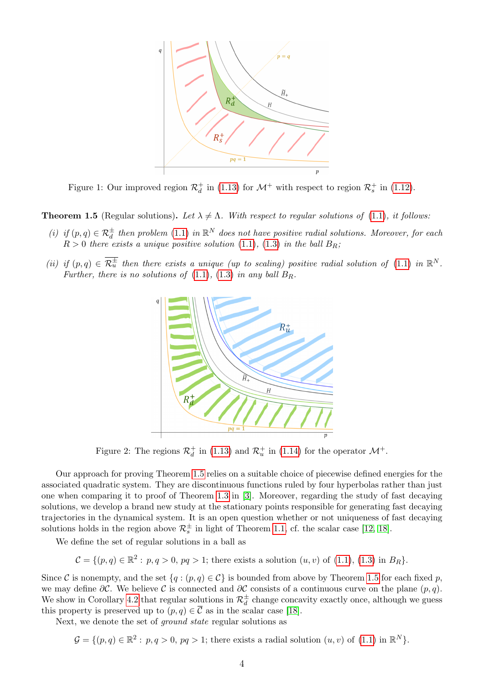<span id="page-3-0"></span>

Figure 1: Our improved region  $\mathcal{R}_d^+$  in [\(1.13\)](#page-2-2) for  $\mathcal{M}^+$  with respect to region  $\mathcal{R}_s^+$  in [\(1.12\)](#page-2-1).

<span id="page-3-1"></span>**Theorem 1.5** (Regular solutions). Let  $\lambda \neq \Lambda$ . With respect to regular solutions of [\(1.1\)](#page-0-0), it follows:

- (i) if  $(p, q) \in \mathcal{R}_d^{\pm}$  then problem  $(1.1)$  in  $\mathbb{R}^N$  does not have positive radial solutions. Moreover, for each  $R > 0$  there exists a unique positive solution [\(1.1\)](#page-0-0), [\(1.3\)](#page-1-0) in the ball  $B_R$ ;
- <span id="page-3-2"></span>(ii) if  $(p,q) \in \overline{\mathcal{R}_u^{\pm}}$  then there exists a unique (up to scaling) positive radial solution of [\(1.1\)](#page-0-0) in  $\mathbb{R}^N$ . Further, there is no solutions of  $(1.1)$ ,  $(1.3)$  in any ball  $B_R$ .



Figure 2: The regions  $\mathcal{R}_d^+$  in [\(1.13\)](#page-2-2) and  $\mathcal{R}_u^+$  in [\(1.14\)](#page-2-3) for the operator  $\mathcal{M}^+$ .

Our approach for proving Theorem [1.5](#page-3-1) relies on a suitable choice of piecewise defined energies for the associated quadratic system. They are discontinuous functions ruled by four hyperbolas rather than just one when comparing it to proof of Theorem [1.3](#page-2-0) in [\[3\]](#page-28-0). Moreover, regarding the study of fast decaying solutions, we develop a brand new study at the stationary points responsible for generating fast decaying trajectories in the dynamical system. It is an open question whether or not uniqueness of fast decaying solutions holds in the region above  $\mathcal{R}_s^{\pm}$  in light of Theorem [1.1,](#page-1-3) cf. the scalar case [\[12,](#page-29-9) [18\]](#page-29-10).

We define the set of regular solutions in a ball as

$$
\mathcal{C} = \{ (p, q) \in \mathbb{R}^2 : p, q > 0, pq > 1; \text{ there exists a solution } (u, v) \text{ of } (1.1), (1.3) \text{ in } B_R \}.
$$

Since C is nonempty, and the set  $\{q : (p,q) \in C\}$  is bounded from above by Theorem [1.5](#page-3-1) for each fixed p, we may define  $\partial \mathcal{C}$ . We believe  $\mathcal{C}$  is connected and  $\partial \mathcal{C}$  consists of a continuous curve on the plane  $(p, q)$ . We show in Corollary [4.2](#page-26-0) that regular solutions in  $\mathcal{R}_d^{\pm}$  change concavity exactly once, although we guess this property is preserved up to  $(p, q) \in \overline{\mathcal{C}}$  as in the scalar case [\[18\]](#page-29-10).

Next, we denote the set of ground state regular solutions as

 $\mathcal{G} = \{(p, q) \in \mathbb{R}^2 : p, q > 0, pq > 1\}$ ; there exists a radial solution  $(u, v)$  of  $(1.1)$  in  $\mathbb{R}^N$ .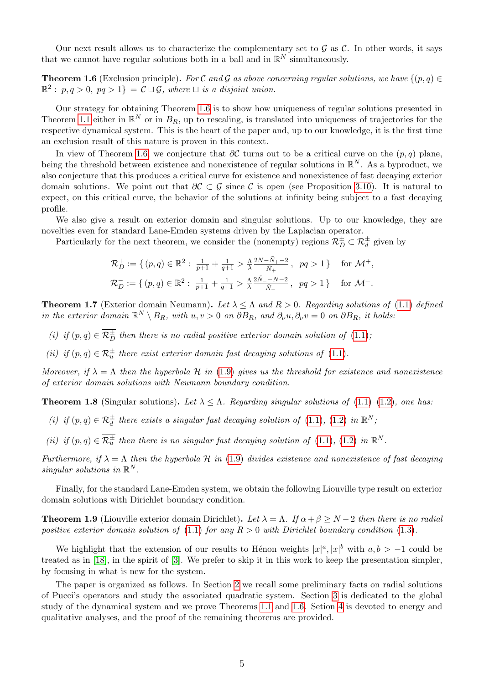Our next result allows us to characterize the complementary set to  $\mathcal G$  as  $\mathcal C$ . In other words, it says that we cannot have regular solutions both in a ball and in  $\mathbb{R}^N$  simultaneously.

<span id="page-4-0"></span>**Theorem 1.6** (Exclusion principle). For C and G as above concerning regular solutions, we have  $\{(p, q) \in$  $\mathbb{R}^2: p, q > 0, pq > 1$  =  $\mathcal{C} \sqcup \mathcal{G}$ , where  $\sqcup$  is a disjoint union.

Our strategy for obtaining Theorem [1.6](#page-4-0) is to show how uniqueness of regular solutions presented in Theorem [1.1](#page-1-3) either in  $\mathbb{R}^N$  or in  $B_R$ , up to rescaling, is translated into uniqueness of trajectories for the respective dynamical system. This is the heart of the paper and, up to our knowledge, it is the first time an exclusion result of this nature is proven in this context.

In view of Theorem [1.6,](#page-4-0) we conjecture that  $\partial C$  turns out to be a critical curve on the  $(p, q)$  plane, being the threshold between existence and nonexistence of regular solutions in  $\mathbb{R}^N$ . As a byproduct, we also conjecture that this produces a critical curve for existence and nonexistence of fast decaying exterior domain solutions. We point out that  $\partial \mathcal{C} \subset \mathcal{G}$  since  $\mathcal{C}$  is open (see Proposition [3.10\)](#page-20-0). It is natural to expect, on this critical curve, the behavior of the solutions at infinity being subject to a fast decaying profile.

We also give a result on exterior domain and singular solutions. Up to our knowledge, they are novelties even for standard Lane-Emden systems driven by the Laplacian operator.

Particularly for the next theorem, we consider the (nonempty) regions  $\mathcal{R}_D^{\pm} \subset \mathcal{R}_d^{\pm}$  given by

$$
\begin{aligned} \mathcal{R}_D^+ &:= \{ \, (p,q) \in \mathbb{R}^2: \; \tfrac{1}{p+1} + \tfrac{1}{q+1} > \tfrac{\Lambda}{\lambda} \tfrac{2N - \tilde{N}_+ - 2}{\tilde{N}_+} \,, \; \; pq > 1 \, \} \quad \text{ for } \mathcal{M}^+, \\ \mathcal{R}_D^- &:= \{ \, (p,q) \in \mathbb{R}^2: \; \tfrac{1}{p+1} + \tfrac{1}{q+1} > \tfrac{\Lambda}{\lambda} \tfrac{2\tilde{N}_- - N - 2}{\tilde{N}_-} \,, \; \; pq > 1 \, \} \quad \text{ for } \mathcal{M}^-. \end{aligned}
$$

<span id="page-4-1"></span>**Theorem 1.7** (Exterior domain Neumann). Let  $\lambda \leq \Lambda$  and  $R > 0$ . Regarding solutions of [\(1.1\)](#page-0-0) defined in the exterior domain  $\mathbb{R}^N \setminus B_R$ , with  $u, v > 0$  on  $\partial B_R$ , and  $\partial_\nu u, \partial_\nu v = 0$  on  $\partial B_R$ , it holds:

- (i) if  $(p, q) \in \overline{\mathcal{R}_D^{\pm}}$  then there is no radial positive exterior domain solution of  $(1.1)$ ;
- (ii) if  $(p, q) \in \mathcal{R}_u^{\pm}$  there exist exterior domain fast decaying solutions of [\(1.1\)](#page-0-0).

Moreover, if  $\lambda = \Lambda$  then the hyperbola H in [\(1.9\)](#page-1-4) gives us the threshold for existence and nonexistence of exterior domain solutions with Neumann boundary condition.

<span id="page-4-2"></span>**Theorem 1.8** (Singular solutions). Let  $\lambda \leq \Lambda$ . Regarding singular solutions of [\(1.1\)](#page-0-0)–[\(1.2\)](#page-0-1), one has:

- (i) if  $(p, q) \in \mathcal{R}_d^{\pm}$  there exists a singular fast decaying solution of [\(1.1\)](#page-0-0), [\(1.2\)](#page-0-1) in  $\mathbb{R}^N$ ;
- (ii) if  $(p,q) \in \overline{\mathcal{R}_u^{\pm}}$  then there is no singular fast decaying solution of  $(1.1)$ ,  $(1.2)$  in  $\mathbb{R}^N$ .

Furthermore, if  $\lambda = \Lambda$  then the hyperbola H in [\(1.9\)](#page-1-4) divides existence and nonexistence of fast decaying singular solutions in  $\mathbb{R}^N$ .

Finally, for the standard Lane-Emden system, we obtain the following Liouville type result on exterior domain solutions with Dirichlet boundary condition.

<span id="page-4-3"></span>**Theorem 1.9** (Liouville exterior domain Dirichlet). Let  $\lambda = \Lambda$ . If  $\alpha + \beta \ge N - 2$  then there is no radial positive exterior domain solution of [\(1.1\)](#page-0-0) for any  $R > 0$  with Dirichlet boundary condition [\(1.3\)](#page-1-0).

We highlight that the extension of our results to Hénon weights  $|x|^a, |x|^b$  with  $a, b > -1$  could be treated as in [\[18\]](#page-29-10), in the spirit of [\[3\]](#page-28-0). We prefer to skip it in this work to keep the presentation simpler, by focusing in what is new for the system.

The paper is organized as follows. In Section [2](#page-5-0) we recall some preliminary facts on radial solutions of Pucci's operators and study the associated quadratic system. Section [3](#page-14-0) is dedicated to the global study of the dynamical system and we prove Theorems [1.1](#page-1-3) and [1.6.](#page-4-0) Setion [4](#page-23-0) is devoted to energy and qualitative analyses, and the proof of the remaining theorems are provided.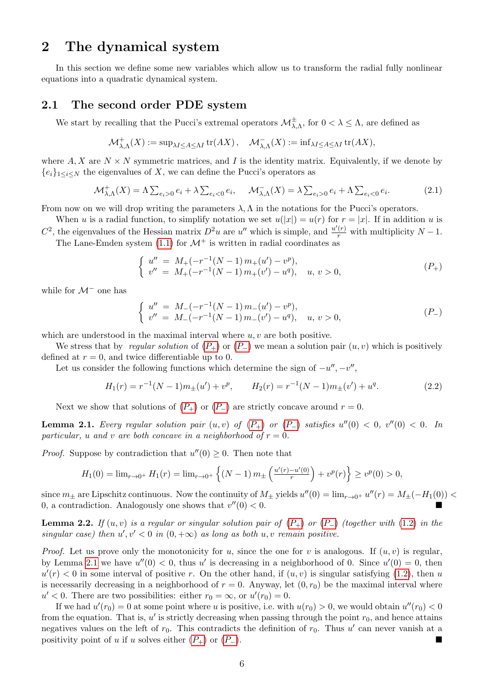### <span id="page-5-0"></span>2 The dynamical system

In this section we define some new variables which allow us to transform the radial fully nonlinear equations into a quadratic dynamical system.

#### 2.1 The second order PDE system

We start by recalling that the Pucci's extremal operators  $\mathcal{M}^{\pm}_{\lambda,\Lambda}$ , for  $0<\lambda\leq\Lambda$ , are defined as

$$
\mathcal{M}^+_{\lambda,\Lambda}(X) := \sup_{\lambda I \leq A \leq \Lambda I} \text{tr}(AX), \quad \mathcal{M}^-_{\lambda,\Lambda}(X) := \inf_{\lambda I \leq A \leq \Lambda I} \text{tr}(AX),
$$

where  $A, X$  are  $N \times N$  symmetric matrices, and I is the identity matrix. Equivalently, if we denote by  ${e_i}_{1 \leq i \leq N}$  the eigenvalues of X, we can define the Pucci's operators as

$$
\mathcal{M}^+_{\lambda,\Lambda}(X) = \Lambda \sum_{e_i>0} e_i + \lambda \sum_{e_i<0} e_i, \quad \mathcal{M}^-_{\lambda,\Lambda}(X) = \lambda \sum_{e_i>0} e_i + \Lambda \sum_{e_i<0} e_i.
$$
 (2.1)

From now on we will drop writing the parameters  $\lambda, \Lambda$  in the notations for the Pucci's operators.

When u is a radial function, to simplify notation we set  $u(|x|) = u(r)$  for  $r = |x|$ . If in addition u is  $C^2$ , the eigenvalues of the Hessian matrix  $D^2u$  are u'' which is simple, and  $\frac{u'(r)}{r}$  with multiplicity  $N-1$ .

The Lane-Emden system [\(1.1\)](#page-0-0) for  $\mathcal{M}^+$  is written in radial coordinates as

<span id="page-5-1"></span>
$$
\begin{cases}\nu'' = M_{+}(-r^{-1}(N-1) m_{+}(u') - v^{p}),\\v'' = M_{+}(-r^{-1}(N-1) m_{+}(v') - u^{q}), \quad u, v > 0,\end{cases}
$$
\n
$$
(P_{+})
$$

while for  $\mathcal{M}^-$  one has

<span id="page-5-2"></span>
$$
\begin{cases}\nu'' = M_{-}(-r^{-1}(N-1) m_{-}(u') - v^{p}),\\v'' = M_{-}(-r^{-1}(N-1) m_{-}(v') - u^{q}), \quad u, v > 0,\end{cases}
$$
\n
$$
(P_{-})
$$

which are understood in the maximal interval where  $u, v$  are both positive.

We stress that by regular solution of  $(P_+)$  $(P_+)$  $(P_+)$  or  $(P_-)$  we mean a solution pair  $(u, v)$  which is positively defined at  $r = 0$ , and twice differentiable up to 0.

Let us consider the following functions which determine the sign of  $-u''$ ,  $-v''$ ,

$$
H_1(r) = r^{-1}(N-1)m_{\pm}(u') + v^p, \qquad H_2(r) = r^{-1}(N-1)m_{\pm}(v') + u^q.
$$
 (2.2)

Next we show that solutions of  $(P_+)$  $(P_+)$  $(P_+)$  or  $(P_-)$  are strictly concave around  $r = 0$ .

<span id="page-5-3"></span>**Lemma 2.1.** Every regular solution pair  $(u, v)$  of  $(P_+)$  $(P_+)$  $(P_+)$  or  $(P_-)$  satisfies  $u''(0) < 0$ ,  $v''(0) < 0$ . In particular, u and v are both concave in a neighborhood of  $r = 0$ .

*Proof.* Suppose by contradiction that  $u''(0) \geq 0$ . Then note that

$$
H_1(0) = \lim_{r \to 0^+} H_1(r) = \lim_{r \to 0^+} \left\{ (N-1) m_{\pm} \left( \frac{u'(r) - u'(0)}{r} \right) + v^p(r) \right\} \ge v^p(0) > 0,
$$

since  $m_{\pm}$  are Lipschitz continuous. Now the continuity of  $M_{\pm}$  yields  $u''(0) = \lim_{r \to 0^+} u''(r) = M_{\pm}(-H_1(0))$ 0, a contradiction. Analogously one shows that  $v''(0) < 0$ .

<span id="page-5-4"></span>**Lemma 2.2.** If  $(u, v)$  is a regular or singular solution pair of  $(P_+)$  $(P_+)$  $(P_+)$  or  $(P_-)$  (together with [\(1.2\)](#page-0-1) in the singular case) then  $u', v' < 0$  in  $(0, +\infty)$  as long as both u, v remain positive.

*Proof.* Let us prove only the monotonicity for u, since the one for v is analogous. If  $(u, v)$  is regular, by Lemma [2.1](#page-5-3) we have  $u''(0) < 0$ , thus u' is decreasing in a neighborhood of 0. Since  $u'(0) = 0$ , then  $u'(r) < 0$  in some interval of positive r. On the other hand, if  $(u, v)$  is singular satisfying [\(1.2\)](#page-0-1), then u is necessarily decreasing in a neighborhood of  $r = 0$ . Anyway, let  $(0, r_0)$  be the maximal interval where  $u' < 0$ . There are two possibilities: either  $r_0 = \infty$ , or  $u'(r_0) = 0$ .

If we had  $u'(r_0) = 0$  at some point where u is positive, i.e. with  $u(r_0) > 0$ , we would obtain  $u''(r_0) < 0$ from the equation. That is,  $u'$  is strictly decreasing when passing through the point  $r_0$ , and hence attains negatives values on the left of  $r_0$ . This contradicts the definition of  $r_0$ . Thus u' can never vanish at a positivity point of u if u solves either  $(P_+)$  $(P_+)$  $(P_+)$  or  $(P_-)$ .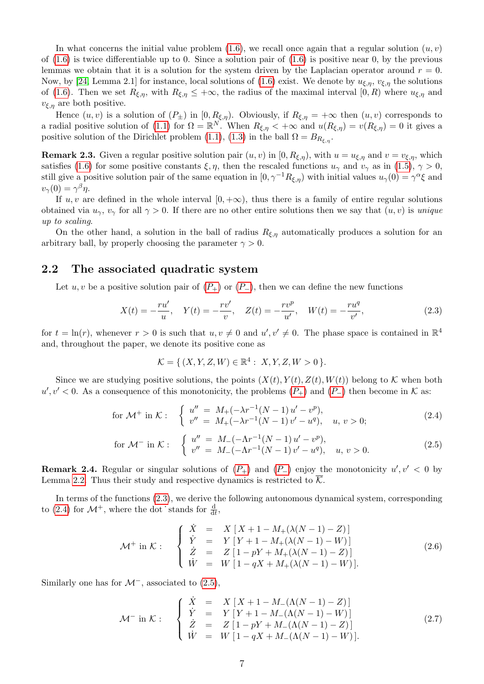In what concerns the initial value problem [\(1.6\)](#page-1-2), we recall once again that a regular solution  $(u, v)$ of  $(1.6)$  is twice differentiable up to 0. Since a solution pair of  $(1.6)$  is positive near 0, by the previous lemmas we obtain that it is a solution for the system driven by the Laplacian operator around  $r = 0$ . Now, by [\[24,](#page-30-0) Lemma 2.1] for instance, local solutions of [\(1.6\)](#page-1-2) exist. We denote by  $u_{\xi,\eta}$ ,  $v_{\xi,\eta}$  the solutions of [\(1.6\)](#page-1-2). Then we set  $R_{\xi,\eta}$ , with  $R_{\xi,\eta} \leq +\infty$ , the radius of the maximal interval  $[0, R)$  where  $u_{\xi,\eta}$  and  $v_{\xi,\eta}$  are both positive.

Hence  $(u, v)$  is a solution of  $(P_{\pm})$  in  $[0, R_{\xi,\eta})$ . Obviously, if  $R_{\xi,\eta} = +\infty$  then  $(u, v)$  corresponds to a radial positive solution of [\(1.1\)](#page-0-0) for  $\Omega = \mathbb{R}^{N}$ . When  $R_{\xi,\eta} < +\infty$  and  $u(R_{\xi,\eta}) = v(R_{\xi,\eta}) = 0$  it gives a positive solution of the Dirichlet problem [\(1.1\)](#page-0-0), [\(1.3\)](#page-1-0) in the ball  $\Omega = B_{R_{\epsilon,n}}$ .

<span id="page-6-0"></span>**Remark 2.3.** Given a regular positive solution pair  $(u, v)$  in  $[0, R_{\xi,\eta})$ , with  $u = u_{\xi,\eta}$  and  $v = v_{\xi,\eta}$ , which satisfies [\(1.6\)](#page-1-2) for some positive constants  $\xi, \eta$ , then the rescaled functions  $u_{\gamma}$  and  $v_{\gamma}$  as in [\(1.5\)](#page-1-1),  $\gamma > 0$ , still give a positive solution pair of the same equation in  $[0, \gamma^{-1} R_{\xi,\eta})$  with initial values  $u_{\gamma}(0) = \gamma^{\alpha} \xi$  and  $v_{\gamma}(0) = \gamma^{\beta} \eta.$ 

If  $u, v$  are defined in the whole interval  $[0, +\infty)$ , thus there is a family of entire regular solutions obtained via  $u_{\gamma}, v_{\gamma}$  for all  $\gamma > 0$ . If there are no other entire solutions then we say that  $(u, v)$  is unique up to scaling.

On the other hand, a solution in the ball of radius  $R_{\xi,\eta}$  automatically produces a solution for an arbitrary ball, by properly choosing the parameter  $\gamma > 0$ .

#### 2.2 The associated quadratic system

Let u, v be a positive solution pair of  $(P_+)$  $(P_+)$  $(P_+)$  or  $(P_-)$ , then we can define the new functions

$$
X(t) = -\frac{ru'}{u}, \quad Y(t) = -\frac{rv'}{v}, \quad Z(t) = -\frac{rv^p}{u'}, \quad W(t) = -\frac{ru^q}{v'}, \tag{2.3}
$$

for  $t = \ln(r)$ , whenever  $r > 0$  is such that  $u, v \neq 0$  and  $u', v' \neq 0$ . The phase space is contained in  $\mathbb{R}^4$ and, throughout the paper, we denote its positive cone as

<span id="page-6-3"></span><span id="page-6-2"></span><span id="page-6-1"></span>
$$
\mathcal{K} = \{ (X, Y, Z, W) \in \mathbb{R}^4 : X, Y, Z, W > 0 \}.
$$

Since we are studying positive solutions, the points  $(X(t), Y(t), Z(t), W(t))$  belong to K when both  $u', v' < 0$ . As a consequence of this monotonicity, the problems  $(P_+)$  $(P_+)$  $(P_+)$  and  $(P_-)$  then become in K as:

for 
$$
\mathcal{M}^+
$$
 in  $\mathcal{K}$ : 
$$
\begin{cases} u'' = M_+(-\lambda r^{-1}(N-1)u' - v^p), \\ v'' = M_+(-\lambda r^{-1}(N-1)v' - u^q), \quad u, v > 0; \end{cases}
$$
 (2.4)

for 
$$
\mathcal{M}^-
$$
 in  $\mathcal{K}$ : 
$$
\begin{cases} u'' = M_-(-\Lambda r^{-1}(N-1)u' - v^p), \\ v'' = M_-(-\Lambda r^{-1}(N-1)v' - u^q), & u, v > 0. \end{cases}
$$
 (2.5)

<span id="page-6-6"></span>**Remark 2.4.** Regular or singular solutions of  $(P_+)$  $(P_+)$  $(P_+)$  and  $(P_-)$  enjoy the monotonicity  $u', v' < 0$  by Lemma [2.2.](#page-5-4) Thus their study and respective dynamics is restricted to  $\overline{\mathcal{K}}$ .

In terms of the functions [\(2.3\)](#page-6-1), we derive the following autonomous dynamical system, corresponding to [\(2.4\)](#page-6-2) for  $\mathcal{M}^+$ , where the dot stands for  $\frac{d}{dt}$ ,

<span id="page-6-4"></span>
$$
\mathcal{M}^+ \text{ in } \mathcal{K}: \quad \begin{cases} \n\dot{X} = X \left[ X + 1 - M_+(\lambda(N-1) - Z) \right] \\ \n\dot{Y} = Y \left[ Y + 1 - M_+(\lambda(N-1) - W) \right] \\ \n\dot{Z} = Z \left[ 1 - pY + M_+(\lambda(N-1) - Z) \right] \\ \n\dot{W} = W \left[ 1 - qX + M_+(\lambda(N-1) - W) \right]. \n\end{cases} \tag{2.6}
$$

Similarly one has for  $\mathcal{M}^-$ , associated to [\(2.5\)](#page-6-3),

<span id="page-6-5"></span>
$$
\mathcal{M}^{-} \text{ in } \mathcal{K}: \quad \begin{cases} \n\dot{X} = X [X+1-M_{-}(\Lambda(N-1)-Z)] \\
\dot{Y} = Y [Y+1-M_{-}(\Lambda(N-1)-W)] \\
\dot{Z} = Z [1-pY+M_{-}(\Lambda(N-1)-Z)] \\
\dot{W} = W [1-qX+M_{-}(\Lambda(N-1)-W)].\n\end{cases} \tag{2.7}
$$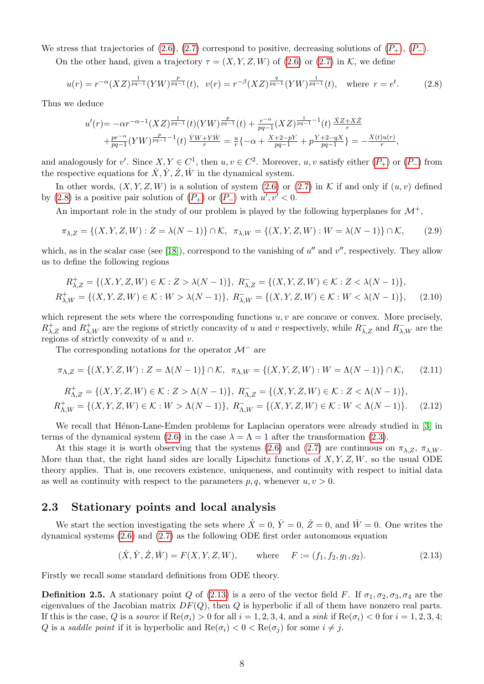We stress that trajectories of  $(2.6)$ ,  $(2.7)$  correspond to positive, decreasing solutions of  $(P_+), (P_-)$  $(P_+), (P_-)$  $(P_+), (P_-)$ .

On the other hand, given a trajectory  $\tau = (X, Y, Z, W)$  of [\(2.6\)](#page-6-4) or [\(2.7\)](#page-6-5) in K, we define

$$
u(r) = r^{-\alpha} (XZ)^{\frac{1}{pq-1}} (YW)^{\frac{p}{pq-1}}(t), \ \ v(r) = r^{-\beta} (XZ)^{\frac{q}{pq-1}} (YW)^{\frac{1}{pq-1}}(t), \ \ \text{where} \ \ r = e^t. \tag{2.8}
$$

Thus we deduce

<span id="page-7-2"></span><span id="page-7-0"></span>
$$
u'(r) = -\alpha r^{-\alpha-1} (XZ)^{\frac{1}{pq-1}}(t) (YW)^{\frac{p}{pq-1}}(t) + \frac{r^{-\alpha}}{pq-1} (XZ)^{\frac{1}{pq-1}-1}(t) \frac{\dot{X}Z + X\dot{Z}}{r}
$$
  
+  $\frac{pr^{-\alpha}}{pq-1} (YW)^{\frac{p}{pq-1}-1}(t) \frac{\dot{Y}W + Y\dot{W}}{r} = \frac{u}{r} \{-\alpha + \frac{X+2-pY}{pq-1} + p\frac{Y+2-qX}{pq-1}\} = -\frac{X(t)u(r)}{r},$ 

and analogously for v'. Since  $X, Y \in C^1$ , then  $u, v \in C^2$ . Moreover,  $u, v$  satisfy either  $(P_+)$  $(P_+)$  $(P_+)$  or  $(P_-)$  from the respective equations for  $\dot{X}, \dot{Y}, \dot{Z}, \dot{W}$  in the dynamical system.

In other words,  $(X, Y, Z, W)$  is a solution of system  $(2.6)$  or  $(2.7)$  in K if and only if  $(u, v)$  defined by [\(2.8\)](#page-7-0) is a positive pair solution of  $(P_+)$  $(P_+)$  $(P_+)$  or  $(P_-)$  with  $u', v' < 0$ .

An important role in the study of our problem is played by the following hyperplanes for  $\mathcal{M}^+$ ,

$$
\pi_{\lambda,Z} = \{(X,Y,Z,W) : Z = \lambda(N-1)\} \cap \mathcal{K}, \quad \pi_{\lambda,W} = \{(X,Y,Z,W) : W = \lambda(N-1)\} \cap \mathcal{K},\tag{2.9}
$$

which, as in the scalar case (see [\[18\]](#page-29-10)), correspond to the vanishing of  $u''$  and  $v''$ , respectively. They allow us to define the following regions

$$
R_{\lambda,Z}^+ = \{ (X, Y, Z, W) \in \mathcal{K} : Z > \lambda(N-1) \}, R_{\lambda,Z}^- = \{ (X, Y, Z, W) \in \mathcal{K} : Z < \lambda(N-1) \},
$$
  

$$
R_{\lambda,W}^+ = \{ (X, Y, Z, W) \in \mathcal{K} : W > \lambda(N-1) \}, R_{\lambda,W}^- = \{ (X, Y, Z, W) \in \mathcal{K} : W < \lambda(N-1) \},
$$
 (2.10)

which represent the sets where the corresponding functions  $u, v$  are concave or convex. More precisely,  $R^+_{\lambda,Z}$  and  $R^+_{\lambda,W}$  are the regions of strictly concavity of u and v respectively, while  $R^-_{\lambda,Z}$  and  $R^-_{\lambda,W}$  are the regions of strictly convexity of  $u$  and  $v$ .

The corresponding notations for the operator  $\mathcal{M}^-$  are

$$
\pi_{\Lambda,Z} = \{(X, Y, Z, W) : Z = \Lambda(N-1)\} \cap \mathcal{K}, \quad \pi_{\Lambda,W} = \{(X, Y, Z, W) : W = \Lambda(N-1)\} \cap \mathcal{K},\tag{2.11}
$$

$$
R_{\Lambda,Z}^+ = \{ (X, Y, Z, W) \in \mathcal{K} : Z > \Lambda(N-1) \}, R_{\Lambda,Z}^- = \{ (X, Y, Z, W) \in \mathcal{K} : Z < \Lambda(N-1) \},
$$
  

$$
R_{\Lambda,W}^+ = \{ (X, Y, Z, W) \in \mathcal{K} : W > \Lambda(N-1) \}, R_{\Lambda,W}^- = \{ (X, Y, Z, W) \in \mathcal{K} : W < \Lambda(N-1) \}.
$$
 (2.12)

We recall that Henon-Lane-Emden problems for Laplacian operators were already studied in [\[3\]](#page-28-0) in terms of the dynamical system [\(2.6\)](#page-6-4) in the case  $\lambda = \Lambda = 1$  after the transformation [\(2.3\)](#page-6-1).

At this stage it is worth observing that the systems [\(2.6\)](#page-6-4) and [\(2.7\)](#page-6-5) are continuous on  $\pi_{\lambda,Z}$ ,  $\pi_{\lambda,W}$ . More than that, the right hand sides are locally Lipschitz functions of  $X, Y, Z, W$ , so the usual ODE theory applies. That is, one recovers existence, uniqueness, and continuity with respect to initial data as well as continuity with respect to the parameters  $p, q$ , whenever  $u, v > 0$ .

#### 2.3 Stationary points and local analysis

We start the section investigating the sets where  $\dot{X} = 0$ ,  $\dot{Y} = 0$ ,  $\dot{Z} = 0$ , and  $\dot{W} = 0$ . One writes the dynamical systems [\(2.6\)](#page-6-4) and [\(2.7\)](#page-6-5) as the following ODE first order autonomous equation

<span id="page-7-3"></span><span id="page-7-1"></span>
$$
(\dot{X}, \dot{Y}, \dot{Z}, \dot{W}) = F(X, Y, Z, W), \quad \text{where} \quad F := (f_1, f_2, g_1, g_2). \tag{2.13}
$$

Firstly we recall some standard definitions from ODE theory.

**Definition 2.5.** A stationary point Q of [\(2.13\)](#page-7-1) is a zero of the vector field F. If  $\sigma_1, \sigma_2, \sigma_3, \sigma_4$  are the eigenvalues of the Jacobian matrix  $DF(Q)$ , then Q is hyperbolic if all of them have nonzero real parts. If this is the case, Q is a source if  $\text{Re}(\sigma_i) > 0$  for all  $i = 1, 2, 3, 4$ , and a sink if  $\text{Re}(\sigma_i) < 0$  for  $i = 1, 2, 3, 4$ ; Q is a saddle point if it is hyperbolic and  $\text{Re}(\sigma_i) < 0 < \text{Re}(\sigma_i)$  for some  $i \neq j$ .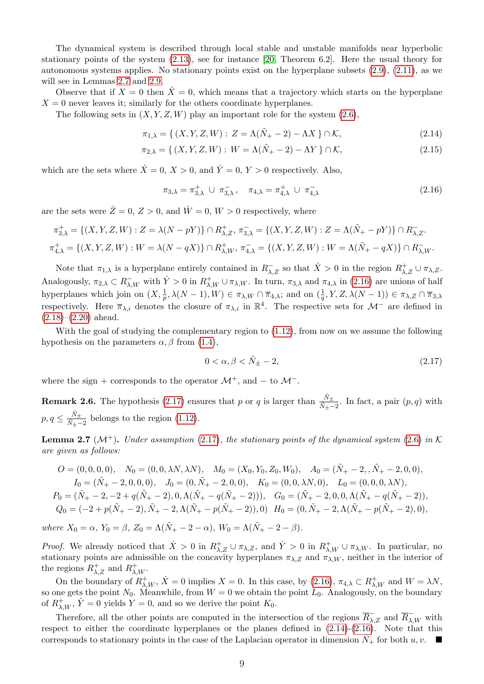The dynamical system is described through local stable and unstable manifolds near hyperbolic stationary points of the system [\(2.13\)](#page-7-1), see for instance [\[20,](#page-29-14) Theorem 6.2]. Here the usual theory for autonomous systems applies. No stationary points exist on the hyperplane subsets [\(2.9\)](#page-7-2), [\(2.11\)](#page-7-3), as we will see in Lemmas [2.7](#page-8-0) and [2.9.](#page-9-0)

Observe that if  $X = 0$  then  $X = 0$ , which means that a trajectory which starts on the hyperplane  $X = 0$  never leaves it; similarly for the others coordinate hyperplanes.

The following sets in  $(X, Y, Z, W)$  play an important role for the system  $(2.6)$ ,

$$
\pi_{1,\lambda} = \{ (X, Y, Z, W) : Z = \Lambda(\tilde{N}_+ - 2) - \Lambda X \} \cap \mathcal{K},
$$
\n(2.14)

$$
\pi_{2,\lambda} = \{ (X, Y, Z, W) : W = \Lambda(\tilde{N}_+ - 2) - \Lambda Y \} \cap \mathcal{K},
$$
\n(2.15)

which are the sets where  $\dot{X} = 0, X > 0$ , and  $\dot{Y} = 0, Y > 0$  respectively. Also,

<span id="page-8-5"></span><span id="page-8-3"></span><span id="page-8-1"></span>
$$
\pi_{3,\lambda} = \pi_{3,\lambda}^+ \cup \pi_{3,\lambda}^- , \quad \pi_{4,\lambda} = \pi_{4,\lambda}^+ \cup \pi_{4,\lambda}^-
$$
 (2.16)

are the sets were  $\dot{Z}=0, Z>0$ , and  $\dot{W}=0, W>0$  respectively, where

$$
\pi_{3,\lambda}^+ = \{(X, Y, Z, W) : Z = \lambda(N - pY)\} \cap R_{\lambda, Z}^+, \pi_{3,\lambda}^- = \{(X, Y, Z, W) : Z = \Lambda(\tilde{N}_+ - pY)\} \cap R_{\lambda, Z}^-, \pi_{4,\lambda}^+ = \{(X, Y, Z, W) : W = \lambda(N - qX)\} \cap R_{\lambda, W}^+, \pi_{4,\lambda}^- = \{(X, Y, Z, W) : W = \Lambda(\tilde{N}_+ - qX)\} \cap R_{\lambda, W}^+.
$$

Note that  $\pi_{1,\lambda}$  is a hyperplane entirely contained in  $R^{-}_{\lambda,Z}$  so that  $\dot{X} > 0$  in the region  $R^{+}_{\lambda,Z} \cup \pi_{\lambda,Z}$ . Analogously,  $\pi_{2,\lambda} \subset R_{\lambda,W}^-$  with  $\dot{Y} > 0$  in  $R_{\lambda,W}^+ \cup \pi_{\lambda,W}$ . In turn,  $\pi_{3,\lambda}$  and  $\pi_{4,\lambda}$  in [\(2.16\)](#page-8-1) are unions of half hyperplanes which join on  $(X, \frac{1}{p}, \lambda(N-1), W) \in \pi_{\lambda, W} \cap \overline{\pi}_{4,\lambda}$ ; and on  $(\frac{1}{q}, Y, Z, \lambda(N-1)) \in \pi_{\lambda, Z} \cap \overline{\pi}_{3,\lambda}$ respectively. Here  $\overline{\pi}_{\lambda,i}$  denotes the closure of  $\pi_{\lambda,i}$  in  $\mathbb{R}^4$ . The respective sets for  $\mathcal{M}^-$  are defined in  $(2.18)–(2.20)$  $(2.18)–(2.20)$  $(2.18)–(2.20)$  ahead.

With the goal of studying the complementary region to  $(1.12)$ , from now on we assume the following hypothesis on the parameters  $\alpha$ ,  $\beta$  from [\(1.4\)](#page-1-5),

<span id="page-8-2"></span>
$$
0 < \alpha, \beta < \tilde{N}_{\pm} - 2,\tag{2.17}
$$

where the sign + corresponds to the operator  $\mathcal{M}^+$ , and  $-$  to  $\mathcal{M}^-$ .

<span id="page-8-4"></span>**Remark 2.6.** The hypothesis [\(2.17\)](#page-8-2) ensures that p or q is larger than  $\frac{\tilde{N}_{\pm}}{\tilde{N}_{\pm}-2}$ . In fact, a pair  $(p,q)$  with  $p,q\leq\frac{\tilde{N}_{\pm}}{\tilde{N}_{\pm}}$  $\frac{N_{\pm}}{N_{\pm}-2}$  belongs to the region [\(1.12\)](#page-2-1).

<span id="page-8-0"></span>**Lemma 2.7** ( $\mathcal{M}^+$ ). Under assumption [\(2.17\)](#page-8-2), the stationary points of the dynamical system [\(2.6\)](#page-6-4) in K are given as follows:

$$
O = (0,0,0,0), \quad N_0 = (0,0,\lambda N,\lambda N), \quad M_0 = (X_0, Y_0, Z_0, W_0), \quad A_0 = (\tilde{N}_+ - 2, \tilde{N}_+ - 2, 0, 0),
$$
  
\n
$$
I_0 = (\tilde{N}_+ - 2, 0, 0, 0), \quad J_0 = (0, \tilde{N}_+ - 2, 0, 0), \quad K_0 = (0, 0, \lambda N, 0), \quad L_0 = (0, 0, 0, \lambda N),
$$
  
\n
$$
P_0 = (\tilde{N}_+ - 2, -2 + q(\tilde{N}_+ - 2), 0, \Lambda(\tilde{N}_+ - q(\tilde{N}_+ - 2))), \quad G_0 = (\tilde{N}_+ - 2, 0, 0, \Lambda(\tilde{N}_+ - q(\tilde{N}_+ - 2)),
$$
  
\n
$$
Q_0 = (-2 + p(\tilde{N}_+ - 2), \tilde{N}_+ - 2, \Lambda(\tilde{N}_+ - p(\tilde{N}_+ - 2)), 0) \quad H_0 = (0, \tilde{N}_+ - 2, \Lambda(\tilde{N}_+ - p(\tilde{N}_+ - 2), 0),
$$

where  $X_0 = \alpha$ ,  $Y_0 = \beta$ ,  $Z_0 = \Lambda(\tilde{N}_+ - 2 - \alpha)$ ,  $W_0 = \Lambda(\tilde{N}_+ - 2 - \beta)$ .

*Proof.* We already noticed that  $\dot{X} > 0$  in  $R_{\lambda,Z}^+ \cup \pi_{\lambda,Z}$ , and  $\dot{Y} > 0$  in  $R_{\lambda,W}^+ \cup \pi_{\lambda,W}$ . In particular, no stationary points are admissible on the concavity hyperplanes  $\pi_{\lambda,Z}$  and  $\pi_{\lambda,W}$ , neither in the interior of the regions  $R_{\lambda,Z}^+$  and  $R_{\lambda,W}^+$ .

On the boundary of  $R^+_{\lambda,W}$ ,  $\dot{X} = 0$  implies  $X = 0$ . In this case, by [\(2.16\)](#page-8-1),  $\pi_{4,\lambda} \subset R^+_{\lambda,W}$  and  $W = \lambda N$ , so one gets the point  $N_0$ . Meanwhile, from  $W = 0$  we obtain the point  $L_0$ . Analogously, on the boundary of  $R^+_{\lambda,W},\,\dot Y=0$  yields  $Y=0$ , and so we derive the point  $K_0$ .

Therefore, all the other points are computed in the intersection of the regions  $\overline{R}_{\lambda,Z}^-$  and  $\overline{R}_{\lambda,W}^-$  with respect to either the coordinate hyperplanes or the planes defined in [\(2.14\)](#page-8-3)-[\(2.16\)](#page-8-1). Note that this corresponds to stationary points in the case of the Laplacian operator in dimension  $N_+$  for both  $u, v$ .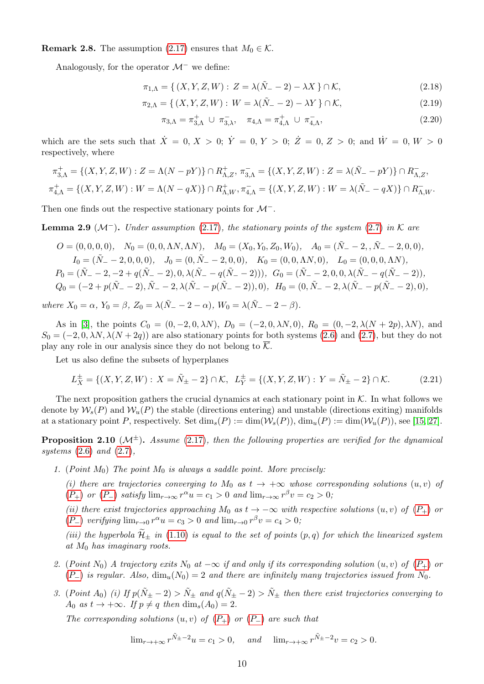**Remark 2.8.** The assumption [\(2.17\)](#page-8-2) ensures that  $M_0 \in \mathcal{K}$ .

Analogously, for the operator  $\mathcal{M}^-$  we define:

$$
\pi_{1,\Lambda} = \{ (X, Y, Z, W) : Z = \lambda(\tilde{N}_- - 2) - \lambda X \} \cap \mathcal{K},
$$
\n(2.18)

$$
\pi_{2,\Lambda} = \{ (X, Y, Z, W) : W = \lambda(\tilde{N}_- - 2) - \lambda Y \} \cap \mathcal{K},
$$
\n(2.19)

<span id="page-9-2"></span><span id="page-9-1"></span>
$$
\pi_{3,\Lambda} = \pi_{3,\Lambda}^+ \cup \pi_{3,\lambda}^-,\quad \pi_{4,\Lambda} = \pi_{4,\Lambda}^+ \cup \pi_{4,\Lambda}^-,\tag{2.20}
$$

which are the sets such that  $\dot{X} = 0, X > 0$ ;  $\dot{Y} = 0, Y > 0$ ;  $\dot{Z} = 0, Z > 0$ ; and  $\dot{W} = 0, W > 0$ respectively, where

$$
\pi_{3,\Lambda}^+ = \{(X, Y, Z, W) : Z = \Lambda(N - pY)\} \cap R_{\Lambda, Z}^+, \pi_{3,\Lambda}^- = \{(X, Y, Z, W) : Z = \lambda(\tilde{N}_- - pY)\} \cap R_{\Lambda, Z}^-,
$$
  

$$
\pi_{4,\Lambda}^+ = \{(X, Y, Z, W) : W = \Lambda(N - qX)\} \cap R_{\Lambda, W}^+, \pi_{4,\Lambda}^- = \{(X, Y, Z, W) : W = \lambda(\tilde{N}_- - qX)\} \cap R_{\Lambda, W}^-,
$$

Then one finds out the respective stationary points for  $\mathcal{M}^-$ .

<span id="page-9-0"></span>**Lemma 2.9** ( $\mathcal{M}^-$ ). Under assumption [\(2.17\)](#page-8-2), the stationary points of the system [\(2.7\)](#page-6-5) in K are

$$
O = (0,0,0,0), \quad N_0 = (0,0,\Lambda N,\Lambda N), \quad M_0 = (X_0, Y_0, Z_0, W_0), \quad A_0 = (\tilde{N}_- - 2, \tilde{N}_- - 2, 0, 0), I_0 = (\tilde{N}_- - 2, 0, 0, 0), \quad J_0 = (0, \tilde{N}_- - 2, 0, 0), \quad K_0 = (0, 0, \Lambda N, 0), \quad L_0 = (0, 0, 0, \Lambda N), P_0 = (\tilde{N}_- - 2, -2 + q(\tilde{N}_- - 2), 0, \lambda(\tilde{N}_- - q(\tilde{N}_- - 2))), \quad G_0 = (\tilde{N}_- - 2, 0, 0, \lambda(\tilde{N}_- - q(\tilde{N}_- - 2)), Q_0 = (-2 + p(\tilde{N}_- - 2), \tilde{N}_- - 2, \lambda(\tilde{N}_- - p(\tilde{N}_- - 2)), 0), \quad H_0 = (0, \tilde{N}_- - 2, \lambda(\tilde{N}_- - p(\tilde{N}_- - 2), 0),
$$

where  $X_0 = \alpha$ ,  $Y_0 = \beta$ ,  $Z_0 = \lambda(\tilde{N}_- - 2 - \alpha)$ ,  $W_0 = \lambda(\tilde{N}_- - 2 - \beta)$ .

As in [\[3\]](#page-28-0), the points  $C_0 = (0, -2, 0, \lambda N)$ ,  $D_0 = (-2, 0, \lambda N, 0)$ ,  $R_0 = (0, -2, \lambda (N + 2p), \lambda N)$ , and  $S_0 = (-2, 0, \lambda N, \lambda (N + 2q))$  are also stationary points for both systems [\(2.6\)](#page-6-4) and [\(2.7\)](#page-6-5), but they do not play any role in our analysis since they do not belong to  $\mathcal{K}$ .

Let us also define the subsets of hyperplanes

<span id="page-9-3"></span>
$$
L_X^{\pm} = \{ (X, Y, Z, W) : X = \tilde{N}_{\pm} - 2 \} \cap \mathcal{K}, \ L_Y^{\pm} = \{ (X, Y, Z, W) : Y = \tilde{N}_{\pm} - 2 \} \cap \mathcal{K}. \tag{2.21}
$$

The next proposition gathers the crucial dynamics at each stationary point in  $K$ . In what follows we denote by  $W_s(P)$  and  $W_u(P)$  the stable (directions entering) and unstable (directions exiting) manifolds at a stationary point P, respectively. Set  $\dim_s(P) := \dim(\mathcal{W}_s(P))$ ,  $\dim_u(P) := \dim(\mathcal{W}_u(P))$ , see [\[15,](#page-29-15) [27\]](#page-30-4).

<span id="page-9-4"></span>**Proposition 2.10** ( $\mathcal{M}^{\pm}$ ). Assume [\(2.17\)](#page-8-2), then the following properties are verified for the dynamical systems  $(2.6)$  and  $(2.7)$ ,

1. (Point  $M_0$ ) The point  $M_0$  is always a saddle point. More precisely:

(i) there are trajectories converging to  $M_0$  as  $t \to +\infty$  whose corresponding solutions  $(u, v)$  of  $(P_+)$  $(P_+)$  $(P_+)$  or  $(P_-)$  satisfy  $\lim_{r\to\infty} r^{\alpha}u = c_1 > 0$  and  $\lim_{r\to\infty} r^{\beta}v = c_2 > 0$ ;

(ii) there exist trajectories approaching  $M_0$  as  $t \to -\infty$  with respective solutions  $(u, v)$  of  $(P_+)$  $(P_+)$  $(P_+)$  or  $(P_{-})$  $(P_{-})$  $(P_{-})$  verifying  $\lim_{r\to 0} r^{\alpha}u = c_3 > 0$  and  $\lim_{r\to 0} r^{\beta}v = c_4 > 0$ ;

(iii) the hyperbola  $\widetilde{\mathcal{H}}_{\pm}$  in [\(1.10\)](#page-1-6) is equal to the set of points  $(p, q)$  for which the linearized system at  $M_0$  has imaginary roots.

- 2. ([P](#page-5-1)oint N<sub>0</sub>) A trajectory exits N<sub>0</sub> at  $-\infty$  if and only if its corresponding solution (u, v) of (P<sub>+</sub>) or  $(P_+)$  $(P_+)$  $(P_+)$  is regular. Also,  $\dim_u(N_0) = 2$  and there are infinitely many trajectories issued from  $N_0$ .
- 3. (Point A<sub>0</sub>) (i) If  $p(\tilde{N}_{\pm} 2) > \tilde{N}_{\pm}$  and  $q(\tilde{N}_{\pm} 2) > \tilde{N}_{\pm}$  then there exist trajectories converging to  $A_0$  as  $t \to +\infty$ . If  $p \neq q$  then  $\dim_s(A_0) = 2$ .

The corresponding solutions  $(u, v)$  of  $(P_+)$  $(P_+)$  $(P_+)$  or  $(P_-)$  are such that

$$
\lim_{r \to +\infty} r^{\tilde{N}_{\pm} - 2} u = c_1 > 0
$$
, and  $\lim_{r \to +\infty} r^{\tilde{N}_{\pm} - 2} v = c_2 > 0$ .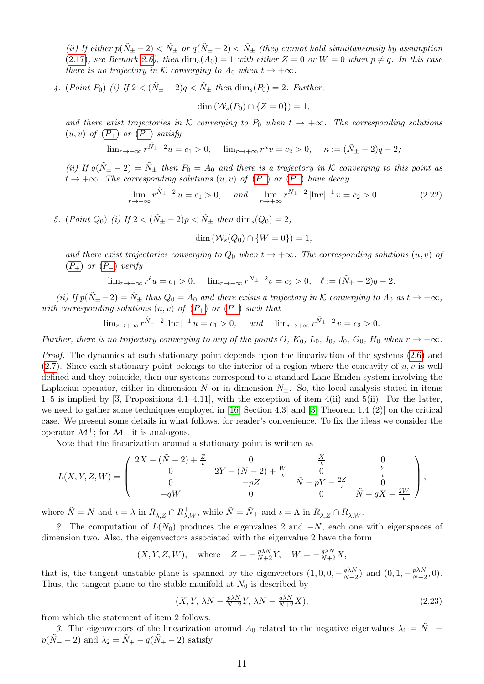(ii) If either  $p(\tilde{N}_{\pm} - 2) < \tilde{N}_{\pm}$  or  $q(\tilde{N}_{\pm} - 2) < \tilde{N}_{\pm}$  (they cannot hold simultaneously by assumption [\(2.17\)](#page-8-2), see Remark [2.6\)](#page-8-4), then  $\dim_s(A_0) = 1$  with either  $Z = 0$  or  $W = 0$  when  $p \neq q$ . In this case there is no trajectory in K converging to  $A_0$  when  $t \to +\infty$ .

4. (Point P<sub>0</sub>) (i) If  $2 < (\tilde{N}_{\pm} - 2)q < \tilde{N}_{\pm}$  then  $\dim_s(P_0) = 2$ . Further,

$$
\dim\left(\mathcal{W}_s(P_0)\cap\{Z=0\}\right)=1,
$$

and there exist trajectories in K converging to  $P_0$  when  $t \to +\infty$ . The corresponding solutions  $(u, v)$  of  $(P_+)$  $(P_+)$  $(P_+)$  or  $(P_-)$  satisfy

 $\lim_{r \to +\infty} r^{\tilde{N}_{\pm} - 2} u = c_1 > 0, \quad \lim_{r \to +\infty} r^{\kappa} v = c_2 > 0, \quad \kappa := (\tilde{N}_{\pm} - 2)q - 2;$ 

(ii) If  $q(\tilde{N}_{\pm} - 2) = \tilde{N}_{\pm}$  then  $P_0 = A_0$  and there is a trajectory in K converging to this point as  $t \to +\infty$ . The corresponding solutions  $(u, v)$  of  $(P_+)$  $(P_+)$  $(P_+)$  or  $(P_-)$  have decay

$$
\lim_{r \to +\infty} r^{\tilde{N}_{\pm} - 2} u = c_1 > 0, \quad \text{and} \quad \lim_{r \to +\infty} r^{\tilde{N}_{\pm} - 2} |\ln r|^{-1} v = c_2 > 0. \tag{2.22}
$$

5. (Point  $Q_0$ ) (i) If  $2 < (\tilde{N}_+ - 2)p < \tilde{N}_+$  then  $\dim_s(Q_0) = 2$ ,

<span id="page-10-0"></span>
$$
\dim\left(\mathcal{W}_s(Q_0)\cap\{W=0\}\right)=1,
$$

and there exist trajectories converging to  $Q_0$  when  $t \to +\infty$ . The corresponding solutions  $(u, v)$  of  $(P_+)$  $(P_+)$  $(P_+)$  or  $(P_-)$  verify

$$
\lim_{r \to +\infty} r^{\ell} u = c_1 > 0, \quad \lim_{r \to +\infty} r^{\tilde{N}_{\pm} - 2} v = c_2 > 0, \quad \ell := (\tilde{N}_{\pm} - 2)q - 2.
$$

(ii) If  $p(\tilde{N}_{\pm} - 2) = \tilde{N}_{\pm}$  thus  $Q_0 = A_0$  and there exists a trajectory in K converging to  $A_0$  as  $t \to +\infty$ , with corresponding solutions  $(u, v)$  of  $(P_+)$  $(P_+)$  $(P_+)$  or  $(P_-)$  such that

$$
\lim_{r \to +\infty} r^{\tilde{N}_{\pm} - 2} |\ln r|^{-1} u = c_1 > 0, \quad \text{and} \quad \lim_{r \to +\infty} r^{\tilde{N}_{\pm} - 2} v = c_2 > 0.
$$

Further, there is no trajectory converging to any of the points O,  $K_0$ ,  $L_0$ ,  $I_0$ ,  $J_0$ ,  $G_0$ ,  $H_0$  when  $r \to +\infty$ .

Proof. The dynamics at each stationary point depends upon the linearization of the systems  $(2.6)$  and  $(2.7)$ . Since each stationary point belongs to the interior of a region where the concavity of  $u, v$  is well defined and they coincide, then our systems correspond to a standard Lane-Emden system involving the Laplacian operator, either in dimension N or in dimension  $\tilde{N}_+$ . So, the local analysis stated in items  $1-5$  is implied by [\[3,](#page-28-0) Propositions 4.1–4.11], with the exception of item 4(ii) and 5(ii). For the latter, we need to gather some techniques employed in [\[16,](#page-29-16) Section 4.3] and [\[3,](#page-28-0) Theorem 1.4 (2)] on the critical case. We present some details in what follows, for reader's convenience. To fix the ideas we consider the operator  $\mathcal{M}^+$ : for  $\mathcal{M}^-$  it is analogous.

Note that the linearization around a stationary point is written as

$$
L(X,Y,Z,W) = \begin{pmatrix} 2X - (\tilde{N} - 2) + \frac{Z}{\iota} & 0 & \frac{X}{\iota} & 0 \\ 0 & 2Y - (\tilde{N} - 2) + \frac{W}{\iota} & 0 & \frac{Y}{\iota} \\ 0 & -pZ & \tilde{N} - pY - \frac{2Z}{\iota} & 0 \\ -qW & 0 & 0 & \tilde{N} - qX - \frac{2W}{\iota} \end{pmatrix},
$$

where  $\tilde{N} = N$  and  $\iota = \lambda$  in  $R^+_{\lambda,Z} \cap R^+_{\lambda,W}$ , while  $\tilde{N} = \tilde{N}_+$  and  $\iota = \Lambda$  in  $R^-_{\lambda,Z} \cap R^-_{\lambda,W}$ .

2. The computation of  $L(N_0)$  produces the eigenvalues 2 and  $-N$ , each one with eigenspaces of dimension two. Also, the eigenvectors associated with the eigenvalue 2 have the form

$$
(X, Y, Z, W)
$$
, where  $Z = -\frac{p\lambda N}{N+2}Y$ ,  $W = -\frac{q\lambda N}{N+2}X$ ,

that is, the tangent unstable plane is spanned by the eigenvectors  $(1,0,0,-\frac{q\lambda N}{N+2})$  and  $(0,1,-\frac{p\lambda N}{N+2},0)$ . Thus, the tangent plane to the stable manifold at  $N_0$  is described by

<span id="page-10-1"></span>
$$
(X, Y, \lambda N - \frac{p\lambda N}{N+2}Y, \lambda N - \frac{q\lambda N}{N+2}X), \qquad (2.23)
$$

from which the statement of item 2 follows.

3. The eigenvectors of the linearization around  $A_0$  related to the negative eigenvalues  $\lambda_1 = \tilde{N}_+$  –  $p(\tilde{N}_+ - 2)$  and  $\lambda_2 = \tilde{N}_+ - q(\tilde{N}_+ - 2)$  satisfy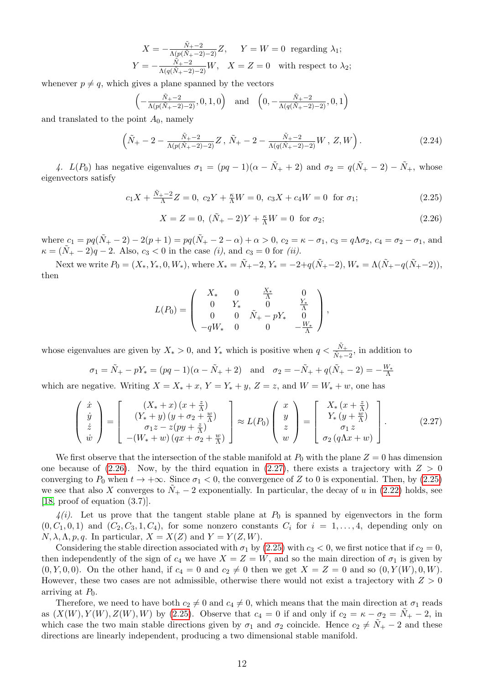$$
X = -\frac{\tilde{N}_+ - 2}{\Lambda(p(\tilde{N}_+ - 2) - 2)}Z, \quad Y = W = 0 \text{ regarding } \lambda_1;
$$
  

$$
Y = -\frac{\tilde{N}_+ - 2}{\Lambda(q(\tilde{N}_+ - 2) - 2)}W, \quad X = Z = 0 \text{ with respect to } \lambda_2;
$$

whenever  $p \neq q$ , which gives a plane spanned by the vectors

$$
\left(-\frac{\tilde{N}_{+}-2}{\Lambda(p(\tilde{N}_{+}-2)-2)},0,1,0\right) \quad \text{and} \quad \left(0,-\frac{\tilde{N}_{+}-2}{\Lambda(q(\tilde{N}_{+}-2)-2)},0,1\right)
$$

and translated to the point  $A_0$ , namely

$$
\left(\tilde{N}_{+} - 2 - \frac{\tilde{N}_{+} - 2}{\Lambda(p(\tilde{N}_{+} - 2) - 2)}Z, \tilde{N}_{+} - 2 - \frac{\tilde{N}_{+} - 2}{\Lambda(q(\tilde{N}_{+} - 2) - 2)}W, Z, W\right).
$$
\n(2.24)

4.  $L(P_0)$  has negative eigenvalues  $\sigma_1 = (pq-1)(\alpha - \tilde{N}_+ + 2)$  and  $\sigma_2 = q(\tilde{N}_+ - 2) - \tilde{N}_+$ , whose eigenvectors satisfy

$$
c_1 X + \frac{\tilde{N}_+ - 2}{\Lambda} Z = 0, \ c_2 Y + \frac{\kappa}{\Lambda} W = 0, \ c_3 X + c_4 W = 0 \text{ for } \sigma_1;
$$
 (2.25)

<span id="page-11-3"></span><span id="page-11-2"></span><span id="page-11-0"></span>
$$
X = Z = 0, \ (\tilde{N}_{+} - 2)Y + \frac{\kappa}{\Lambda}W = 0 \ \text{for } \sigma_2; \tag{2.26}
$$

where  $c_1 = pq(\tilde{N}_+ - 2) - 2(p+1) = pq(\tilde{N}_+ - 2 - \alpha) + \alpha > 0, c_2 = \kappa - \sigma_1, c_3 = q\Lambda\sigma_2, c_4 = \sigma_2 - \sigma_1$ , and  $\kappa = (\tilde{N}_+ - 2)q - 2$ . Also,  $c_3 < 0$  in the case (i), and  $c_3 = 0$  for (ii).

Next we write  $P_0 = (X_*, Y_*, 0, W_*)$ , where  $X_* = \tilde{N}_+ - 2$ ,  $Y_* = -2 + q(\tilde{N}_+ - 2)$ ,  $W_* = \Lambda(\tilde{N}_+ - q(\tilde{N}_+ - 2))$ , then

<span id="page-11-1"></span>
$$
L(P_0) = \begin{pmatrix} X_* & 0 & \frac{X_*}{\Lambda} & 0 \\ 0 & Y_* & 0 & \frac{Y_*}{\Lambda} \\ 0 & 0 & \tilde{N}_+ - pY_* & 0 \\ -qW_* & 0 & 0 & -\frac{W_*}{\Lambda} \end{pmatrix},
$$

whose eigenvalues are given by  $X_* > 0$ , and  $Y_*$  which is positive when  $q < \frac{\tilde{N}_+}{\tilde{N}_+-2}$ , in addition to

$$
\sigma_1 = \tilde{N}_+ - pY_* = (pq - 1)(\alpha - \tilde{N}_+ + 2)
$$
 and  $\sigma_2 = -\tilde{N}_+ + q(\tilde{N}_+ - 2) = -\frac{W_*}{\Lambda}$ 

which are negative. Writing  $X = X_* + x$ ,  $Y = Y_* + y$ ,  $Z = z$ , and  $W = W_* + w$ , one has

$$
\begin{pmatrix}\n\dot{x} \\
\dot{y} \\
\dot{z} \\
\dot{w}\n\end{pmatrix} = \begin{bmatrix}\n(X_* + x)(x + \frac{z}{\Lambda}) \\
(Y_* + y)(y + \sigma_2 + \frac{w}{\Lambda}) \\
\sigma_1 z - z(py + \frac{z}{\Lambda}) \\
-(W_* + w)(qx + \sigma_2 + \frac{w}{\Lambda})\n\end{bmatrix} \approx L(P_0) \begin{pmatrix}\nx \\
y \\
z \\
w\n\end{pmatrix} = \begin{bmatrix}\nX_* (x + \frac{z}{\Lambda}) \\
Y_* (y + \frac{w}{\Lambda}) \\
\sigma_1 z \\
\sigma_2 (q\Lambda x + w)\n\end{bmatrix}.
$$
\n(2.27)

We first observe that the intersection of the stable manifold at  $P_0$  with the plane  $Z = 0$  has dimension one because of [\(2.26\)](#page-11-0). Now, by the third equation in [\(2.27\)](#page-11-1), there exists a trajectory with  $Z > 0$ converging to  $P_0$  when  $t \to +\infty$ . Since  $\sigma_1 < 0$ , the convergence of Z to 0 is exponential. Then, by [\(2.25\)](#page-11-2) we see that also X converges to  $N_{+} - 2$  exponentially. In particular, the decay of u in [\(2.22\)](#page-10-0) holds, see [\[18,](#page-29-10) proof of equation (3.7)].

 $\mathcal{A}(i)$ . Let us prove that the tangent stable plane at  $P_0$  is spanned by eigenvectors in the form  $(0, C_1, 0, 1)$  and  $(C_2, C_3, 1, C_4)$ , for some nonzero constants  $C_i$  for  $i = 1, \ldots, 4$ , depending only on  $N, \lambda, \Lambda, p, q$ . In particular,  $X = X(Z)$  and  $Y = Y(Z, W)$ .

Considering the stable direction associated with  $\sigma_1$  by [\(2.25\)](#page-11-2) with  $c_3 < 0$ , we first notice that if  $c_2 = 0$ , then independently of the sign of  $c_4$  we have  $X = Z = W$ , and so the main direction of  $\sigma_1$  is given by  $(0, Y, 0, 0)$ . On the other hand, if  $c_4 = 0$  and  $c_2 \neq 0$  then we get  $X = Z = 0$  and so  $(0, Y(W), 0, W)$ . However, these two cases are not admissible, otherwise there would not exist a trajectory with  $Z > 0$ arriving at  $P_0$ .

Therefore, we need to have both  $c_2 \neq 0$  and  $c_4 \neq 0$ , which means that the main direction at  $\sigma_1$  reads as  $(X(W), Y(W), Z(W), W)$  by [\(2.25\)](#page-11-2). Observe that  $c_4 = 0$  if and only if  $c_2 = \kappa - \sigma_2 = N_+ - 2$ , in which case the two main stable directions given by  $\sigma_1$  and  $\sigma_2$  coincide. Hence  $c_2 \neq N_+ - 2$  and these directions are linearly independent, producing a two dimensional stable manifold.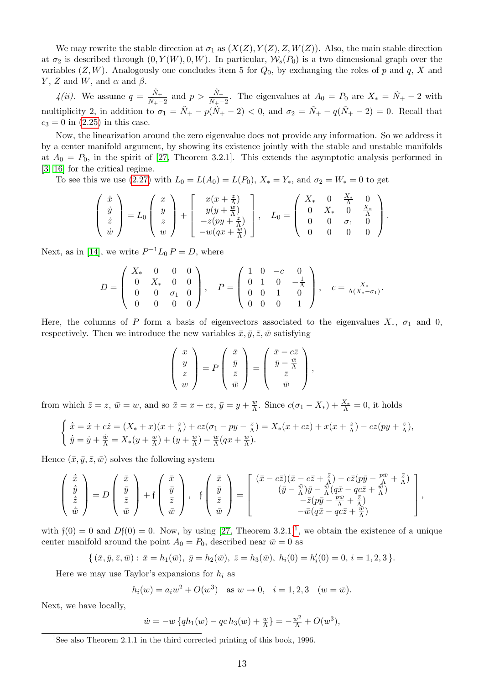We may rewrite the stable direction at  $\sigma_1$  as  $(X(Z), Y(Z), Z, W(Z))$ . Also, the main stable direction at  $\sigma_2$  is described through  $(0, Y(W), 0, W)$ . In particular,  $\mathcal{W}_s(P_0)$  is a two dimensional graph over the variables  $(Z, W)$ . Analogously one concludes item 5 for  $Q_0$ , by exchanging the roles of p and q, X and Y, Z and W, and  $\alpha$  and  $\beta$ .

 $4(ii)$ . We assume  $q = \frac{\tilde{N}_+}{\tilde{N}_+}$  $\frac{\tilde{N}_+}{\tilde{N}_+-2}$  and  $p > \frac{\tilde{N}_+}{\tilde{N}_+-2}$ . The eigenvalues at  $A_0 = P_0$  are  $X_* = \tilde{N}_+ - 2$  with multiplicity 2, in addition to  $\sigma_1 = \tilde{N}_+ - p(\tilde{N}_+ - 2) < 0$ , and  $\sigma_2 = \tilde{N}_+ - q(\tilde{N}_+ - 2) = 0$ . Recall that  $c_3 = 0$  in [\(2.25\)](#page-11-2) in this case.

Now, the linearization around the zero eigenvalue does not provide any information. So we address it by a center manifold argument, by showing its existence jointly with the stable and unstable manifolds at  $A_0 = P_0$ , in the spirit of [\[27,](#page-30-4) Theorem 3.2.1]. This extends the asymptotic analysis performed in [\[3,](#page-28-0) [16\]](#page-29-16) for the critical regime.

To see this we use [\(2.27\)](#page-11-1) with  $L_0 = L(A_0) = L(P_0)$ ,  $X_* = Y_*$ , and  $\sigma_2 = W_* = 0$  to get

$$
\begin{pmatrix} \dot{x} \\ \dot{y} \\ \dot{z} \\ \dot{w} \end{pmatrix} = L_0 \begin{pmatrix} x \\ y \\ z \\ w \end{pmatrix} + \begin{bmatrix} x(x + \frac{z}{\Lambda}) \\ y(y + \frac{w}{\Lambda}) \\ -z(py + \frac{z}{\Lambda}) \\ -w(qx + \frac{w}{\Lambda}) \end{bmatrix}, \quad L_0 = \begin{pmatrix} X_* & 0 & \frac{X_*}{\Lambda} & 0 \\ 0 & X_* & 0 & \frac{X_*}{\Lambda} \\ 0 & 0 & \sigma_1 & 0 \\ 0 & 0 & 0 & 0 \end{pmatrix}.
$$

Next, as in [\[14\]](#page-29-17), we write  $P^{-1}L_0 P = D$ , where

$$
D = \begin{pmatrix} X_* & 0 & 0 & 0 \\ 0 & X_* & 0 & 0 \\ 0 & 0 & \sigma_1 & 0 \\ 0 & 0 & 0 & 0 \end{pmatrix}, \quad P = \begin{pmatrix} 1 & 0 & -c & 0 \\ 0 & 1 & 0 & -\frac{1}{\Lambda} \\ 0 & 0 & 1 & 0 \\ 0 & 0 & 0 & 1 \end{pmatrix}, \quad c = \frac{X_*}{\Lambda(X_* - \sigma_1)}.
$$

Here, the columns of P form a basis of eigenvectors associated to the eigenvalues  $X_*, \sigma_1$  and 0, respectively. Then we introduce the new variables  $\bar{x}, \bar{y}, \bar{z}, \bar{w}$  satisfying

$$
\begin{pmatrix} x \\ y \\ z \\ w \end{pmatrix} = P \begin{pmatrix} \bar{x} \\ \bar{y} \\ \bar{z} \\ \bar{w} \end{pmatrix} = \begin{pmatrix} \bar{x} - c\bar{z} \\ \bar{y} - \frac{\bar{w}}{\bar{\Lambda}} \\ \bar{z} \\ \bar{w} \end{pmatrix},
$$

from which  $\bar{z} = z$ ,  $\bar{w} = w$ , and so  $\bar{x} = x + cz$ ,  $\bar{y} = y + \frac{w}{\Lambda}$  $\frac{w}{\Lambda}$ . Since  $c(\sigma_1 - X_*) + \frac{X_*}{\Lambda} = 0$ , it holds

$$
\begin{cases} \n\dot{\overline{x}} = \dot{x} + c\dot{z} = (X_* + x)(x + \frac{z}{\Lambda}) + cz(\sigma_1 - py - \frac{z}{\Lambda}) = X_*(x + cz) + x(x + \frac{z}{\Lambda}) - cz(py + \frac{z}{\Lambda}),\\ \n\dot{\overline{y}} = \dot{y} + \frac{\dot{w}}{\Lambda} = X_*(y + \frac{w}{\Lambda}) + (y + \frac{w}{\Lambda}) - \frac{w}{\Lambda}(qx + \frac{w}{\Lambda}). \n\end{cases}
$$

Hence  $(\bar{x}, \bar{y}, \bar{z}, \bar{w})$  solves the following system

$$
\begin{pmatrix}\n\dot{\bar{x}} \\
\dot{\bar{y}} \\
\dot{\bar{z}} \\
\dot{\bar{w}}\n\end{pmatrix} = D \begin{pmatrix}\n\bar{x} \\
\bar{y} \\
\bar{z} \\
\bar{w}\n\end{pmatrix} + \mathfrak{f} \begin{pmatrix}\n\bar{x} \\
\bar{y} \\
\bar{z} \\
\bar{w}\n\end{pmatrix}, \quad \mathfrak{f} \begin{pmatrix}\n\bar{x} \\
\bar{y} \\
\bar{z} \\
\bar{w}\n\end{pmatrix} = \begin{bmatrix}\n(\bar{x} - c\bar{z})(\bar{x} - c\bar{z} + \frac{\bar{z}}{\Lambda}) - c\bar{z}(p\bar{y} - \frac{p\bar{w}}{\Lambda} + \frac{\bar{z}}{\Lambda}) \\
(\bar{y} - \frac{\bar{w}}{\Lambda})\bar{y} - \frac{\bar{w}}{\Lambda}(q\bar{x} - qc\bar{z} + \frac{\bar{w}}{\Lambda}) \\
-\bar{z}(p\bar{y} - \frac{p\bar{w}}{\Lambda} + \frac{\bar{z}}{\Lambda}) \\
-\bar{w}(q\bar{x} - qc\bar{z} + \frac{\bar{w}}{\Lambda})\n\end{pmatrix},
$$

with  $f(0) = 0$  and  $Df(0) = 0$ . Now, by using [\[27,](#page-30-4) Theorem 3.2.[1](#page-12-0)]<sup>1</sup>, we obtain the existence of a unique center manifold around the point  $A_0 = P_0$ , described near  $\bar{w} = 0$  as

$$
\{ (\bar{x}, \bar{y}, \bar{z}, \bar{w}) : \bar{x} = h_1(\bar{w}), \ \bar{y} = h_2(\bar{w}), \ \bar{z} = h_3(\bar{w}), \ h_i(0) = h'_i(0) = 0, \ i = 1, 2, 3 \}.
$$

Here we may use Taylor's expansions for  $h_i$  as

$$
h_i(w) = a_i w^2 + O(w^3)
$$
 as  $w \to 0$ ,  $i = 1, 2, 3$   $(w = \bar{w})$ .

Next, we have locally,

$$
\dot{w} = -w \left\{ q h_1(w) - q c h_3(w) + \frac{w}{\Lambda} \right\} = -\frac{w^2}{\Lambda} + O(w^3),
$$

<span id="page-12-0"></span><sup>&</sup>lt;sup>1</sup>See also Theorem 2.1.1 in the third corrected printing of this book, 1996.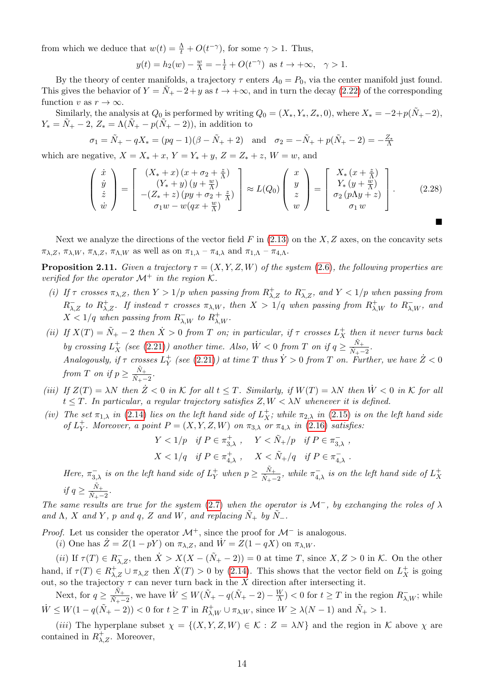from which we deduce that  $w(t) = \frac{\Lambda}{t} + O(t^{-\gamma})$ , for some  $\gamma > 1$ . Thus,

<span id="page-13-1"></span>
$$
y(t) = h_2(w) - \frac{w}{\Lambda} = -\frac{1}{t} + O(t^{-\gamma})
$$
 as  $t \to +\infty$ ,  $\gamma > 1$ .

By the theory of center manifolds, a trajectory  $\tau$  enters  $A_0 = P_0$ , via the center manifold just found. This gives the behavior of  $Y = N_+ - 2 + y$  as  $t \to +\infty$ , and in turn the decay [\(2.22\)](#page-10-0) of the corresponding function v as  $r \to \infty$ .

Similarly, the analysis at  $Q_0$  is performed by writing  $Q_0 = (X_*, Y_*, Z_*, 0)$ , where  $X_* = -2+p(\tilde{N}_+ - 2)$ ,  $Y_* = N_+ - 2$ ,  $Z_* = \Lambda(N_+ - p(N_+ - 2))$ , in addition to

$$
\sigma_1 = \tilde{N}_+ - qX_* = (pq - 1)(\beta - \tilde{N}_+ + 2)
$$
 and  $\sigma_2 = -\tilde{N}_+ + p(\tilde{N}_+ - 2) = -\frac{Z_*}{\Lambda}$ 

which are negative,  $X = X_* + x$ ,  $Y = Y_* + y$ ,  $Z = Z_* + z$ ,  $W = w$ , and

$$
\begin{pmatrix}\n\dot{x} \\
\dot{y} \\
\dot{z} \\
\dot{w}\n\end{pmatrix} = \begin{bmatrix}\n(X_* + x)(x + \sigma_2 + \frac{z}{\Lambda}) \\
(Y_* + y)(y + \frac{w}{\Lambda}) \\
-(Z_* + z)(py + \sigma_2 + \frac{z}{\Lambda})\n\end{bmatrix} \approx L(Q_0) \begin{pmatrix}\nx \\
y \\
z \\
w\n\end{pmatrix} = \begin{bmatrix}\nX_* (x + \frac{z}{\Lambda}) \\
Y_* (y + \frac{w}{\Lambda}) \\
\sigma_2 (p\Lambda y + z) \\
\sigma_1 w\n\end{bmatrix}.
$$
\n(2.28)

Next we analyze the directions of the vector field  $F$  in  $(2.13)$  on the  $X, Z$  axes, on the concavity sets  $\pi_{\lambda,Z}, \pi_{\lambda,W}, \pi_{\Lambda,Z}, \pi_{\Lambda,W}$  as well as on  $\pi_{1,\lambda} - \pi_{4,\lambda}$  and  $\pi_{1,\Lambda} - \pi_{4,\Lambda}$ .

<span id="page-13-0"></span>**Proposition 2.11.** Given a trajectory  $\tau = (X, Y, Z, W)$  of the system [\(2.6\)](#page-6-4), the following properties are verified for the operator  $\mathcal{M}^+$  in the region  $\mathcal{K}$ .

- (i) If  $\tau$  crosses  $\pi_{\lambda,Z}$ , then  $Y > 1/p$  when passing from  $R^+_{\lambda,Z}$  to  $R^-_{\lambda,Z}$ , and  $Y < 1/p$  when passing from  $R^{-}_{\lambda,Z}$  to  $R^{+}_{\lambda,Z}$ . If instead  $\tau$  crosses  $\pi_{\lambda,W}$ , then  $X > 1/q$  when passing from  $R^{+}_{\lambda,W}$  to  $R^{-}_{\lambda,W}$ , and  $X < 1/q$  when passing from  $R^{-}_{\lambda,W}$  to  $R^{+}_{\lambda,W}$ .
- (ii) If  $X(T) = \tilde{N}_+ 2$  then  $\dot{X} > 0$  from T on; in particular, if  $\tau$  crosses  $L_X^+$  then it never turns back by crossing  $L_X^+$  (see [\(2.21\)](#page-9-3)) another time. Also,  $\dot{W} < 0$  from T on if  $q \geq \frac{\tilde{N}_+}{\tilde{N}_+ - 1}$  $\frac{N_+}{\tilde{N}_+-2}$ . Analogously, if  $\tau$  crosses  $L_Y^+$  $_Y^+$  (see [\(2.21\)](#page-9-3)) at time T thus  $\dot{Y} > 0$  from T on. Further, we have  $\dot{Z} < 0$ from T on if  $p \geq \frac{\tilde{N}_{+}}{\tilde{N}_{+}}$  $\frac{N_+}{N_+-2}$ .
- (iii) If  $Z(T) = \lambda N$  then  $\dot{Z} < 0$  in K for all  $t \leq T$ . Similarly, if  $W(T) = \lambda N$  then  $\dot{W} < 0$  in K for all  $t \leq T$ . In particular, a regular trajectory satisfies  $Z, W < \lambda N$  whenever it is defined.
- (iv) The set  $\pi_{1,\lambda}$  in [\(2.14\)](#page-8-3) lies on the left hand side of  $L_X^+$ ; while  $\pi_{2,\lambda}$  in [\(2.15\)](#page-8-5) is on the left hand side of  $L_Y^+$  $_Y^+$ . Moreover, a point  $P = (X, Y, Z, W)$  on  $\pi_{3,\lambda}$  or  $\pi_{4,\lambda}$  in  $(2.16)$  satisfies:

$$
Y < 1/p \quad \text{if } P \in \pi_{3,\lambda}^+, \quad Y < \tilde{N}_+/p \quad \text{if } P \in \pi_{3,\lambda}^-,
$$
\n
$$
X < 1/q \quad \text{if } P \in \pi_{4,\lambda}^+, \quad X < \tilde{N}_+/q \quad \text{if } P \in \pi_{4,\lambda}^-.
$$

Here,  $\pi_{3,\lambda}^-$  is on the left hand side of  $L_Y^+$  when  $p \geq \frac{\tilde{N}_+}{\tilde{N}_+ -}$  $\frac{N_+}{\tilde{N}_+-2}$ , while  $\pi^-_{4,\lambda}$  is on the left hand side of  $L^+_X$ X if  $q \geq \frac{\tilde{N}_+}{\tilde{N}_-}$  $\frac{N_+}{\tilde{N}_+-2}$ .

The same results are true for the system [\(2.7\)](#page-6-5) when the operator is  $\mathcal{M}^-$ , by exchanging the roles of  $\lambda$ and  $\Lambda$ , X and Y, p and q, Z and W, and replacing  $N_+$  by  $N_-$ .

*Proof.* Let us consider the operator  $\mathcal{M}^+$ , since the proof for  $\mathcal{M}^-$  is analogous.

(i) One has  $\dot{Z} = Z(1 - pY)$  on  $\pi_{\lambda,Z}$ , and  $\dot{W} = Z(1 - qX)$  on  $\pi_{\lambda,W}$ .

(*ii*) If  $\tau(T) \in R_{\lambda,Z}^-$ , then  $\dot{X} > X(X - (\tilde{N}_+ - 2)) = 0$  at time T, since  $X, Z > 0$  in K. On the other hand, if  $\tau(T) \in R^+_{\lambda,Z} \cup \pi_{\lambda,Z}$  then  $\dot{X}(T) > 0$  by [\(2.14\)](#page-8-3). This shows that the vector field on  $L^+_X$  is going out, so the trajectory  $\tau$  can never turn back in the X direction after intersecting it.

Next, for  $q \geq \frac{\tilde{N}_+}{\tilde{N}_+}$  $\frac{N_+}{\tilde{N}_+-2}$ , we have  $\dot{W} \leq W(\tilde{N}_+-q(\tilde{N}_+-2)-\frac{W}{\Lambda})$  $\frac{W}{\Lambda}$ ) < 0 for  $t \geq T$  in the region  $R^{-}_{\lambda,W}$ ; while  $\dot{W} \leq W(1 - q(\tilde{N}_+ - 2)) < 0$  for  $t \geq T$  in  $R^+_{\lambda,W} \cup \pi_{\lambda,W}$ , since  $W \geq \lambda(N - 1)$  and  $\tilde{N}_+ > 1$ .

(iii) The hyperplane subset  $\chi = \{(X, Y, Z, W) \in \mathcal{K} : Z = \lambda N\}$  and the region in  $\mathcal K$  above  $\chi$  are contained in  $R^+_{\lambda,Z}$ . Moreover,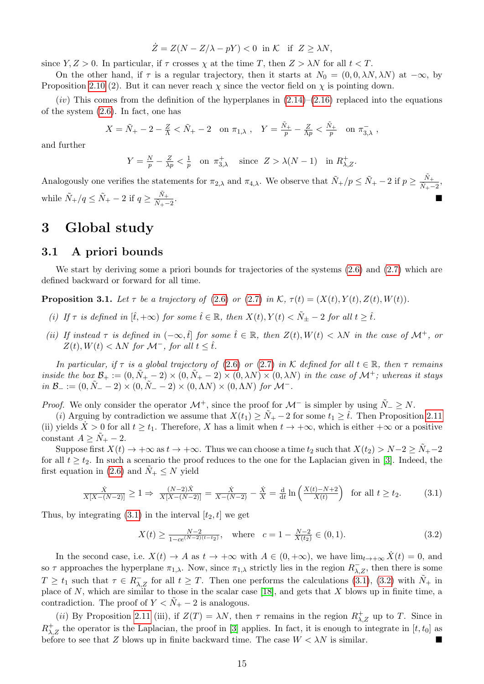$$
\dot{Z} = Z(N - Z/\lambda - pY) < 0 \text{ in } \mathcal{K} \text{ if } Z \ge \lambda N,
$$

since  $Y, Z > 0$ . In particular, if  $\tau$  crosses  $\chi$  at the time T, then  $Z > \lambda N$  for all  $t < T$ .

On the other hand, if  $\tau$  is a regular trajectory, then it starts at  $N_0 = (0, 0, \lambda N, \lambda N)$  at  $-\infty$ , by Proposition [2.10](#page-9-4) (2). But it can never reach  $\chi$  since the vector field on  $\chi$  is pointing down.

 $(iv)$  This comes from the definition of the hyperplanes in  $(2.14)$ – $(2.16)$  replaced into the equations of the system [\(2.6\)](#page-6-4). In fact, one has

$$
X = \tilde{N}_{+} - 2 - \frac{Z}{\Lambda} < \tilde{N}_{+} - 2 \quad \text{on } \pi_{1,\lambda} \;, \quad Y = \frac{\tilde{N}_{+}}{p} - \frac{Z}{\Lambda p} < \frac{\tilde{N}_{+}}{p} \quad \text{on } \pi_{3,\lambda} \;,
$$

and further

$$
Y = \frac{N}{p} - \frac{Z}{\lambda p} < \frac{1}{p} \quad \text{on } \pi_{3,\lambda}^+ \quad \text{since } Z > \lambda(N-1) \quad \text{in } R_{\lambda,Z}^+.
$$

Analogously one verifies the statements for  $\pi_{2,\lambda}$  and  $\pi_{4,\lambda}$ . We observe that  $\tilde{N}_+/p \leq \tilde{N}_+ - 2$  if  $p \geq \frac{\tilde{N}_+}{\tilde{N}_+ - 2}$  $\frac{N_+}{\tilde{N}_+-2},$ while  $\tilde{N}_+/q \leq \tilde{N}_+ - 2$  if  $q \geq \frac{\tilde{N}_+}{\tilde{N}_+}$  $\frac{\tilde{N}_{+}-2}{\tilde{N}_{+}-2}$ .

## <span id="page-14-0"></span>3 Global study

#### 3.1 A priori bounds

We start by deriving some a priori bounds for trajectories of the systems [\(2.6\)](#page-6-4) and [\(2.7\)](#page-6-5) which are defined backward or forward for all time.

<span id="page-14-3"></span>**Proposition 3.1.** Let  $\tau$  be a trajectory of [\(2.6\)](#page-6-4) or [\(2.7\)](#page-6-5) in K,  $\tau(t) = (X(t), Y(t), Z(t), W(t))$ .

- (i) If  $\tau$  is defined in  $[\hat{t}, +\infty)$  for some  $\hat{t} \in \mathbb{R}$ , then  $X(t), Y(t) < \tilde{N}_{\pm} 2$  for all  $t \geq \hat{t}$ .
- (ii) If instead  $\tau$  is defined in  $(-\infty, \hat{t}]$  for some  $\hat{t} \in \mathbb{R}$ , then  $Z(t), W(t) < \lambda N$  in the case of  $\mathcal{M}^+$ , or  $Z(t)$ ,  $W(t) < \Lambda N$  for  $\mathcal{M}^-$ , for all  $t < \hat{t}$ .

In particular, if  $\tau$  is a global trajectory of [\(2.6\)](#page-6-4) or [\(2.7\)](#page-6-5) in K defined for all  $t \in \mathbb{R}$ , then  $\tau$  remains inside the box  $\mathcal{B}_+ := (0, \tilde{N}_+ - 2) \times (0, \tilde{N}_+ - 2) \times (0, \lambda N) \times (0, \lambda N)$  in the case of  $\mathcal{M}^+$ ; whereas it stays  $in \mathcal{B}_- := (0, \tilde{N}_- - 2) \times (0, \tilde{N}_- - 2) \times (0, \Lambda N) \times (0, \Lambda N)$  for  $\mathcal{M}^-$ .

*Proof.* We only consider the operator  $\mathcal{M}^+$ , since the proof for  $\mathcal{M}^-$  is simpler by using  $\tilde{N}_-\geq N$ .

(i) Arguing by contradiction we assume that  $X(t_1) \geq \tilde{N}_+ - 2$  for some  $t_1 \geq \hat{t}$ . Then Proposition [2.11](#page-13-0) (ii) yields  $\overline{X} > 0$  for all  $t \geq t_1$ . Therefore, X has a limit when  $t \to +\infty$ , which is either  $+\infty$  or a positive constant  $A \geq N_{+} - 2$ .

Suppose first  $X(t) \to +\infty$  as  $t \to +\infty$ . Thus we can choose a time  $t_2$  such that  $X(t_2) > N-2 \geq \tilde{N}_+ -2$ for all  $t \geq t_2$ . In such a scenario the proof reduces to the one for the Laplacian given in [\[3\]](#page-28-0). Indeed, the first equation in [\(2.6\)](#page-6-4) and  $\tilde{N}_+ \leq N$  yield

$$
\frac{\dot{X}}{X[X-(N-2)]} \ge 1 \Rightarrow \frac{(N-2)\dot{X}}{X[X-(N-2)]} = \frac{\dot{X}}{X-(N-2)} - \frac{\dot{X}}{X} = \frac{d}{dt} \ln\left(\frac{X(t)-N+2}{X(t)}\right) \text{ for all } t \ge t_2.
$$
 (3.1)

Thus, by integrating  $(3.1)$  in the interval  $[t_2, t]$  we get

<span id="page-14-2"></span><span id="page-14-1"></span>
$$
X(t) \ge \frac{N-2}{1 - ce^{(N-2)(t-t_2)}}, \quad \text{where} \quad c = 1 - \frac{N-2}{X(t_2)} \in (0, 1). \tag{3.2}
$$

In the second case, i.e.  $X(t) \to A$  as  $t \to +\infty$  with  $A \in (0, +\infty)$ , we have  $\lim_{t \to +\infty} \dot{X}(t) = 0$ , and so  $\tau$  approaches the hyperplane  $\pi_{1,\lambda}$ . Now, since  $\pi_{1,\lambda}$  strictly lies in the region  $R_{\lambda,Z}^-$ , then there is some  $T \geq t_1$  such that  $\tau \in R_{\lambda,Z}^-$  for all  $t \geq T$ . Then one performs the calculations [\(3.1\)](#page-14-1), [\(3.2\)](#page-14-2) with  $\tilde{N}_+$  in place of N, which are similar to those in the scalar case [\[18\]](#page-29-10), and gets that X blows up in finite time, a contradiction. The proof of  $Y < N<sub>+</sub> - 2$  is analogous.

(*ii*) By Proposition [2.11](#page-13-0) (iii), if  $Z(T) = \lambda N$ , then  $\tau$  remains in the region  $R_{\lambda,Z}^+$  up to T. Since in  $R_{\lambda,Z}^+$  the operator is the Laplacian, the proof in [\[3\]](#page-28-0) applies. In fact, it is enough to integrate in  $[t, t_0]$  as before to see that Z blows up in finite backward time. The case  $W < \lambda N$  is similar.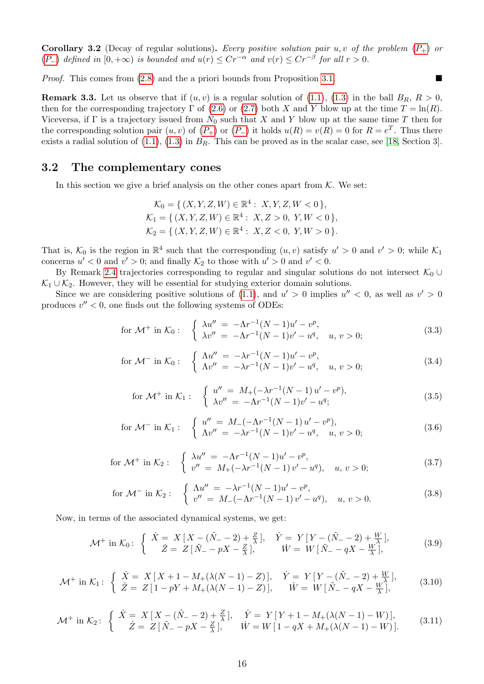<span id="page-15-0"></span>**Corollary 3.2** (Decay of regular solutions). Every positive solution pair u, v of the problem  $(P_+)$  $(P_+)$  $(P_+)$  or  $(P_{-})$  $(P_{-})$  $(P_{-})$  defined in  $[0, +\infty)$  is bounded and  $u(r) \leq Cr^{-\alpha}$  and  $v(r) \leq Cr^{-\beta}$  for all  $r > 0$ .

*Proof.* This comes from  $(2.8)$  and the a priori bounds from Proposition [3.1.](#page-14-3)

<span id="page-15-1"></span>**Remark 3.3.** Let us observe that if  $(u, v)$  is a regular solution of [\(1.1\)](#page-0-0), [\(1.3\)](#page-1-0) in the ball  $B_R$ ,  $R > 0$ , then for the corresponding trajectory  $\Gamma$  of [\(2.6\)](#page-6-4) or [\(2.7\)](#page-6-5) both X and Y blow up at the time  $T = \ln(R)$ . Viceversa, if  $\Gamma$  is a trajectory issued from  $N_0$  such that X and Y blow up at the same time T then for the corresponding solution pair  $(u, v)$  of  $(P_+)$  $(P_+)$  $(P_+)$  or  $(P_-)$  it holds  $u(R) = v(R) = 0$  for  $R = e^T$ . Thus there exists a radial solution of  $(1.1)$ ,  $(1.3)$  in  $B_R$ . This can be proved as in the scalar case, see [\[18,](#page-29-10) Section 3].

#### 3.2 The complementary cones

In this section we give a brief analysis on the other cones apart from  $K$ . We set:

$$
\mathcal{K}_0 = \{ (X, Y, Z, W) \in \mathbb{R}^4 : X, Y, Z, W < 0 \},
$$
\n
$$
\mathcal{K}_1 = \{ (X, Y, Z, W) \in \mathbb{R}^4 : X, Z > 0, Y, W < 0 \},
$$
\n
$$
\mathcal{K}_2 = \{ (X, Y, Z, W) \in \mathbb{R}^4 : X, Z < 0, Y, W > 0 \}.
$$

That is,  $\mathcal{K}_0$  is the region in  $\mathbb{R}^4$  such that the corresponding  $(u, v)$  satisfy  $u' > 0$  and  $v' > 0$ ; while  $\mathcal{K}_1$ concerns  $u' < 0$  and  $v' > 0$ ; and finally  $\mathcal{K}_2$  to those with  $u' > 0$  and  $v' < 0$ .

By Remark [2.4](#page-6-6) trajectories corresponding to regular and singular solutions do not intersect  $\mathcal{K}_0$  ∪  $\mathcal{K}_1 \cup \mathcal{K}_2$ . However, they will be essential for studying exterior domain solutions.

Since we are considering positive solutions of [\(1.1\)](#page-0-0), and  $u' > 0$  implies  $u'' < 0$ , as well as  $v' > 0$ produces  $v'' < 0$ , one finds out the following systems of ODEs:

for 
$$
\mathcal{M}^+
$$
 in  $\mathcal{K}_0$ : 
$$
\begin{cases} \lambda u'' = -\Lambda r^{-1} (N-1) u' - v^p, \\ \lambda v'' = -\Lambda r^{-1} (N-1) v' - u^q, u, v > 0; \end{cases}
$$
 (3.3)

for 
$$
\mathcal{M}^-
$$
 in  $\mathcal{K}_0$ : 
$$
\begin{cases} \Lambda u'' = -\lambda r^{-1} (N-1) u' - v^p, \\ \Lambda v'' = -\lambda r^{-1} (N-1) v' - u^q, u, v > 0; \end{cases}
$$
 (3.4)

for 
$$
\mathcal{M}^+
$$
 in  $\mathcal{K}_1$ : 
$$
\begin{cases} u'' = M_+(-\lambda r^{-1}(N-1)u' - v^p), \\ \lambda v'' = -\Lambda r^{-1}(N-1)v' - u^q; \end{cases}
$$
 (3.5)

for 
$$
\mathcal{M}^-
$$
 in  $\mathcal{K}_1$ : 
$$
\begin{cases} u'' = M_-(-\Lambda r^{-1}(N-1)u' - v^p), \\ \Lambda v'' = -\lambda r^{-1}(N-1)v' - u^q, u, v > 0; \end{cases}
$$
 (3.6)

for 
$$
\mathcal{M}^+
$$
 in  $\mathcal{K}_2$ : 
$$
\begin{cases} \lambda u'' = -\Lambda r^{-1}(N-1)u' - v^p, \\ v'' = M_+(-\lambda r^{-1}(N-1)v' - u^q), & u, v > 0; \end{cases}
$$
 (3.7)

for 
$$
\mathcal{M}^-
$$
 in  $\mathcal{K}_2$ : 
$$
\begin{cases} \Lambda u'' = -\lambda r^{-1} (N-1) u' - v^p, \\ v'' = M_-(-\Lambda r^{-1} (N-1) v' - u^q), & u, v > 0. \end{cases}
$$
 (3.8)

Now, in terms of the associated dynamical systems, we get:

$$
\mathcal{M}^+ \text{ in } \mathcal{K}_0: \begin{cases} \n\dot{X} = X \left[ X - (\tilde{N}_- - 2) + \frac{Z}{\lambda} \right], & \dot{Y} = Y \left[ Y - (\tilde{N}_- - 2) + \frac{W}{\lambda} \right], \\
\dot{Z} = Z \left[ \tilde{N}_- - pX - \frac{Z}{\lambda} \right], & \dot{W} = W \left[ \tilde{N}_- - qX - \frac{W}{\lambda} \right],\n\end{cases} \tag{3.9}
$$

$$
\mathcal{M}^+ \text{ in } \mathcal{K}_1: \begin{cases} \dot{X} = X \left[ X + 1 - M_+(\lambda(N-1) - Z) \right], & \dot{Y} = Y \left[ Y - (\tilde{N}_- - 2) + \frac{W}{\lambda} \right], \\ \dot{Z} = Z \left[ 1 - pY + M_+(\lambda(N-1) - Z) \right], & \dot{W} = W \left[ \tilde{N}_- - qX - \frac{W}{\lambda} \right], \end{cases} \tag{3.10}
$$

$$
\mathcal{M}^+ \text{ in } \mathcal{K}_2: \ \left\{ \begin{array}{c} \dot{X} = X \left[ X - (\tilde{N}_- - 2) + \frac{Z}{\lambda} \right], & \dot{Y} = Y \left[ Y + 1 - M_+ (\lambda (N - 1) - W) \right], \\ \dot{Z} = Z \left[ \tilde{N}_- - pX - \frac{Z}{\lambda} \right], & \dot{W} = W \left[ 1 - qX + M_+ (\lambda (N - 1) - W) \right]. \end{array} \right. \tag{3.11}
$$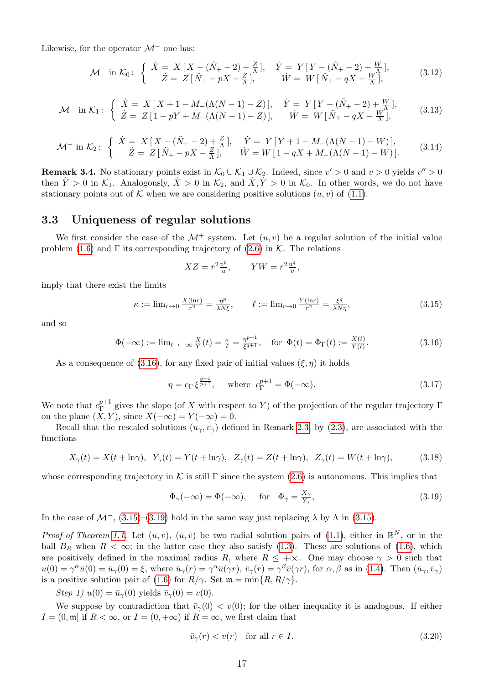Likewise, for the operator  $\mathcal{M}^-$  one has:

$$
\mathcal{M}^- \text{ in } \mathcal{K}_0: \ \left\{ \begin{array}{c} \dot{X} = X \left[ X - (\tilde{N}_+ - 2) + \frac{Z}{\Lambda} \right], & \dot{Y} = Y \left[ Y - (\tilde{N}_+ - 2) + \frac{W}{\Lambda} \right], \\ \dot{Z} = Z \left[ \tilde{N}_+ - pX - \frac{Z}{\Lambda} \right], & \dot{W} = W \left[ \tilde{N}_+ - qX - \frac{W}{\Lambda} \right], \end{array} \right. \tag{3.12}
$$

$$
\mathcal{M}^- \text{ in } \mathcal{K}_1: \begin{cases} \n\dot{X} = X \left[ X + 1 - M_-(\Lambda(N-1) - Z) \right], & \dot{Y} = Y \left[ Y - (\tilde{N}_+ - 2) + \frac{W}{\Lambda} \right], \\
\dot{Z} = Z \left[ 1 - pY + M_-(\Lambda(N-1) - Z) \right], & \dot{W} = W \left[ \tilde{N}_+ - qX - \frac{W}{\Lambda} \right],\n\end{cases} \tag{3.13}
$$

$$
\mathcal{M}^- \text{ in } \mathcal{K}_2: \begin{cases} \n\dot{X} = X \left[ X - (\tilde{N}_+ - 2) + \frac{Z}{\Lambda} \right], & \dot{Y} = Y \left[ Y + 1 - M_-(\Lambda(N - 1) - W) \right], \\
\dot{Z} = Z \left[ \tilde{N}_+ - pX - \frac{Z}{\Lambda} \right], & \dot{W} = W \left[ 1 - qX + M_-(\Lambda(N - 1) - W) \right].\n\end{cases} \tag{3.14}
$$

**Remark 3.4.** No stationary points exist in  $\mathcal{K}_0 \cup \mathcal{K}_1 \cup \mathcal{K}_2$ . Indeed, since  $v' > 0$  and  $v > 0$  yields  $v'' > 0$ then  $\dot{Y} > 0$  in  $\mathcal{K}_1$ . Analogously,  $\dot{X} > 0$  in  $\mathcal{K}_2$ , and  $\dot{X}, \dot{Y} > 0$  in  $\mathcal{K}_0$ . In other words, we do not have stationary points out of K when we are considering positive solutions  $(u, v)$  of  $(1.1)$ .

#### 3.3 Uniqueness of regular solutions

We first consider the case of the  $\mathcal{M}^+$  system. Let  $(u, v)$  be a regular solution of the initial value problem [\(1.6\)](#page-1-2) and  $\Gamma$  its corresponding trajectory of [\(2.6\)](#page-6-4) in K. The relations

<span id="page-16-1"></span><span id="page-16-0"></span>
$$
XZ = r^2 \frac{v^p}{u}, \qquad YW = r^2 \frac{u^q}{v},
$$

imply that there exist the limits

$$
\kappa := \lim_{r \to 0} \frac{X(\ln r)}{r^2} = \frac{\eta^p}{\lambda N \xi}, \qquad \ell := \lim_{r \to 0} \frac{Y(\ln r)}{r^2} = \frac{\xi^q}{\lambda N \eta}, \tag{3.15}
$$

and so

$$
\Phi(-\infty) := \lim_{t \to -\infty} \frac{X}{Y}(t) = \frac{\kappa}{\ell} = \frac{\eta^{p+1}}{\xi^{q+1}}, \quad \text{for } \Phi(t) = \Phi_{\Gamma}(t) := \frac{X(t)}{Y(t)}.
$$
\n(3.16)

As a consequence of [\(3.16\)](#page-16-0), for any fixed pair of initial values  $(\xi, \eta)$  it holds

$$
\eta = c_{\Gamma} \xi^{\frac{q+1}{p+1}}, \quad \text{where } c_{\Gamma}^{p+1} = \Phi(-\infty).
$$
\n(3.17)

We note that  $c_{\Gamma}^{p+1}$  $\Gamma_{\Gamma}^{p+1}$  gives the slope (of X with respect to Y) of the projection of the regular trajectory  $\Gamma$ on the plane  $(X, Y)$ , since  $X(-\infty) = Y(-\infty) = 0$ .

Recall that the rescaled solutions  $(u_{\gamma}, v_{\gamma})$  defined in Remark [2.3,](#page-6-0) by [\(2.3\)](#page-6-1), are associated with the functions

$$
X_{\gamma}(t) = X(t + \ln \gamma), \quad Y_{\gamma}(t) = Y(t + \ln \gamma), \quad Z_{\gamma}(t) = Z(t + \ln \gamma), \quad Z_{\gamma}(t) = W(t + \ln \gamma), \tag{3.18}
$$

whose corresponding trajectory in K is still  $\Gamma$  since the system [\(2.6\)](#page-6-4) is autonomous. This implies that

<span id="page-16-4"></span><span id="page-16-2"></span>
$$
\Phi_{\gamma}(-\infty) = \Phi(-\infty), \quad \text{for} \quad \Phi_{\gamma} = \frac{X_{\gamma}}{Y_{\gamma}}, \tag{3.19}
$$

In the case of  $\mathcal{M}^-$ , [\(3.15\)](#page-16-1)–[\(3.19\)](#page-16-2) hold in the same way just replacing  $\lambda$  by  $\Lambda$  in (3.15).

*Proof of Theorem [1.1.](#page-1-3)* Let  $(u, v)$ ,  $(\bar{u}, \bar{v})$  be two radial solution pairs of [\(1.1\)](#page-0-0), either in  $\mathbb{R}^N$ , or in the ball  $B_R$  when  $R < \infty$ ; in the latter case they also satisfy [\(1.3\)](#page-1-0). These are solutions of [\(1.6\)](#page-1-2), which are positively defined in the maximal radius R, where  $R \leq +\infty$ . One may choose  $\gamma > 0$  such that  $u(0) = \gamma^{\alpha} \bar{u}(0) = \bar{u}_{\gamma}(0) = \xi$ , where  $\bar{u}_{\gamma}(r) = \gamma^{\alpha} \bar{u}(\gamma r)$ ,  $\bar{v}_{\gamma}(r) = \gamma^{\beta} \bar{v}(\gamma r)$ , for  $\alpha, \beta$  as in [\(1.4\)](#page-1-5). Then  $(\bar{u}_{\gamma}, \bar{v}_{\gamma})$ is a positive solution pair of [\(1.6\)](#page-1-2) for  $R/\gamma$ . Set  $\mathfrak{m} = \min\{R, R/\gamma\}.$ 

Step 1)  $u(0) = \bar{u}_{\gamma}(0)$  yields  $\bar{v}_{\gamma}(0) = v(0)$ .

We suppose by contradiction that  $\bar{v}_{\gamma}(0) < v(0)$ ; for the other inequality it is analogous. If either  $I = (0, \mathfrak{m})$  if  $R < \infty$ , or  $I = (0, +\infty)$  if  $R = \infty$ , we first claim that

<span id="page-16-3"></span>
$$
\bar{v}_{\gamma}(r) < v(r) \quad \text{for all } r \in I. \tag{3.20}
$$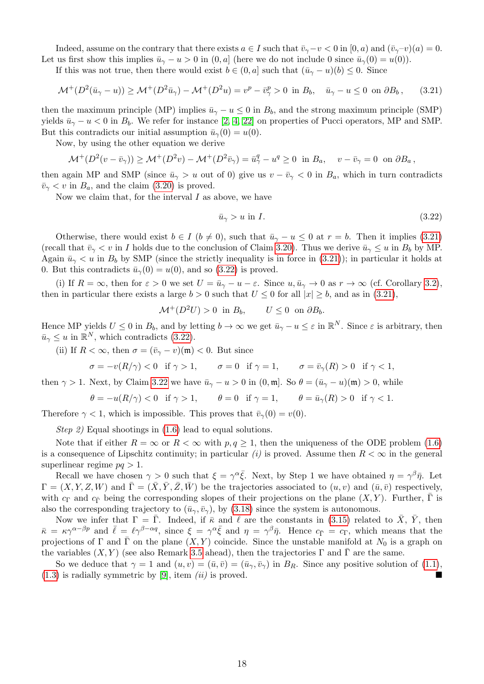Indeed, assume on the contrary that there exists  $a \in I$  such that  $\bar{v}_{\gamma}-v < 0$  in  $[0, a)$  and  $(\bar{v}_{\gamma}-v)(a) = 0$ . Let us first show this implies  $\bar{u}_{\gamma} - u > 0$  in  $(0, a]$  (here we do not include 0 since  $\bar{u}_{\gamma}(0) = u(0)$ ).

If this was not true, then there would exist  $b \in (0, a]$  such that  $(\bar{u}_{\gamma} - u)(b) \leq 0$ . Since

$$
\mathcal{M}^+(D^2(\bar{u}_\gamma - u)) \ge \mathcal{M}^+(D^2\bar{u}_\gamma) - \mathcal{M}^+(D^2u) = v^p - \bar{v}^p_\gamma > 0 \text{ in } B_b, \quad \bar{u}_\gamma - u \le 0 \text{ on } \partial B_b,
$$
 (3.21)

then the maximum principle (MP) implies  $\bar{u}_{\gamma}-u \leq 0$  in  $B_b$ , and the strong maximum principle (SMP) yields  $\bar{u}_{\gamma} - u < 0$  in  $B_b$ . We refer for instance [\[2,](#page-28-2) [4,](#page-29-18) [22\]](#page-29-19) on properties of Pucci operators, MP and SMP. But this contradicts our initial assumption  $\bar{u}_{\gamma}(0) = u(0)$ .

Now, by using the other equation we derive

$$
\mathcal{M}^+(D^2(v-\bar{v}_\gamma)) \ge \mathcal{M}^+(D^2v) - \mathcal{M}^+(D^2\bar{v}_\gamma) = \bar{u}^q_\gamma - u^q \ge 0 \text{ in } B_a, \quad v - \bar{v}_\gamma = 0 \text{ on } \partial B_a,
$$

then again MP and SMP (since  $\bar{u}_{\gamma} > u$  out of 0) give us  $v - \bar{v}_{\gamma} < 0$  in  $B_a$ , which in turn contradicts  $\bar{v}_{\gamma} < v$  in  $B_a$ , and the claim [\(3.20\)](#page-16-3) is proved.

Now we claim that, for the interval  $I$  as above, we have

<span id="page-17-1"></span><span id="page-17-0"></span>
$$
\bar{u}_{\gamma} > u \text{ in } I. \tag{3.22}
$$

Otherwise, there would exist  $b \in I$  ( $b \neq 0$ ), such that  $\bar{u}_{\gamma} - u \leq 0$  at  $r = b$ . Then it implies [\(3.21\)](#page-17-0) (recall that  $\bar{v}_{\gamma} < v$  in I holds due to the conclusion of Claim [3.20\)](#page-16-3). Thus we derive  $\bar{u}_{\gamma} \leq u$  in  $B_b$  by MP. Again  $\bar{u}_{\gamma} < u$  in  $B_b$  by SMP (since the strictly inequality is in force in [\(3.21\)](#page-17-0)); in particular it holds at 0. But this contradicts  $\bar{u}_{\gamma}(0) = u(0)$ , and so [\(3.22\)](#page-17-1) is proved.

(i) If  $R = \infty$ , then for  $\varepsilon > 0$  we set  $U = \bar{u}_{\gamma} - u - \varepsilon$ . Since  $u, \bar{u}_{\gamma} \to 0$  as  $r \to \infty$  (cf. Corollary [3.2\)](#page-15-0), then in particular there exists a large  $b > 0$  such that  $U \le 0$  for all  $|x| \ge b$ , and as in [\(3.21\)](#page-17-0),

$$
\mathcal{M}^+(D^2U) > 0 \text{ in } B_b, \qquad U \le 0 \text{ on } \partial B_b.
$$

Hence MP yields  $U \leq 0$  in  $B_b$ , and by letting  $b \to \infty$  we get  $\bar{u}_{\gamma} - u \leq \varepsilon$  in  $\mathbb{R}^N$ . Since  $\varepsilon$  is arbitrary, then  $\bar{u}_{\gamma} \leq u$  in  $\mathbb{R}^N$ , which contradicts [\(3.22\)](#page-17-1).

(ii) If  $R < \infty$ , then  $\sigma = (\bar{v}_{\gamma} - v)(\mathfrak{m}) < 0$ . But since

$$
\sigma = -v(R/\gamma) < 0 \quad \text{if } \gamma > 1, \qquad \sigma = 0 \quad \text{if } \gamma = 1, \qquad \sigma = \bar{v}_\gamma(R) > 0 \quad \text{if } \gamma < 1,
$$

then  $\gamma > 1$ . Next, by Claim [3.22](#page-17-1) we have  $\bar{u}_{\gamma} - u > 0$  in  $(0, \mathfrak{m})$ . So  $\theta = (\bar{u}_{\gamma} - u)(\mathfrak{m}) > 0$ , while

$$
\theta = -u(R/\gamma) < 0 \quad \text{if } \gamma > 1, \qquad \theta = 0 \quad \text{if } \gamma = 1, \qquad \theta = \bar{u}_{\gamma}(R) > 0 \quad \text{if } \gamma < 1.
$$

Therefore  $\gamma < 1$ , which is impossible. This proves that  $\bar{v}_{\gamma}(0) = v(0)$ .

Step 2) Equal shootings in  $(1.6)$  lead to equal solutions.

Note that if either  $R = \infty$  or  $R < \infty$  with  $p, q \ge 1$ , then the uniqueness of the ODE problem [\(1.6\)](#page-1-2) is a consequence of Lipschitz continuity; in particular (i) is proved. Assume then  $R < \infty$  in the general superlinear regime  $pq > 1$ .

Recall we have chosen  $\gamma > 0$  such that  $\xi = \gamma^{\alpha} \bar{\xi}$ . Next, by Step 1 we have obtained  $\eta = \gamma^{\beta} \bar{\eta}$ . Let  $\Gamma = (X, Y, Z, W)$  and  $\overline{\Gamma} = (\overline{X}, \overline{Y}, \overline{Z}, \overline{W})$  be the trajectories associated to  $(u, v)$  and  $(\overline{u}, \overline{v})$  respectively, with  $c_{\Gamma}$  and  $c_{\bar{\Gamma}}$  being the corresponding slopes of their projections on the plane  $(X, Y)$ . Further,  $\bar{\Gamma}$  is also the corresponding trajectory to  $(\bar{u}_{\gamma}, \bar{v}_{\gamma})$ , by [\(3.18\)](#page-16-4) since the system is autonomous.

Now we infer that  $\Gamma = \overline{\Gamma}$ . Indeed, if  $\overline{\kappa}$  and  $\overline{\ell}$  are the constants in [\(3.15\)](#page-16-1) related to  $\overline{X}$ ,  $\overline{Y}$ , then  $\bar{\kappa} = \kappa \gamma^{\alpha-\beta p}$  and  $\bar{\ell} = \ell \gamma^{\beta-\alpha q}$ , since  $\xi = \gamma^{\alpha} \bar{\xi}$  and  $\eta = \gamma^{\beta} \bar{\eta}$ . Hence  $c_{\bar{\Gamma}} = c_{\Gamma}$ , which means that the projections of  $\Gamma$  and  $\overline{\Gamma}$  on the plane  $(X, Y)$  coincide. Since the unstable manifold at  $N_0$  is a graph on the variables  $(X, Y)$  (see also Remark [3.5](#page-18-0) ahead), then the trajectories Γ and Γ are the same.

So we deduce that  $\gamma = 1$  and  $(u, v) = (\bar{u}, \bar{v}) = (\bar{u}_{\gamma}, \bar{v}_{\gamma})$  in  $B_R$ . Since any positive solution of [\(1.1\)](#page-0-0),  $(1.3)$  is radially symmetric by [\[9\]](#page-29-0), item *(ii)* is proved.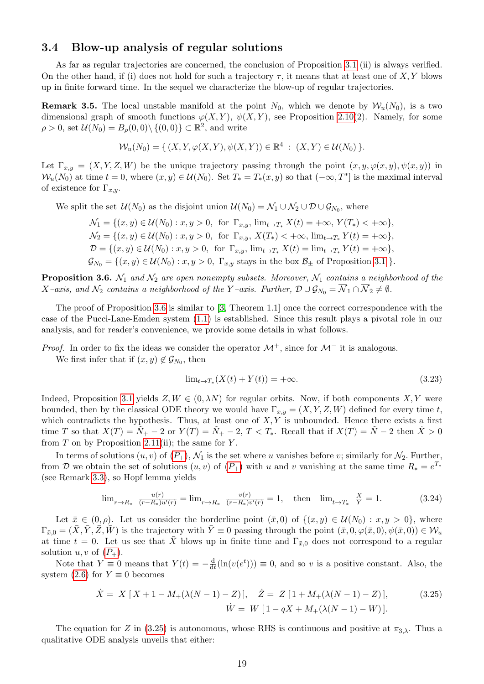#### 3.4 Blow-up analysis of regular solutions

As far as regular trajectories are concerned, the conclusion of Proposition [3.1](#page-14-3) (ii) is always verified. On the other hand, if (i) does not hold for such a trajectory  $\tau$ , it means that at least one of X, Y blows up in finite forward time. In the sequel we characterize the blow-up of regular trajectories.

<span id="page-18-0"></span>**Remark 3.5.** The local unstable manifold at the point  $N_0$ , which we denote by  $W_u(N_0)$ , is a two dimensional graph of smooth functions  $\varphi(X, Y)$ ,  $\psi(X, Y)$ , see Proposition [2.10\(](#page-9-4)2). Namely, for some  $\rho > 0$ , set  $\mathcal{U}(N_0) = B_\rho(0,0) \setminus \{(0,0)\} \subset \mathbb{R}^2$ , and write

$$
\mathcal{W}_u(N_0) = \{ (X, Y, \varphi(X, Y), \psi(X, Y)) \in \mathbb{R}^4 : (X, Y) \in \mathcal{U}(N_0) \}.
$$

Let  $\Gamma_{x,y} = (X, Y, Z, W)$  be the unique trajectory passing through the point  $(x, y, \varphi(x, y), \psi(x, y))$  in  $W_u(N_0)$  at time  $t = 0$ , where  $(x, y) \in \mathcal{U}(N_0)$ . Set  $T_* = T_*(x, y)$  so that  $(-\infty, T^*]$  is the maximal interval of existence for  $\Gamma_{x,y}$ .

We split the set  $\mathcal{U}(N_0)$  as the disjoint union  $\mathcal{U}(N_0) = \mathcal{N}_1 \cup \mathcal{N}_2 \cup \mathcal{D} \cup \mathcal{G}_{N_0}$ , where

$$
\mathcal{N}_1 = \{(x, y) \in \mathcal{U}(N_0) : x, y > 0, \text{ for } \Gamma_{x,y}, \lim_{t \to T_*} X(t) = +\infty, Y(T_*) < +\infty\},\
$$
  
\n
$$
\mathcal{N}_2 = \{(x, y) \in \mathcal{U}(N_0) : x, y > 0, \text{ for } \Gamma_{x,y}, X(T_*) < +\infty, \lim_{t \to T_*} Y(t) = +\infty\},\
$$
  
\n
$$
\mathcal{D} = \{(x, y) \in \mathcal{U}(N_0) : x, y > 0, \text{ for } \Gamma_{x,y}, \lim_{t \to T_*} X(t) = \lim_{t \to T_*} Y(t) = +\infty\},\
$$
  
\n
$$
\mathcal{G}_{N_0} = \{(x, y) \in \mathcal{U}(N_0) : x, y > 0, \Gamma_{x,y} \text{ stays in the box } \mathcal{B}_{\pm} \text{ of Proposition 3.1 }\}.
$$

<span id="page-18-1"></span>**Proposition 3.6.**  $\mathcal{N}_1$  and  $\mathcal{N}_2$  are open nonempty subsets. Moreover,  $\mathcal{N}_1$  contains a neighborhood of the  $X$ -axis, and  $\mathcal{N}_2$  contains a neighborhood of the Y-axis. Further,  $\mathcal{D} \cup \mathcal{G}_{N_0} = \overline{\mathcal{N}}_1 \cap \overline{\mathcal{N}}_2 \neq \emptyset$ .

The proof of Proposition [3.6](#page-18-1) is similar to [\[3,](#page-28-0) Theorem 1.1] once the correct correspondence with the case of the Pucci-Lane-Emden system [\(1.1\)](#page-0-0) is established. Since this result plays a pivotal role in our analysis, and for reader's convenience, we provide some details in what follows.

*Proof.* In order to fix the ideas we consider the operator  $\mathcal{M}^+$ , since for  $\mathcal{M}^-$  it is analogous.

We first infer that if  $(x, y) \notin \mathcal{G}_{N_0}$ , then

<span id="page-18-3"></span><span id="page-18-2"></span>
$$
\lim_{t \to T_*}(X(t) + Y(t)) = +\infty. \tag{3.23}
$$

Indeed, Proposition [3.1](#page-14-3) yields  $Z, W \in (0, \lambda N)$  for regular orbits. Now, if both components  $X, Y$  were bounded, then by the classical ODE theory we would have  $\Gamma_{x,y} = (X, Y, Z, W)$  defined for every time t, which contradicts the hypothesis. Thus, at least one of  $X, Y$  is unbounded. Hence there exists a first time T so that  $X(T) = \tilde{N}_+ - 2$  or  $Y(T) = \tilde{N}_+ - 2$ ,  $T < T_*$ . Recall that if  $X(T) = \tilde{N} - 2$  then  $\dot{X} > 0$ from  $T$  on by Proposition [2.11\(](#page-13-0)ii); the same for  $Y$ .

In terms of solutions  $(u, v)$  of  $(P_+)$  $(P_+)$  $(P_+)$ ,  $\mathcal{N}_1$  is the set where u vanishes before v; similarly for  $\mathcal{N}_2$ . Further, from D we obtain the set of solutions  $(u, v)$  of  $(P_+)$  $(P_+)$  $(P_+)$  with u and v vanishing at the same time  $R_* = e^{T_*}$ (see Remark [3.3\)](#page-15-1), so Hopf lemma yields

$$
\lim_{r \to R_*^-} \frac{u(r)}{(r - R_*)u'(r)} = \lim_{r \to R_*^-} \frac{v(r)}{(r - R_*)v'(r)} = 1, \quad \text{then} \quad \lim_{t \to T_*^-} \frac{X}{Y} = 1. \tag{3.24}
$$

Let  $\bar{x} \in (0, \rho)$ . Let us consider the borderline point  $(\bar{x}, 0)$  of  $\{(x, y) \in \mathcal{U}(N_0) : x, y > 0\}$ , where  $\Gamma_{\bar{x},0} = (\bar{X}, \bar{Y}, \bar{Z}, \bar{W})$  is the trajectory with  $\bar{Y} \equiv 0$  passing through the point  $(\bar{x}, 0, \varphi(\bar{x}, 0), \psi(\bar{x}, 0)) \in \mathcal{W}_u$ at time  $t = 0$ . Let us see that  $\overline{X}$  blows up in finite time and  $\Gamma_{\overline{x},0}$  does not correspond to a regular solution  $u, v$  of  $(P_+).$  $(P_+).$  $(P_+).$ 

Note that  $Y \equiv 0$  means that  $Y(t) = -\frac{d}{dt}$  $\frac{d}{dt}(\ln(v(e^t))) \equiv 0$ , and so v is a positive constant. Also, the system [\(2.6\)](#page-6-4) for  $Y \equiv 0$  becomes

$$
\dot{X} = X [X + 1 - M_{+}(\lambda(N - 1) - Z)], \quad \dot{Z} = Z [1 + M_{+}(\lambda(N - 1) - Z)],
$$
\n
$$
\dot{W} = W [1 - qX + M_{+}(\lambda(N - 1) - W)].
$$
\n(3.25)

The equation for Z in [\(3.25\)](#page-18-2) is autonomous, whose RHS is continuous and positive at  $\pi_{3,\lambda}$ . Thus a qualitative ODE analysis unveils that either: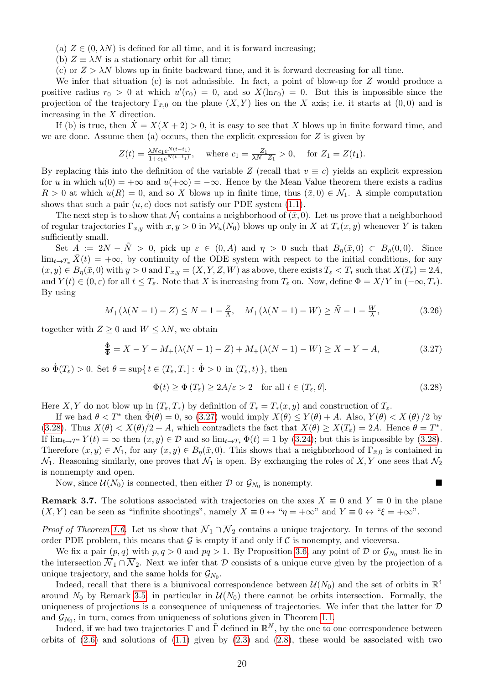- (a)  $Z \in (0, \lambda N)$  is defined for all time, and it is forward increasing;
- (b)  $Z \equiv \lambda N$  is a stationary orbit for all time;
- (c) or  $Z > \lambda N$  blows up in finite backward time, and it is forward decreasing for all time.

We infer that situation  $(c)$  is not admissible. In fact, a point of blow-up for Z would produce a positive radius  $r_0 > 0$  at which  $u'(r_0) = 0$ , and so  $X(\ln r_0) = 0$ . But this is impossible since the projection of the trajectory  $\Gamma_{\bar{x},0}$  on the plane  $(X, Y)$  lies on the X axis; i.e. it starts at  $(0, 0)$  and is increasing in the  $X$  direction.

If (b) is true, then  $X = X(X + 2) > 0$ , it is easy to see that X blows up in finite forward time, and we are done. Assume then (a) occurs, then the explicit expression for  $Z$  is given by

$$
Z(t) = \frac{\lambda N c_1 e^{N(t-t_1)}}{1 + c_1 e^{N(t-t_1)}}, \quad \text{where } c_1 = \frac{Z_1}{\lambda N - Z_1} > 0, \quad \text{for } Z_1 = Z(t_1).
$$

By replacing this into the definition of the variable Z (recall that  $v \equiv c$ ) yields an explicit expression for u in which  $u(0) = +\infty$  and  $u(+\infty) = -\infty$ . Hence by the Mean Value theorem there exists a radius  $R > 0$  at which  $u(R) = 0$ , and so X blows up in finite time, thus  $(\bar{x}, 0) \in \mathcal{N}_1$ . A simple computation shows that such a pair  $(u, c)$  does not satisfy our PDE system  $(1.1)$ .

The next step is to show that  $\mathcal{N}_1$  contains a neighborhood of  $(\bar{x}, 0)$ . Let us prove that a neighborhood of regular trajectories  $\Gamma_{x,y}$  with  $x, y > 0$  in  $\mathcal{W}_u(N_0)$  blows up only in X at  $T_*(x, y)$  whenever Y is taken sufficiently small.

Set  $A := 2N - \tilde{N} > 0$ , pick up  $\varepsilon \in (0, A)$  and  $\eta > 0$  such that  $B_n(\bar{x}, 0) \subset B_\rho(0, 0)$ . Since  $\lim_{t\to T_*}\overline{X}(t) = +\infty$ , by continuity of the ODE system with respect to the initial conditions, for any  $(x, y) \in B_n(\bar{x}, 0)$  with  $y > 0$  and  $\Gamma_{x,y} = (X, Y, Z, W)$  as above, there exists  $T_{\varepsilon} < T_*$  such that  $X(T_{\varepsilon}) = 2A$ , and  $Y(t) \in (0, \varepsilon)$  for all  $t \leq T_{\varepsilon}$ . Note that X is increasing from  $T_{\varepsilon}$  on. Now, define  $\Phi = X/Y$  in  $(-\infty, T_*)$ . By using

$$
M_{+}(\lambda(N-1)-Z) \le N-1-\frac{Z}{\Lambda}, \quad M_{+}(\lambda(N-1)-W) \ge \tilde{N}-1-\frac{W}{\lambda}, \tag{3.26}
$$

together with  $Z \geq 0$  and  $W \leq \lambda N$ , we obtain

$$
\frac{\dot{\Phi}}{\Phi} = X - Y - M_{+}(\lambda(N - 1) - Z) + M_{+}(\lambda(N - 1) - W) \ge X - Y - A,
$$
\n(3.27)

so  $\dot{\Phi}(T_{\varepsilon}) > 0$ . Set  $\theta = \sup\{t \in (T_{\varepsilon}, T_{*}] : \dot{\Phi} > 0 \text{ in } (T_{\varepsilon}, t) \}$ , then

<span id="page-19-2"></span><span id="page-19-1"></span><span id="page-19-0"></span>
$$
\Phi(t) \ge \Phi(T_{\varepsilon}) \ge 2A/\varepsilon > 2 \quad \text{for all } t \in (T_{\varepsilon}, \theta]. \tag{3.28}
$$

Here X, Y do not blow up in  $(T_{\varepsilon}, T_*)$  by definition of  $T_* = T_*(x, y)$  and construction of  $T_{\varepsilon}$ .

If we had  $\theta < T^*$  then  $\dot{\Phi}(\theta) = 0$ , so [\(3.27\)](#page-19-0) would imply  $X(\theta) \leq Y(\theta) + A$ . Also,  $Y(\theta) < X(\theta)/2$  by [\(3.28\)](#page-19-1). Thus  $X(\theta) < X(\theta)/2 + A$ , which contradicts the fact that  $X(\theta) \ge X(T_{\varepsilon}) = 2A$ . Hence  $\theta = T^*$ . If  $\lim_{t\to T^*} Y(t) = \infty$  then  $(x, y) \in \mathcal{D}$  and so  $\lim_{t\to T^*} \Phi(t) = 1$  by [\(3.24\)](#page-18-3); but this is impossible by [\(3.28\)](#page-19-1). Therefore  $(x, y) \in \mathcal{N}_1$ , for any  $(x, y) \in B_\eta(\bar{x}, 0)$ . This shows that a neighborhood of  $\Gamma_{\bar{x},0}$  is contained in  $\mathcal{N}_1$ . Reasoning similarly, one proves that  $\mathcal{N}_1$  is open. By exchanging the roles of X, Y one sees that  $\mathcal{N}_2$ is nonnempty and open.

Now, since  $\mathcal{U}(N_0)$  is connected, then either  $\mathcal{D}$  or  $\mathcal{G}_{N_0}$  is nonempty.

**Remark 3.7.** The solutions associated with trajectories on the axes  $X \equiv 0$  and  $Y \equiv 0$  in the plane  $(X, Y)$  can be seen as "infinite shootings", namely  $X \equiv 0 \leftrightarrow \forall \eta = +\infty$ " and  $Y \equiv 0 \leftrightarrow \forall \xi = +\infty$ ".

*Proof of Theorem [1.6.](#page-4-0)* Let us show that  $\overline{\mathcal{N}}_1 \cap \overline{\mathcal{N}}_2$  contains a unique trajectory. In terms of the second order PDE problem, this means that  $\mathcal G$  is empty if and only if  $\mathcal C$  is nonempty, and viceversa.

We fix a pair  $(p, q)$  with  $p, q > 0$  and  $pq > 1$ . By Proposition [3.6,](#page-18-1) any point of D or  $\mathcal{G}_{N_0}$  must lie in the intersection  $\overline{\mathcal{N}}_1 \cap \overline{\mathcal{N}}_2$ . Next we infer that D consists of a unique curve given by the projection of a unique trajectory, and the same holds for  $\mathcal{G}_{N_0}$ .

Indeed, recall that there is a biunivocal correspondence between  $\mathcal{U}(N_0)$  and the set of orbits in  $\mathbb{R}^4$ around  $N_0$  by Remark [3.5;](#page-18-0) in particular in  $\mathcal{U}(N_0)$  there cannot be orbits intersection. Formally, the uniqueness of projections is a consequence of uniqueness of trajectories. We infer that the latter for  $\mathcal D$ and  $\mathcal{G}_{N_0}$ , in turn, comes from uniqueness of solutions given in Theorem [1.1.](#page-1-3)

Indeed, if we had two trajectories  $\Gamma$  and  $\tilde{\Gamma}$  defined in  $\mathbb{R}^N$ , by the one to one correspondence between orbits of  $(2.6)$  and solutions of  $(1.1)$  given by  $(2.3)$  and  $(2.8)$ , these would be associated with two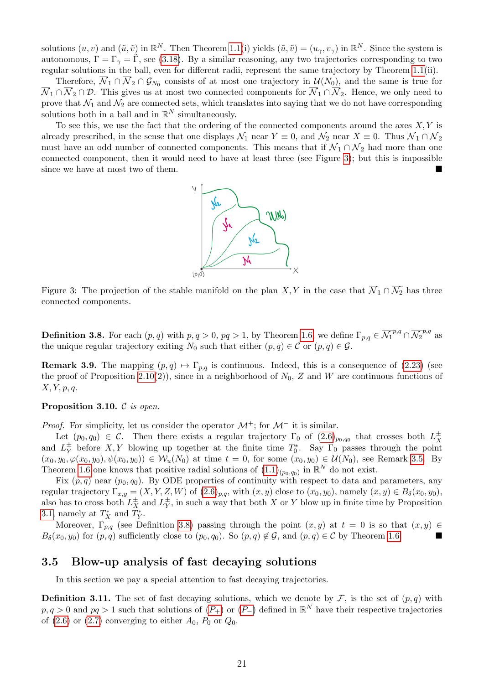solutions  $(u, v)$  and  $(\tilde{u}, \tilde{v})$  in  $\mathbb{R}^N$ . Then Theorem [1.1\(](#page-1-3)i) yields  $(\tilde{u}, \tilde{v}) = (u_{\gamma}, v_{\gamma})$  in  $\mathbb{R}^N$ . Since the system is autonomous,  $\Gamma = \Gamma_{\gamma} = \tilde{\Gamma}$ , see [\(3.18\)](#page-16-4). By a similar reasoning, any two trajectories corresponding to two regular solutions in the ball, even for different radii, represent the same trajectory by Theorem [1.1\(](#page-1-3)ii).

Therefore,  $\overline{\mathcal{N}}_1 \cap \overline{\mathcal{N}}_2 \cap \mathcal{G}_{N_0}$  consists of at most one trajectory in  $\mathcal{U}(N_0)$ , and the same is true for  $\overline{\mathcal{N}}_1 \cap \overline{\mathcal{N}}_2 \cap \mathcal{D}$ . This gives us at most two connected components for  $\overline{\mathcal{N}}_1 \cap \overline{\mathcal{N}}_2$ . Hence, we only need to prove that  $\mathcal{N}_1$  and  $\mathcal{N}_2$  are connected sets, which translates into saying that we do not have corresponding solutions both in a ball and in  $\mathbb{R}^N$  simultaneously.

<span id="page-20-1"></span>To see this, we use the fact that the ordering of the connected components around the axes  $X, Y$  is already prescribed, in the sense that one displays  $\mathcal{N}_1$  near  $Y \equiv 0$ , and  $\mathcal{N}_2$  near  $X \equiv 0$ . Thus  $\overline{\mathcal{N}}_1 \cap \overline{\mathcal{N}}_2$ must have an odd number of connected components. This means that if  $\overline{N}_1 \cap \overline{N}_2$  had more than one connected component, then it would need to have at least three (see Figure [3\)](#page-20-1); but this is impossible since we have at most two of them.



Figure 3: The projection of the stable manifold on the plan X, Y in the case that  $\overline{N}_1 \cap \overline{N}_2$  has three connected components.

<span id="page-20-2"></span>**Definition 3.8.** For each  $(p,q)$  with  $p,q>0$ ,  $pq>1$ , by Theorem [1.6,](#page-4-0) we define  $\Gamma_{p,q} \in \overline{\mathcal{N}_1}^{p,q} \cap \overline{\mathcal{N}_2}^{p,q}$  as the unique regular trajectory exiting  $N_0$  such that either  $(p, q) \in \mathcal{C}$  or  $(p, q) \in \mathcal{G}$ .

**Remark 3.9.** The mapping  $(p,q) \mapsto \Gamma_{p,q}$  is continuous. Indeed, this is a consequence of [\(2.23\)](#page-10-1) (see the proof of Proposition [2.10\(](#page-9-4)2)), since in a neighborhood of  $N_0$ , Z and W are continuous functions of  $X, Y, p, q.$ 

#### <span id="page-20-0"></span>Proposition 3.10. C is open.

*Proof.* For simplicity, let us consider the operator  $\mathcal{M}^+$ ; for  $\mathcal{M}^-$  it is similar.

Let  $(p_0, q_0) \in \mathcal{C}$ . Then there exists a regular trajectory  $\Gamma_0$  of  $(2.6)_{p_0,q_0}$  that crosses both  $L^{\pm}_{X}$ X and  $L_V^{\pm}$  $_Y^{\pm}$  before X, Y blowing up together at the finite time  $T_0^*$ . Say  $\Gamma_0$  passes through the point  $(x_0, y_0, \varphi(x_0, y_0), \psi(x_0, y_0)) \in \mathcal{W}_u(N_0)$  at time  $t = 0$ , for some  $(x_0, y_0) \in \mathcal{U}(N_0)$ , see Remark [3.5.](#page-18-0) By Theorem [1.6](#page-4-0) one knows that positive radial solutions of  $(1.1)_{(p_0,q_0)}$  in  $\mathbb{R}^N$  do not exist.

Fix  $(p, q)$  near  $(p_0, q_0)$ . By ODE properties of continuity with respect to data and parameters, any regular trajectory  $\Gamma_{x,y} = (X, Y, Z, W)$  of  $(2.6)_{p,q}$ , with  $(x, y)$  close to  $(x_0, y_0)$ , namely  $(x, y) \in B_\delta(x_0, y_0)$ , also has to cross both  $L_X^{\pm}$  and  $L_Y^{\pm}$  $_Y^{\pm}$ , in such a way that both X or Y blow up in finite time by Proposition [3.1,](#page-14-3) namely at  $T_X^*$  and  $T_Y^*$ .

Moreover,  $\Gamma_{p,q}$  (see Definition [3.8\)](#page-20-2) passing through the point  $(x, y)$  at  $t = 0$  is so that  $(x, y) \in$  $B_{\delta}(x_0, y_0)$  for  $(p, q)$  sufficiently close to  $(p_0, q_0)$ . So  $(p, q) \notin \mathcal{G}$ , and  $(p, q) \in \mathcal{C}$  by Theorem [1.6.](#page-4-0)

#### 3.5 Blow-up analysis of fast decaying solutions

In this section we pay a special attention to fast decaying trajectories.

**Definition 3.11.** The set of fast decaying solutions, which we denote by  $\mathcal{F}$ , is the set of  $(p, q)$  with  $p, q > 0$  and  $pq > 1$  such that solutions of  $(P_+)$  $(P_+)$  $(P_+)$  or  $(P_-)$  defined in  $\mathbb{R}^N$  have their respective trajectories of [\(2.6\)](#page-6-4) or [\(2.7\)](#page-6-5) converging to either  $A_0$ ,  $P_0$  or  $Q_0$ .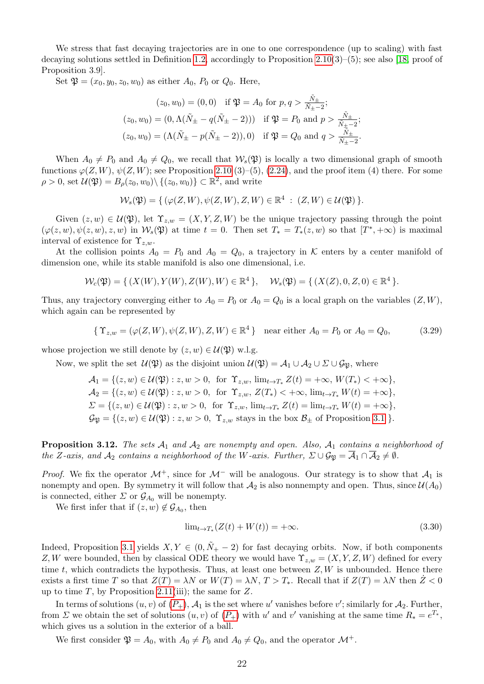We stress that fast decaying trajectories are in one to one correspondence (up to scaling) with fast decaying solutions settled in Definition [1.2,](#page-1-7) accordingly to Proposition [2.10\(](#page-9-4)3)–(5); see also [\[18,](#page-29-10) proof of Proposition 3.9].

Set  $\mathfrak{P} = (x_0, y_0, z_0, w_0)$  as either  $A_0$ ,  $P_0$  or  $Q_0$ . Here,

$$
(z_0, w_0) = (0, 0) \text{ if } \mathfrak{P} = A_0 \text{ for } p, q > \frac{\tilde{N}_{\pm}}{\tilde{N}_{\pm} - 2};
$$
  
\n
$$
(z_0, w_0) = (0, \Lambda(\tilde{N}_{\pm} - q(\tilde{N}_{\pm} - 2))) \text{ if } \mathfrak{P} = P_0 \text{ and } p > \frac{\tilde{N}_{\pm}}{\tilde{N}_{\pm} - 2};
$$
  
\n
$$
(z_0, w_0) = (\Lambda(\tilde{N}_{\pm} - p(\tilde{N}_{\pm} - 2)), 0) \text{ if } \mathfrak{P} = Q_0 \text{ and } q > \frac{\tilde{N}_{\pm}}{\tilde{N}_{\pm} - 2}.
$$

When  $A_0 \neq P_0$  and  $A_0 \neq Q_0$ , we recall that  $W_s(\mathfrak{P})$  is locally a two dimensional graph of smooth functions  $\varphi(Z, W)$ ,  $\psi(Z, W)$ ; see Proposition [2.10](#page-9-4) (3)–(5), [\(2.24\)](#page-11-3), and the proof item (4) there. For some  $\rho > 0$ , set  $\mathcal{U}(\mathfrak{P}) = B_{\rho}(z_0, w_0) \setminus \{(z_0, w_0)\} \subset \mathbb{R}^2$ , and write

$$
\mathcal{W}_s(\mathfrak{P})=\{\, (\varphi(Z,W), \psi(Z,W), Z, W)\in \mathbb{R}^4\;:\; (Z,W)\in \mathcal{U}(\mathfrak{P})\,\}.
$$

Given  $(z, w) \in \mathcal{U}(\mathfrak{P})$ , let  $\Upsilon_{z,w} = (X, Y, Z, W)$  be the unique trajectory passing through the point  $(\varphi(z, w), \psi(z, w), z, w)$  in  $\mathcal{W}_s(\mathfrak{P})$  at time  $t = 0$ . Then set  $T_* = T_*(z, w)$  so that  $[T^*, +\infty)$  is maximal interval of existence for  $\Upsilon_{z,w}$ .

At the collision points  $A_0 = P_0$  and  $A_0 = Q_0$ , a trajectory in K enters by a center manifold of dimension one, while its stable manifold is also one dimensional, i.e.

$$
\mathcal{W}_c(\mathfrak{P}) = \{ (X(W), Y(W), Z(W), W) \in \mathbb{R}^4 \}, \quad \mathcal{W}_s(\mathfrak{P}) = \{ (X(Z), 0, Z, 0) \in \mathbb{R}^4 \}.
$$

Thus, any trajectory converging either to  $A_0 = P_0$  or  $A_0 = Q_0$  is a local graph on the variables  $(Z, W)$ , which again can be represented by

$$
\{ \Upsilon_{z,w} = (\varphi(Z,W), \psi(Z,W), Z, W) \in \mathbb{R}^4 \} \quad \text{near either } A_0 = P_0 \text{ or } A_0 = Q_0,
$$
 (3.29)

whose projection we still denote by  $(z, w) \in \mathcal{U}(\mathfrak{P})$  w.l.g.

Now, we split the set  $\mathcal{U}(\mathfrak{P})$  as the disjoint union  $\mathcal{U}(\mathfrak{P}) = \mathcal{A}_1 \cup \mathcal{A}_2 \cup \Sigma \cup \mathcal{G}_{\mathfrak{P}}$ , where

 $\mathcal{A}_1 = \{(z, w) \in \mathcal{U}(\mathfrak{P}) : z, w > 0, \text{ for } \Upsilon_{z,w}, \lim_{t \to T_*} Z(t) = +\infty, W(T_*) < +\infty \},$  $\mathcal{A}_2 = \{(z, w) \in \mathcal{U}(\mathfrak{P}) : z, w > 0, \text{ for } \Upsilon_{z,w}, Z(T_*) < +\infty, \lim_{t \to T_*} W(t) = +\infty\},\$  $\Sigma = \{(z, w) \in \mathcal{U}(\mathfrak{P}) : z, w > 0, \text{ for } \Upsilon_{z,w}, \lim_{t \to T_*} Z(t) = \lim_{t \to T_*} W(t) = +\infty\},\$  $\mathcal{G}_{\mathfrak{P}} = \{(z, w) \in \mathcal{U}(\mathfrak{P}) : z, w > 0, \Upsilon_{z,w} \text{ stays in the box } \mathcal{B}_{\pm} \text{ of Proposition 3.1 }\}.$  $\mathcal{G}_{\mathfrak{P}} = \{(z, w) \in \mathcal{U}(\mathfrak{P}) : z, w > 0, \Upsilon_{z,w} \text{ stays in the box } \mathcal{B}_{\pm} \text{ of Proposition 3.1 }\}.$  $\mathcal{G}_{\mathfrak{P}} = \{(z, w) \in \mathcal{U}(\mathfrak{P}) : z, w > 0, \Upsilon_{z,w} \text{ stays in the box } \mathcal{B}_{\pm} \text{ of Proposition 3.1 }\}.$ 

<span id="page-21-1"></span>**Proposition 3.12.** The sets  $A_1$  and  $A_2$  are nonempty and open. Also,  $A_1$  contains a neighborhood of the Z-axis, and  $\mathcal{A}_2$  contains a neighborhood of the W-axis. Further,  $\Sigma \cup \mathcal{G}_{\mathfrak{P}} = \overline{\mathcal{A}}_1 \cap \overline{\mathcal{A}}_2 \neq \emptyset$ .

*Proof.* We fix the operator  $\mathcal{M}^+$ , since for  $\mathcal{M}^-$  will be analogous. Our strategy is to show that  $\mathcal{A}_1$  is nonempty and open. By symmetry it will follow that  $A_2$  is also nonnempty and open. Thus, since  $\mathcal{U}(A_0)$ is connected, either  $\Sigma$  or  $\mathcal{G}_{A_0}$  will be nonempty.

We first infer that if  $(z, w) \notin \mathcal{G}_{A_0}$ , then

<span id="page-21-0"></span>
$$
\lim_{t \to T_*} (Z(t) + W(t)) = +\infty. \tag{3.30}
$$

Indeed, Proposition [3.1](#page-14-3) yields  $X, Y \in (0, \tilde{N}_+ - 2)$  for fast decaying orbits. Now, if both components Z, W were bounded, then by classical ODE theory we would have  $\Upsilon_{z,w} = (X, Y, Z, W)$  defined for every time  $t$ , which contradicts the hypothesis. Thus, at least one between  $Z, W$  is unbounded. Hence there exists a first time T so that  $Z(T) = \lambda N$  or  $W(T) = \lambda N$ ,  $T > T_*$ . Recall that if  $Z(T) = \lambda N$  then  $Z < 0$ up to time T, by Proposition [2.11\(](#page-13-0)iii); the same for  $Z$ .

In terms of solutions  $(u, v)$  of  $(P_+)$  $(P_+)$  $(P_+)$ ,  $\mathcal{A}_1$  is the set where u' vanishes before v'; similarly for  $\mathcal{A}_2$ . Further, from  $\Sigma$  we obtain the set of solutions  $(u, v)$  of  $(P_+)$  $(P_+)$  $(P_+)$  with u' and v' vanishing at the same time  $R_* = e^{T_*}$ , which gives us a solution in the exterior of a ball.

We first consider  $\mathfrak{P} = A_0$ , with  $A_0 \neq P_0$  and  $A_0 \neq Q_0$ , and the operator  $\mathcal{M}^+$ .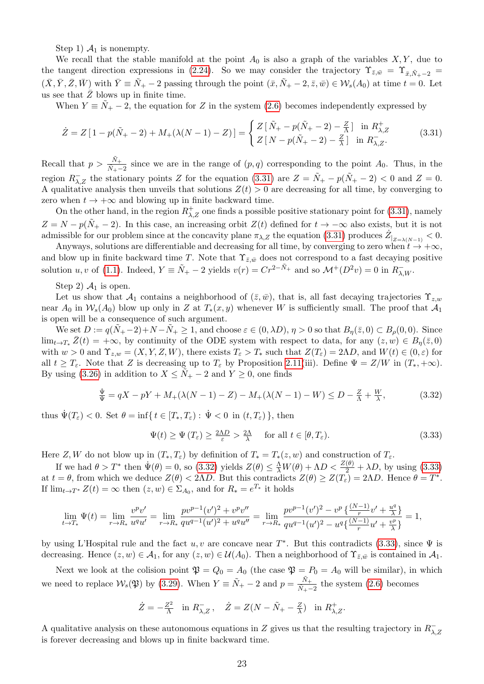Step 1)  $\mathcal{A}_1$  is nonempty.

We recall that the stable manifold at the point  $A_0$  is also a graph of the variables  $X, Y$ , due to the tangent direction expressions in [\(2.24\)](#page-11-3). So we may consider the trajectory  $\Upsilon_{\bar{z},\bar{w}} = \Upsilon_{\bar{x},\tilde{N}_+-2} =$  $(\bar{X}, \bar{Y}, \bar{Z}, \bar{W})$  with  $\bar{Y} \equiv \tilde{N}_+ - 2$  passing through the point  $(\bar{x}, \tilde{N}_+ - 2, \bar{z}, \bar{w}) \in \mathcal{W}_s(A_0)$  at time  $t = 0$ . Let us see that  $\bar{Z}$  blows up in finite time.

When  $Y \equiv \tilde{N}_+ - 2$ , the equation for Z in the system [\(2.6\)](#page-6-4) becomes independently expressed by

<span id="page-22-0"></span>
$$
\dot{Z} = Z \left[ 1 - p(\tilde{N}_+ - 2) + M_+(\lambda(N - 1) - Z) \right] = \begin{cases} Z \left[ \tilde{N}_+ - p(\tilde{N}_+ - 2) - \frac{Z}{\lambda} \right] & \text{in } R_{\lambda, Z}^+ \\ Z \left[ N - p(\tilde{N}_+ - 2) - \frac{Z}{\lambda} \right] & \text{in } R_{\lambda, Z}^- . \end{cases} \tag{3.31}
$$

Recall that  $p > \frac{\tilde{N}_+}{\tilde{N}_+ - 2}$  since we are in the range of  $(p, q)$  corresponding to the point  $A_0$ . Thus, in the region  $R_{\lambda,Z}^-$  the stationary points Z for the equation [\(3.31\)](#page-22-0) are  $Z = \tilde{N}_+ - p(\tilde{N}_+ - 2) < 0$  and  $Z = 0$ . A qualitative analysis then unveils that solutions  $Z(t) > 0$  are decreasing for all time, by converging to zero when  $t \to +\infty$  and blowing up in finite backward time.

On the other hand, in the region  $R^+_{\lambda,Z}$  one finds a possible positive stationary point for [\(3.31\)](#page-22-0), namely  $Z = N - p(N_{+} - 2)$ . In this case, an increasing orbit  $Z(t)$  defined for  $t \to -\infty$  also exists, but it is not admissible for our problem since at the concavity plane  $\pi_{\lambda,Z}$  the equation [\(3.31\)](#page-22-0) produces  $\dot{Z}_{|Z=\lambda(N-1)} < 0$ .

Anyways, solutions are differentiable and decreasing for all time, by converging to zero when  $t \to +\infty$ , and blow up in finite backward time T. Note that  $\Upsilon_{\bar{z},\bar{w}}$  does not correspond to a fast decaying positive solution u, v of [\(1.1\)](#page-0-0). Indeed,  $Y \equiv \tilde{N}_+ - 2$  yields  $v(r) = Cr^{2-\tilde{N}_+}$  and so  $\mathcal{M}^+(D^2v) = 0$  in  $R^-_{\lambda,W}$ .

Step 2)  $A_1$  is open.

Let us show that  $\mathcal{A}_1$  contains a neighborhood of  $(\bar{z}, \bar{w})$ , that is, all fast decaying trajectories  $\Upsilon_{z,w}$ near  $A_0$  in  $W_s(A_0)$  blow up only in Z at  $T_*(x, y)$  whenever W is sufficiently small. The proof that  $A_1$ is open will be a consequence of such argument.

We set  $D := q(N_+ - 2) + N - N_+ \ge 1$ , and choose  $\varepsilon \in (0, \lambda D)$ ,  $\eta > 0$  so that  $B_{\eta}(\bar{z}, 0) \subset B_{\rho}(0, 0)$ . Since  $\lim_{t\to T_*}\bar{Z}(t) = +\infty$ , by continuity of the ODE system with respect to data, for any  $(z, w) \in B_{\eta}(\bar{z}, 0)$ with  $w > 0$  and  $\Upsilon_{z,w} = (X, Y, Z, W)$ , there exists  $T_{\varepsilon} > T_{*}$  such that  $Z(T_{\varepsilon}) = 2\Lambda D$ , and  $W(t) \in (0, \varepsilon)$  for all  $t \geq T_{\varepsilon}$ . Note that Z is decreasing up to  $T_{\varepsilon}$  by Proposition [2.11\(](#page-13-0)iii). Define  $\Psi = Z/W$  in  $(T_*, +\infty)$ . By using [\(3.26\)](#page-19-2) in addition to  $X \leq N_+ - 2$  and  $Y \geq 0$ , one finds

$$
\frac{\dot{\Psi}}{\Psi} = qX - pY + M_{+}(\lambda(N-1) - Z) - M_{+}(\lambda(N-1) - W) \le D - \frac{Z}{\Lambda} + \frac{W}{\lambda},\tag{3.32}
$$

thus  $\Psi(T_{\varepsilon})$  < 0. Set  $\theta = \inf\{t \in [T_*, T_{\varepsilon}) : \Psi < 0 \text{ in } (t, T_{\varepsilon})\}\,$ , then

<span id="page-22-2"></span><span id="page-22-1"></span>
$$
\Psi(t) \ge \Psi(T_{\varepsilon}) \ge \frac{2\Lambda D}{\varepsilon} > \frac{2\Lambda}{\lambda} \quad \text{for all } t \in [\theta, T_{\varepsilon}).
$$
\n(3.33)

Here Z, W do not blow up in  $(T_*, T_\varepsilon)$  by definition of  $T_* = T_*(z, w)$  and construction of  $T_\varepsilon$ .

If we had  $\theta > T^*$  then  $\dot{\Psi}(\theta) = 0$ , so [\(3.32\)](#page-22-1) yields  $Z(\theta) \leq \frac{\Lambda}{\lambda} W(\theta) + \Lambda D < \frac{Z(\theta)}{2} + \lambda D$ , by using [\(3.33\)](#page-22-2) at  $t = \theta$ , from which we deduce  $Z(\theta) < 2\Lambda D$ . But this contradicts  $Z(\theta) \geq Z(T_{\varepsilon}) = 2\Lambda D$ . Hence  $\theta = T^*$ . If  $\lim_{t \to T^*} Z(t) = \infty$  then  $(z, w) \in \Sigma_{A_0}$ , and for  $R_* = e^{T_*}$  it holds

$$
\lim_{t \to T_*} \Psi(t) = \lim_{r \to R_*} \frac{v^p v'}{u^q u'} = \lim_{r \to R_*} \frac{p v^{p-1} (v')^2 + v^p v''}{q u^{q-1} (u')^2 + u^q u''} = \lim_{r \to R_*} \frac{p v^{p-1} (v')^2 - v^p \left\{ \frac{(N-1)}{r} v' + \frac{u^q}{\lambda} \right\}}{q u^{q-1} (u')^2 - u^q \left\{ \frac{(N-1)}{r} u' + \frac{v^p}{\lambda} \right\}} = 1,
$$

by using L'Hospital rule and the fact  $u, v$  are concave near  $T^*$ . But this contradicts [\(3.33\)](#page-22-2), since  $\Psi$  is decreasing. Hence  $(z, w) \in \mathcal{A}_1$ , for any  $(z, w) \in \mathcal{U}(\mathcal{A}_0)$ . Then a neighborhood of  $\Upsilon_{\bar{z}, \bar{w}}$  is contained in  $\mathcal{A}_1$ .

Next we look at the colision point  $\mathfrak{P} = Q_0 = A_0$  (the case  $\mathfrak{P} = P_0 = A_0$  will be similar), in which we need to replace  $\mathcal{W}_s(\mathfrak{P})$  by [\(3.29\)](#page-21-0). When  $Y \equiv \tilde{N}_+ - 2$  and  $p = \frac{\tilde{N}_+}{\tilde{N}_+}$  $\frac{N_+}{N_+-2}$  the system [\(2.6\)](#page-6-4) becomes

$$
\dot{Z} = -\frac{Z^2}{\Lambda} \quad \text{in} \ R^-_{\lambda, Z}, \quad \dot{Z} = Z(N - \tilde{N}_+ - \frac{Z}{\lambda}) \quad \text{in} \ R^+_{\lambda, Z}.
$$

A qualitative analysis on these autonomous equations in Z gives us that the resulting trajectory in  $R_{\lambda}^$ λ,Z is forever decreasing and blows up in finite backward time.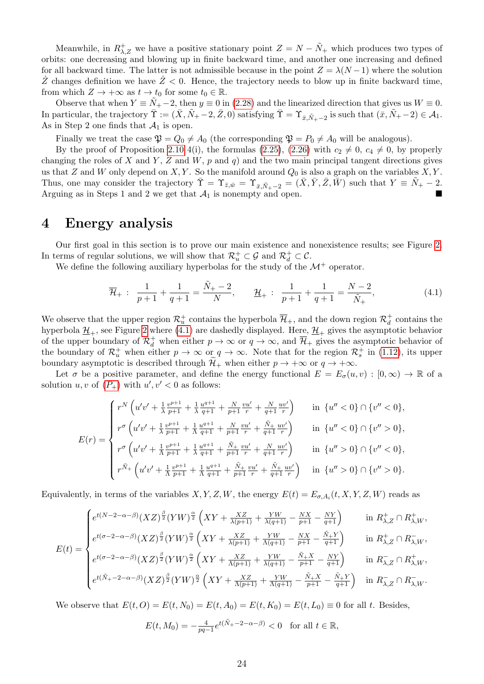Meanwhile, in  $R^+_{\lambda,Z}$  we have a positive stationary point  $Z = N - \tilde{N}_+$  which produces two types of orbits: one decreasing and blowing up in finite backward time, and another one increasing and defined for all backward time. The latter is not admissible because in the point  $Z = \lambda(N-1)$  where the solution  $\dot{Z}$  changes definition we have  $\dot{Z}$  < 0. Hence, the trajectory needs to blow up in finite backward time, from which  $Z \to +\infty$  as  $t \to t_0$  for some  $t_0 \in \mathbb{R}$ .

Observe that when  $Y \equiv \tilde{N}_+ - 2$ , then  $y \equiv 0$  in [\(2.28\)](#page-13-1) and the linearized direction that gives us  $W \equiv 0$ . In particular, the trajectory  $\overline{\Upsilon} := (\overline{X}, \overline{N}_+ - 2, \overline{Z}, 0)$  satisfying  $\overline{\Upsilon} = \Upsilon_{\overline{x}, \overline{N}_+ - 2}$  is such that  $(\overline{x}, \overline{N}_+ - 2) \in \mathcal{A}_1$ . As in Step 2 one finds that  $\mathcal{A}_1$  is open.

Finally we treat the case  $\mathfrak{P} = Q_0 \neq A_0$  (the corresponding  $\mathfrak{P} = P_0 \neq A_0$  will be analogous).

By the proof of Proposition [2.10](#page-9-4) 4(i), the formulas [\(2.25\)](#page-11-2), [\(2.26\)](#page-11-0) with  $c_2 \neq 0$ ,  $c_4 \neq 0$ , by properly changing the roles of X and Y, Z and W, p and q) and the two main principal tangent directions gives us that Z and W only depend on  $X, Y$ . So the manifold around  $Q_0$  is also a graph on the variables  $X, Y$ . Thus, one may consider the trajectory  $\overline{\Upsilon} = \Upsilon_{\bar{z},\bar{w}} = \Upsilon_{\bar{x},\tilde{N}_+-2} = (\overline{X}, \overline{Y}, \overline{Z}, \overline{W})$  such that  $Y \equiv \tilde{N}_+ - 2$ . Arguing as in Steps 1 and 2 we get that  $A_1$  is nonempty and open.

### <span id="page-23-0"></span>4 Energy analysis

Our first goal in this section is to prove our main existence and nonexistence results; see Figure [2.](#page-3-2) In terms of regular solutions, we will show that  $\mathcal{R}^+_u \subset \mathcal{G}$  and  $\mathcal{R}^+_d \subset \mathcal{C}$ .

We define the following auxiliary hyperbolas for the study of the  $\mathcal{M}^+$  operator.

<span id="page-23-1"></span>
$$
\overline{\mathcal{H}}_{+}: \frac{1}{p+1} + \frac{1}{q+1} = \frac{\tilde{N}_{+} - 2}{N}, \qquad \underline{\mathcal{H}}_{+}: \frac{1}{p+1} + \frac{1}{q+1} = \frac{N-2}{\tilde{N}_{+}},
$$
\n(4.1)

We observe that the upper region  $\mathcal{R}_u^+$  contains the hyperbola  $\overline{\mathcal{H}}_+$ , and the down region  $\mathcal{R}_d^+$  contains the hyperbola  $\underline{\mathcal{H}}_+$ , see Figure [2](#page-3-2) where [\(4.1\)](#page-23-1) are dashedly displayed. Here,  $\underline{\mathcal{H}}_+$  gives the asymptotic behavior of the upper boundary of  $\mathcal{R}_d^+$  when either  $p \to \infty$  or  $q \to \infty$ , and  $\overline{\mathcal{H}}_+$  gives the asymptotic behavior of the boundary of  $\mathcal{R}_u^+$  when either  $p \to \infty$  or  $q \to \infty$ . Note that for the region  $\mathcal{R}_s^+$  in [\(1.12\)](#page-2-1), its upper boundary asymptotic is described through  $\mathcal{H}_+$  when either  $p \to +\infty$  or  $q \to +\infty$ .

Let  $\sigma$  be a positive parameter, and define the energy functional  $E = E_{\sigma}(u, v) : [0, \infty) \to \mathbb{R}$  of a solution  $u, v$  of  $(P_+)$  $(P_+)$  $(P_+)$  with  $u', v' < 0$  as follows:

$$
E(r) = \begin{cases} r^{N} \left( u'v' + \frac{1}{\lambda} \frac{v^{p+1}}{p+1} + \frac{1}{\lambda} \frac{u^{q+1}}{q+1} + \frac{N}{p+1} \frac{v u'}{r} + \frac{N}{q+1} \frac{u v'}{r} \right) & \text{in } \{u'' < 0\} \cap \{v'' < 0\}, \\ r^{\sigma} \left( u'v' + \frac{1}{\lambda} \frac{v^{p+1}}{p+1} + \frac{1}{\lambda} \frac{u^{q+1}}{q+1} + \frac{N}{p+1} \frac{v u'}{r} + \frac{\tilde{N}_{+}}{q+1} \frac{u v'}{r} \right) & \text{in } \{u'' < 0\} \cap \{v'' > 0\}, \\ r^{\sigma} \left( u'v' + \frac{1}{\lambda} \frac{v^{p+1}}{p+1} + \frac{1}{\lambda} \frac{u^{q+1}}{q+1} + \frac{\tilde{N}_{+}}{p+1} \frac{v u'}{r} + \frac{N}{q+1} \frac{u v'}{r} \right) & \text{in } \{u'' > 0\} \cap \{v'' < 0\}, \\ r^{\tilde{N}_{+}} \left( u'v' + \frac{1}{\lambda} \frac{v^{p+1}}{p+1} + \frac{1}{\lambda} \frac{u^{q+1}}{q+1} + \frac{\tilde{N}_{+}}{p+1} \frac{v u'}{r} + \frac{\tilde{N}_{+}}{q+1} \frac{u v'}{r} \right) & \text{in } \{u'' > 0\} \cap \{v'' > 0\}. \end{cases}
$$

Equivalently, in terms of the variables  $X, Y, Z, W$ , the energy  $E(t) = E_{\sigma, A_i}(t, X, Y, Z, W)$  reads as

$$
E(t) = \begin{cases} e^{t(N-2-\alpha-\beta)} (XZ)^{\frac{\beta}{2}} (YW)^{\frac{\alpha}{2}} \left(XY + \frac{XZ}{\lambda(p+1)} + \frac{YW}{\lambda(q+1)} - \frac{NX}{p+1} - \frac{NY}{q+1}\right) & \text{in } R_{\lambda,Z}^{+} \cap R_{\lambda,W}^{+}, \\ e^{t(\sigma-2-\alpha-\beta)} (XZ)^{\frac{\beta}{2}} (YW)^{\frac{\alpha}{2}} \left(XY + \frac{XZ}{\lambda(p+1)} + \frac{YW}{\lambda(q+1)} - \frac{NX}{p+1} - \frac{\tilde{N}_+Y}{q+1}\right) & \text{in } R_{\lambda,Z}^{+} \cap R_{\lambda,W}^{-}, \\ e^{t(\sigma-2-\alpha-\beta)} (XZ)^{\frac{\beta}{2}} (YW)^{\frac{\alpha}{2}} \left(XY + \frac{XZ}{\Lambda(p+1)} + \frac{YW}{\lambda(q+1)} - \frac{\tilde{N}_+X}{p+1} - \frac{NY}{q+1}\right) & \text{in } R_{\lambda,Z}^{-} \cap R_{\lambda,W}^{+}, \\ e^{t(\tilde{N}_+-2-\alpha-\beta)} (XZ)^{\frac{\beta}{2}} (YW)^{\frac{\alpha}{2}} \left(XY + \frac{XZ}{\Lambda(p+1)} + \frac{YW}{\Lambda(q+1)} - \frac{\tilde{N}_+X}{p+1} - \frac{\tilde{N}_+Y}{q+1}\right) & \text{in } R_{\lambda,Z}^{-} \cap R_{\lambda,W}^{-}, \end{cases}
$$

We observe that  $E(t, O) = E(t, N_0) = E(t, A_0) = E(t, K_0) = E(t, L_0) \equiv 0$  for all t. Besides,

$$
E(t, M_0) = -\frac{4}{pq-1} e^{t(\tilde{N}_+ - 2 - \alpha - \beta)} < 0 \quad \text{for all } t \in \mathbb{R},
$$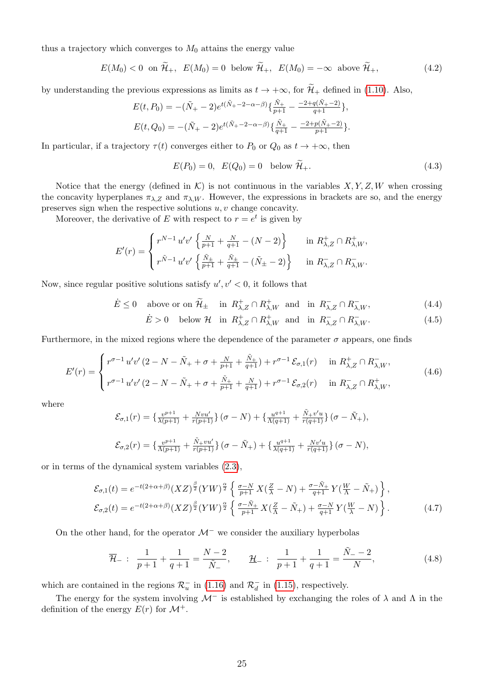thus a trajectory which converges to  $M_0$  attains the energy value

$$
E(M_0) < 0 \quad \text{on } \widetilde{\mathcal{H}}_+, \quad E(M_0) = 0 \quad \text{below } \widetilde{\mathcal{H}}_+, \quad E(M_0) = -\infty \quad \text{above } \widetilde{\mathcal{H}}_+, \tag{4.2}
$$

by understanding the previous expressions as limits as  $t \to +\infty$ , for  $\widetilde{\mathcal{H}}_+$  defined in [\(1.10\)](#page-1-6). Also,

$$
E(t, P_0) = -(\tilde{N}_+ - 2)e^{t(\tilde{N}_+ - 2 - \alpha - \beta)} \{\frac{\tilde{N}_+}{p+1} - \frac{-2 + q(\tilde{N}_+ - 2)}{q+1}\},
$$
  

$$
E(t, Q_0) = -(\tilde{N}_+ - 2)e^{t(\tilde{N}_+ - 2 - \alpha - \beta)} \{\frac{\tilde{N}_+}{q+1} - \frac{-2 + p(\tilde{N}_+ - 2)}{p+1}\}.
$$

In particular, if a trajectory  $\tau(t)$  converges either to  $P_0$  or  $Q_0$  as  $t \to +\infty$ , then

<span id="page-24-4"></span><span id="page-24-3"></span>
$$
E(P_0) = 0, \quad E(Q_0) = 0 \quad \text{below } \widetilde{\mathcal{H}}_+.
$$
\n
$$
(4.3)
$$

Notice that the energy (defined in  $\mathcal{K}$ ) is not continuous in the variables  $X, Y, Z, W$  when crossing the concavity hyperplanes  $\pi_{\lambda,Z}$  and  $\pi_{\lambda,W}$ . However, the expressions in brackets are so, and the energy preserves sign when the respective solutions  $u, v$  change concavity.

Moreover, the derivative of E with respect to  $r = e^t$  is given by

$$
E'(r) = \begin{cases} r^{N-1} u'v' \left\{ \frac{N}{p+1} + \frac{N}{q+1} - (N-2) \right\} & \text{in } R_{\lambda,Z}^+ \cap R_{\lambda,W}^+, \\ r^{\tilde{N}-1} u'v' \left\{ \frac{\tilde{N}_\pm}{p+1} + \frac{\tilde{N}_\pm}{q+1} - (\tilde{N}_\pm - 2) \right\} & \text{in } R_{\lambda,Z}^- \cap R_{\lambda,W}^-.\end{cases}
$$

Now, since regular positive solutions satisfy  $u', v' < 0$ , it follows that

$$
\dot{E} \le 0 \quad \text{above or on } \widetilde{\mathcal{H}}_{\pm} \quad \text{in } R_{\lambda,Z}^+ \cap R_{\lambda,W}^+ \text{ and in } R_{\lambda,Z}^- \cap R_{\lambda,W}^-, \tag{4.4}
$$

<span id="page-24-1"></span><span id="page-24-0"></span>
$$
\dot{E} > 0 \quad \text{below } \mathcal{H} \quad \text{in } R_{\lambda, Z}^+ \cap R_{\lambda, W}^+ \quad \text{and} \quad \text{in } R_{\lambda, Z}^- \cap R_{\lambda, W}^-.
$$

Furthermore, in the mixed regions where the dependence of the parameter  $\sigma$  appears, one finds

$$
E'(r) = \begin{cases} r^{\sigma - 1} u' v' (2 - N - \tilde{N}_+ + \sigma + \frac{N}{p+1} + \frac{\tilde{N}_+}{q+1}) + r^{\sigma - 1} \mathcal{E}_{\sigma,1}(r) & \text{in } R^+_{\lambda, Z} \cap R^-_{\lambda, W}, \\ r^{\sigma - 1} u' v' (2 - N - \tilde{N}_+ + \sigma + \frac{\tilde{N}_+}{p+1} + \frac{N}{q+1}) + r^{\sigma - 1} \mathcal{E}_{\sigma,2}(r) & \text{in } R^-_{\lambda, Z} \cap R^+_{\lambda, W}, \end{cases}
$$
(4.6)

where

$$
\mathcal{E}_{\sigma,1}(r) = \left\{ \frac{v^{p+1}}{\lambda(p+1)} + \frac{Nvu'}{r(p+1)} \right\} (\sigma - N) + \left\{ \frac{u^{q+1}}{\Lambda(q+1)} + \frac{\tilde{N}_+ v'u}{r(q+1)} \right\} (\sigma - \tilde{N}_+),
$$
  

$$
\mathcal{E}_{\sigma,2}(r) = \left\{ \frac{v^{p+1}}{\Lambda(p+1)} + \frac{\tilde{N}_+ vu'}{r(p+1)} \right\} (\sigma - \tilde{N}_+) + \left\{ \frac{u^{q+1}}{\lambda(q+1)} + \frac{Nv'u}{r(q+1)} \right\} (\sigma - N),
$$

or in terms of the dynamical system variables [\(2.3\)](#page-6-1),

$$
\mathcal{E}_{\sigma,1}(t) = e^{-t(2+\alpha+\beta)} (XZ)^{\frac{\beta}{2}} (YW)^{\frac{\alpha}{2}} \left\{ \frac{\sigma-N}{p+1} X(\frac{Z}{\lambda} - N) + \frac{\sigma-\tilde{N}_+}{q+1} Y(\frac{W}{\Lambda} - \tilde{N}_+) \right\},
$$
  

$$
\mathcal{E}_{\sigma,2}(t) = e^{-t(2+\alpha+\beta)} (XZ)^{\frac{\beta}{2}} (YW)^{\frac{\alpha}{2}} \left\{ \frac{\sigma-\tilde{N}_+}{p+1} X(\frac{Z}{\Lambda} - \tilde{N}_+) + \frac{\sigma-N}{q+1} Y(\frac{W}{\lambda} - N) \right\}.
$$
 (4.7)

On the other hand, for the operator  $\mathcal{M}^-$  we consider the auxiliary hyperbolas

<span id="page-24-2"></span>
$$
\overline{\mathcal{H}}_{-}: \frac{1}{p+1} + \frac{1}{q+1} = \frac{N-2}{\tilde{N}_{-}}, \qquad \underline{\mathcal{H}}_{-}: \frac{1}{p+1} + \frac{1}{q+1} = \frac{\tilde{N}_{-} - 2}{N}, \tag{4.8}
$$

which are contained in the regions  $\mathcal{R}_u^-$  in [\(1.16\)](#page-2-4) and  $\mathcal{R}_d^-$  in [\(1.15\)](#page-2-5), respectively.

The energy for the system involving  $\mathcal{M}^-$  is established by exchanging the roles of  $\lambda$  and  $\Lambda$  in the definition of the energy  $E(r)$  for  $\mathcal{M}^+$ .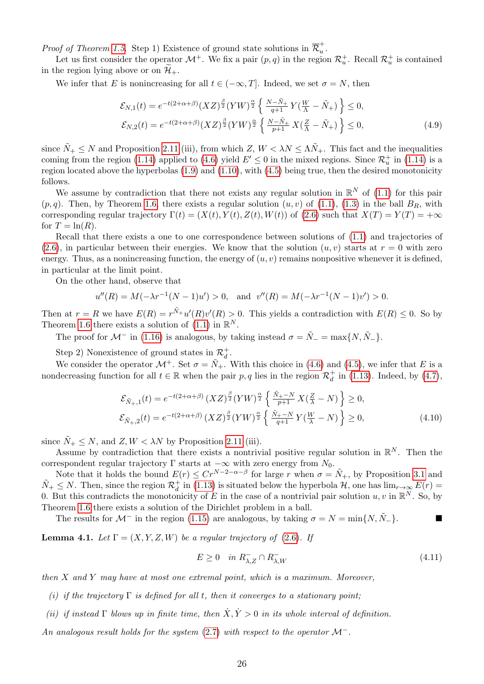*Proof of Theorem [1.5.](#page-3-1)* Step 1) Existence of ground state solutions in  $\overline{\mathcal{R}}_u^+$  $\frac{\tau}{u}$  .

Let us first consider the operator  $\mathcal{M}^+$ . We fix a pair  $(p, q)$  in the region  $\mathcal{R}_u^+$ . Recall  $\mathcal{R}_u^+$  is contained in the region lying above or on  $\mathcal{H}_+$ .

We infer that E is nonincreasing for all  $t \in (-\infty, T]$ . Indeed, we set  $\sigma = N$ , then

<span id="page-25-2"></span>
$$
\mathcal{E}_{N,1}(t) = e^{-t(2+\alpha+\beta)} (XZ)^{\frac{\beta}{2}} (YW)^{\frac{\alpha}{2}} \left\{ \frac{N-\tilde{N}_{+}}{q+1} Y(\frac{W}{\Lambda} - \tilde{N}_{+}) \right\} \leq 0,
$$
  

$$
\mathcal{E}_{N,2}(t) = e^{-t(2+\alpha+\beta)} (XZ)^{\frac{\beta}{2}} (YW)^{\frac{\alpha}{2}} \left\{ \frac{N-\tilde{N}_{+}}{p+1} X(\frac{Z}{\Lambda} - \tilde{N}_{+}) \right\} \leq 0,
$$
 (4.9)

since  $\tilde{N}_+ \leq N$  and Proposition [2.11](#page-13-0) (iii), from which  $Z, W < \lambda N \leq \Lambda \tilde{N}_+$ . This fact and the inequalities coming from the region [\(1.14\)](#page-2-3) applied to [\(4.6\)](#page-24-0) yield  $E' \leq 0$  in the mixed regions. Since  $\mathcal{R}_u^+$  in (1.14) is a region located above the hyperbolas [\(1.9\)](#page-1-4) and [\(1.10\)](#page-1-6), with [\(4.5\)](#page-24-1) being true, then the desired monotonicity follows.

We assume by contradiction that there not exists any regular solution in  $\mathbb{R}^N$  of [\(1.1\)](#page-0-0) for this pair  $(p, q)$ . Then, by Theorem [1.6,](#page-4-0) there exists a regular solution  $(u, v)$  of [\(1.1\)](#page-0-0), [\(1.3\)](#page-1-0) in the ball  $B_R$ , with corresponding regular trajectory  $\Gamma(t) = (X(t), Y(t), Z(t), W(t))$  of [\(2.6\)](#page-6-4) such that  $X(T) = Y(T) = +\infty$ for  $T = \ln(R)$ .

Recall that there exists a one to one correspondence between solutions of [\(1.1\)](#page-0-0) and trajectories of  $(2.6)$ , in particular between their energies. We know that the solution  $(u, v)$  starts at  $r = 0$  with zero energy. Thus, as a nonincreasing function, the energy of  $(u, v)$  remains nonpositive whenever it is defined, in particular at the limit point.

On the other hand, observe that

$$
u''(R) = M(-\lambda r^{-1}(N-1)u') > 0
$$
, and  $v''(R) = M(-\lambda r^{-1}(N-1)v') > 0$ .

Then at  $r = R$  we have  $E(R) = r^{\tilde{N}_+} u'(R) v'(R) > 0$ . This yields a contradiction with  $E(R) \leq 0$ . So by Theorem [1.6](#page-4-0) there exists a solution of  $(1.1)$  in  $\mathbb{R}^N$ .

The proof for  $\mathcal{M}^-$  in [\(1.16\)](#page-2-4) is analogous, by taking instead  $\sigma = \tilde{N}_- = \max\{N, \tilde{N}_-\}.$ 

Step 2) Nonexistence of ground states in  $\mathcal{R}_d^+$ .

We consider the operator  $\mathcal{M}^+$ . Set  $\sigma = \tilde{N}_+$ . With this choice in [\(4.6\)](#page-24-0) and [\(4.5\)](#page-24-1), we infer that E is a nondecreasing function for all  $t \in \mathbb{R}$  when the pair p, q lies in the region  $\mathcal{R}_d^+$  in [\(1.13\)](#page-2-2). Indeed, by [\(4.7\)](#page-24-2),

$$
\mathcal{E}_{\tilde{N}_{+},1}(t) = e^{-t(2+\alpha+\beta)} (XZ)^{\frac{\beta}{2}} (YW)^{\frac{\alpha}{2}} \left\{ \frac{\tilde{N}_{+}-N}{p+1} X(\frac{Z}{\lambda}-N) \right\} \ge 0,
$$
\n
$$
\mathcal{E}_{\tilde{N}_{+},2}(t) = e^{-t(2+\alpha+\beta)} (XZ)^{\frac{\beta}{2}} (YW)^{\frac{\alpha}{2}} \left\{ \frac{\tilde{N}_{+}-N}{q+1} Y(\frac{W}{\lambda}-N) \right\} \ge 0,
$$
\n(4.10)

since  $N_+ \leq N$ , and  $Z, W < \lambda N$  by Proposition [2.11](#page-13-0) (iii).

Assume by contradiction that there exists a nontrivial positive regular solution in  $\mathbb{R}^N$ . Then the correspondent regular trajectory  $\Gamma$  starts at  $-\infty$  with zero energy from  $N_0$ .

Note that it holds the bound  $E(r) \le Cr^{N-2-\alpha-\beta}$  for large r when  $\sigma = \tilde{N}_{+}$ , by Proposition [3.1](#page-14-3) and  $\tilde{N}_+ \leq N$ . Then, since the region  $\mathcal{R}_d^+$  in [\(1.13\)](#page-2-2) is situated below the hyperbola  $\mathcal{H}$ , one has  $\lim_{r\to\infty} E(r)$ 0. But this contradicts the monotonicity of E in the case of a nontrivial pair solution  $u, v$  in  $\mathbb{R}^N$ . So, by Theorem [1.6](#page-4-0) there exists a solution of the Dirichlet problem in a ball.

The results for  $\mathcal{M}^-$  in the region [\(1.15\)](#page-2-5) are analogous, by taking  $\sigma = N = \min\{N, \tilde{N}_-\}.$ 

<span id="page-25-1"></span>**Lemma 4.1.** Let  $\Gamma = (X, Y, Z, W)$  be a regular trajectory of [\(2.6\)](#page-6-4). If

<span id="page-25-0"></span>
$$
E \ge 0 \quad in \ R^-_{\lambda,Z} \cap R^-_{\lambda,W} \tag{4.11}
$$

then X and Y may have at most one extremal point, which is a maximum. Moreover,

- (i) if the trajectory  $\Gamma$  is defined for all t, then it converges to a stationary point;
- (ii) if instead Γ blows up in finite time, then  $\dot{X}, \dot{Y} > 0$  in its whole interval of definition.

An analogous result holds for the system [\(2.7\)](#page-6-5) with respect to the operator  $\mathcal{M}^-$ .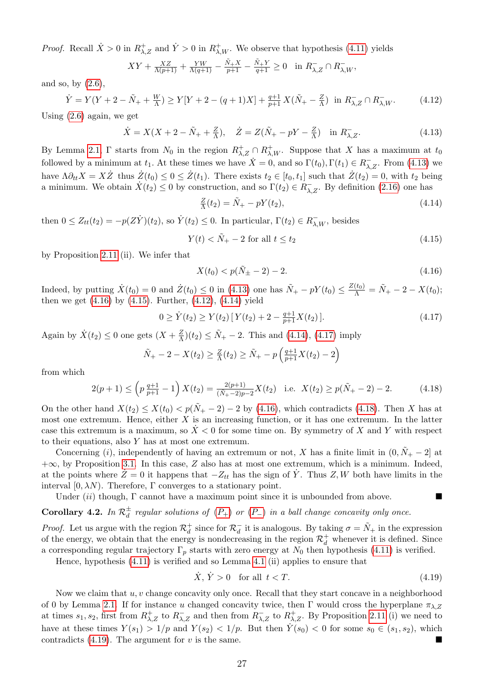*Proof.* Recall  $\dot{X} > 0$  in  $R_{\lambda,Z}^+$  and  $\dot{Y} > 0$  in  $R_{\lambda,W}^+$ . We observe that hypothesis [\(4.11\)](#page-25-0) yields

$$
XY + \frac{XZ}{\Lambda(p+1)} + \frac{YW}{\Lambda(q+1)} - \frac{\tilde{N}_+X}{p+1} - \frac{\tilde{N}_+Y}{q+1} \ge 0 \quad \text{in } R_{\lambda,Z}^- \cap R_{\lambda,W}^-,
$$

and so, by  $(2.6)$ ,

<span id="page-26-4"></span>
$$
\dot{Y} = Y(Y + 2 - \tilde{N}_+ + \frac{W}{\Lambda}) \ge Y[Y + 2 - (q+1)X] + \frac{q+1}{p+1}X(\tilde{N}_+ - \frac{Z}{\Lambda}) \text{ in } R_{\lambda, Z}^- \cap R_{\lambda, W}^-.
$$
 (4.12)

Using [\(2.6\)](#page-6-4) again, we get

<span id="page-26-1"></span>
$$
\dot{X} = X(X + 2 - \tilde{N}_+ + \frac{Z}{\Lambda}), \quad \dot{Z} = Z(\tilde{N}_+ - pY - \frac{Z}{\Lambda}) \quad \text{in } R_{\lambda, Z}^-.
$$
\n(4.13)

By Lemma [2.1,](#page-5-3)  $\Gamma$  starts from  $N_0$  in the region  $R_{\lambda,Z}^+\cap R_{\lambda,W}^+$ . Suppose that X has a maximum at  $t_0$ followed by a minimum at  $t_1$ . At these times we have  $\dot{X} = 0$ , and so  $\Gamma(t_0)$ ,  $\Gamma(t_1) \in R_{\lambda,Z}^-$ . From [\(4.13\)](#page-26-1) we have  $\Lambda \partial_{tt} X = X \dot{Z}$  thus  $\dot{Z}(t_0) \leq 0 \leq \dot{Z}(t_1)$ . There exists  $t_2 \in [t_0, t_1]$  such that  $\dot{Z}(t_2) = 0$ , with  $t_2$  being a minimum. We obtain  $\dot{X}(t_2) \leq 0$  by construction, and so  $\Gamma(t_2) \in R_{\lambda,Z}^-$ . By definition [\(2.16\)](#page-8-1) one has

<span id="page-26-5"></span>
$$
\frac{Z}{\Lambda}(t_2) = \tilde{N}_+ - pY(t_2),\tag{4.14}
$$

then  $0 \leq Z_{tt}(t_2) = -p(Z\dot{Y})(t_2)$ , so  $\dot{Y}(t_2) \leq 0$ . In particular,  $\Gamma(t_2) \in R_{\lambda,W}^-$ , besides

<span id="page-26-3"></span>
$$
Y(t) < \tilde{N}_{+} - 2 \text{ for all } t \le t_2 \tag{4.15}
$$

by Proposition [2.11](#page-13-0) (ii). We infer that

<span id="page-26-7"></span><span id="page-26-6"></span><span id="page-26-2"></span>
$$
X(t_0) < p(\tilde{N}_{\pm} - 2) - 2. \tag{4.16}
$$

Indeed, by putting  $\dot{X}(t_0) = 0$  and  $\dot{Z}(t_0) \leq 0$  in [\(4.13\)](#page-26-1) one has  $\tilde{N}_+ - pY(t_0) \leq \frac{Z(t_0)}{\Lambda} = \tilde{N}_+ - 2 - X(t_0);$ then we get  $(4.16)$  by  $(4.15)$ . Further,  $(4.12)$ ,  $(4.14)$  yield

$$
0 \ge \dot{Y}(t_2) \ge Y(t_2) \left[ Y(t_2) + 2 - \frac{q+1}{p+1} X(t_2) \right]. \tag{4.17}
$$

Again by  $\dot{X}(t_2) \leq 0$  one gets  $(X + \frac{Z}{\Lambda})$  $\frac{Z}{\Lambda}(t_2) \leq \tilde{N}_+ - 2$ . This and [\(4.14\)](#page-26-5), [\(4.17\)](#page-26-6) imply

$$
\tilde{N}_{+} - 2 - X(t_2) \ge \frac{Z}{\Lambda}(t_2) \ge \tilde{N}_{+} - p\left(\frac{q+1}{p+1}X(t_2) - 2\right)
$$

from which

$$
2(p+1) \le \left(p \frac{q+1}{p+1} - 1\right) X(t_2) = \frac{2(p+1)}{(\tilde{N}_+ - 2)p - 2} X(t_2) \quad \text{i.e.} \quad X(t_2) \ge p(\tilde{N}_+ - 2) - 2. \tag{4.18}
$$

On the other hand  $X(t_2) \leq X(t_0) < p(\tilde{N}_+ - 2) - 2$  by [\(4.16\)](#page-26-2), which contradicts [\(4.18\)](#page-26-7). Then X has at most one extremum. Hence, either  $X$  is an increasing function, or it has one extremum. In the latter case this extremum is a maximum, so  $\overline{X}$  < 0 for some time on. By symmetry of X and Y with respect to their equations, also Y has at most one extremum.

Concerning (i), independently of having an extremum or not, X has a finite limit in  $(0, N<sub>+</sub> - 2]$  at +∞, by Proposition [3.1.](#page-14-3) In this case, Z also has at most one extremum, which is a minimum. Indeed, at the points where  $\dot{Z}=0$  it happens that  $-Z_{tt}$  has the sign of  $\dot{Y}$ . Thus  $Z, W$  both have limits in the interval  $[0, \lambda N)$ . Therefore, Γ converges to a stationary point.

Under  $(ii)$  though,  $\Gamma$  cannot have a maximum point since it is unbounded from above.

### <span id="page-26-0"></span>**Corollary 4.2.** In  $\mathcal{R}_d^{\pm}$  regular solutions of  $(P_+)$  $(P_+)$  $(P_+)$  or  $(P_-)$  in a ball change concavity only once.

*Proof.* Let us argue with the region  $\mathcal{R}_d^+$  since for  $\mathcal{R}_d^-$  it is analogous. By taking  $\sigma = \tilde{N}_+$  in the expression of the energy, we obtain that the energy is nondecreasing in the region  $\mathcal{R}_d^+$  whenever it is defined. Since a corresponding regular trajectory  $\Gamma_p$  starts with zero energy at  $N_0$  then hypothesis [\(4.11\)](#page-25-0) is verified.

Hence, hypothesis [\(4.11\)](#page-25-0) is verified and so Lemma [4.1](#page-25-1) (ii) applies to ensure that

<span id="page-26-8"></span>
$$
\dot{X}, \dot{Y} > 0 \quad \text{for all } t < T. \tag{4.19}
$$

Now we claim that  $u, v$  change concavity only once. Recall that they start concave in a neighborhood of 0 by Lemma [2.1.](#page-5-3) If for instance u changed concavity twice, then Γ would cross the hyperplane  $\pi_{\lambda,Z}$ at times  $s_1, s_2$ , first from  $R_{\lambda,Z}^+$  to  $R_{\lambda,Z}^-$  and then from  $R_{\lambda,Z}^-$  to  $R_{\lambda,Z}^+$ . By Proposition [2.11](#page-13-0) (i) we need to have at these times  $Y(s_1) > 1/p$  and  $Y(s_2) < 1/p$ . But then  $Y(s_0) < 0$  for some  $s_0 \in (s_1, s_2)$ , which contradicts  $(4.19)$ . The argument for v is the same.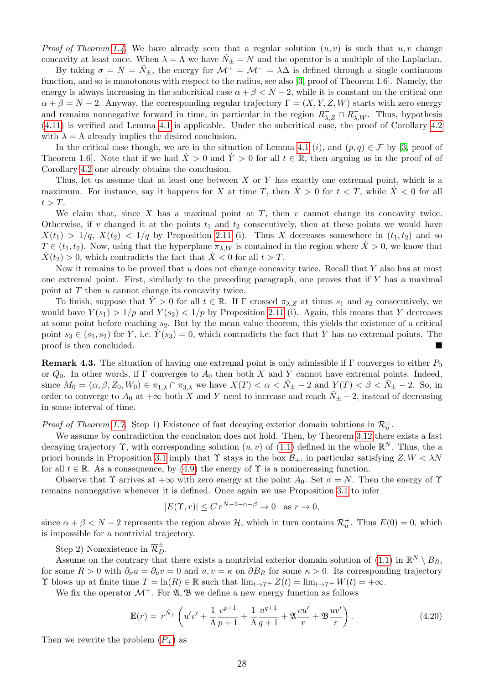*Proof of Theorem [1.4.](#page-2-6)* We have already seen that a regular solution  $(u, v)$  is such that  $u, v$  change concavity at least once. When  $\lambda = \Lambda$  we have  $\tilde{N}_{\pm} = N$  and the operator is a multiple of the Laplacian.

By taking  $\sigma = N = \tilde{N}_{\pm}$ , the energy for  $\mathcal{M}^+ = \mathcal{M}^- = \lambda \Delta$  is defined through a single continuous function, and so is monotonous with respect to the radius, see also [\[3,](#page-28-0) proof of Theorem 1.6]. Namely, the energy is always increasing in the subcritical case  $\alpha + \beta < N - 2$ , while it is constant on the critical one  $\alpha + \beta = N - 2$ . Anyway, the corresponding regular trajectory  $\Gamma = (X, Y, Z, W)$  starts with zero energy and remains nonnegative forward in time, in particular in the region  $R_{\lambda,Z}^- \cap R_{\lambda,W}^-$ . Thus, hypothesis [\(4.11\)](#page-25-0) is verified and Lemma [4.1](#page-25-1) is applicable. Under the subcritical case, the proof of Corollary [4.2](#page-26-0) with  $\lambda = \Lambda$  already implies the desired conclusion.

In the critical case though, we are in the situation of Lemma [4.1](#page-25-1) (i), and  $(p,q) \in \mathcal{F}$  by [\[3,](#page-28-0) proof of Theorem 1.6]. Note that if we had  $\dot{X} > 0$  and  $\dot{Y} > 0$  for all  $t \in \mathbb{R}$ , then arguing as in the proof of of Corollary [4.2](#page-26-0) one already obtains the conclusion.

Thus, let us assume that at least one between  $X$  or  $Y$  has exactly one extremal point, which is a maximum. For instance, say it happens for X at time T, then  $\dot{X} > 0$  for  $t < T$ , while  $\dot{X} < 0$  for all  $t > T$ .

We claim that, since  $X$  has a maximal point at  $T$ , then  $v$  cannot change its concavity twice. Otherwise, if v changed it at the points  $t_1$  and  $t_2$  consecutively, then at these points we would have  $X(t_1) > 1/q$ ,  $X(t_2) < 1/q$  by Proposition [2.11](#page-13-0) (i). Thus X decreases somewhere in  $(t_1, t_2)$  and so  $T \in (t_1, t_2)$ . Now, using that the hyperplane  $\pi_{\lambda, W}$  is contained in the region where  $\dot{X} > 0$ , we know that  $\overline{X}(t_2) > 0$ , which contradicts the fact that  $\overline{X} < 0$  for all  $t > T$ .

Now it remains to be proved that  $u$  does not change concavity twice. Recall that  $Y$  also has at most one extremal point. First, similarly to the preceding paragraph, one proves that if  $Y$  has a maximal point at  $T$  then  $u$  cannot change its concavity twice.

To finish, suppose that  $\dot{Y} > 0$  for all  $t \in \mathbb{R}$ . If  $\Gamma$  crossed  $\pi_{\lambda, Z}$  at times  $s_1$  and  $s_2$  consecutively, we would have  $Y(s_1) > 1/p$  and  $Y(s_2) < 1/p$  by Proposition [2.11](#page-13-0) (i). Again, this means that Y decreases at some point before reaching  $s_2$ . But by the mean value theorem, this yields the existence of a critical point  $s_3 \in (s_1, s_2)$  for Y, i.e.  $Y(s_3) = 0$ , which contradicts the fact that Y has no extremal points. The proof is then concluded.

**Remark 4.3.** The situation of having one extremal point is only admissible if  $\Gamma$  converges to either  $P_0$ or  $Q_0$ . In other words, if Γ converges to  $A_0$  then both X and Y cannot have extremal points. Indeed, since  $M_0 = (\alpha, \beta, Z_0, W_0) \in \pi_{1,\lambda} \cap \pi_{3,\lambda}$  we have  $X(T) < \alpha < N_{\pm} - 2$  and  $Y(T) < \beta < N_{\pm} - 2$ . So, in order to converge to  $A_0$  at  $+\infty$  both X and Y need to increase and reach  $\tilde{N}_\pm$  − 2, instead of decreasing in some interval of time.

*Proof of Theorem [1.7.](#page-4-1)* Step 1) Existence of fast decaying exterior domain solutions in  $\mathcal{R}_u^{\pm}$ .

We assume by contradiction the conclusion does not hold. Then, by Theorem [3.12](#page-21-1) there exists a fast decaying trajectory  $\Upsilon$ , with corresponding solution  $(u, v)$  of  $(1.1)$  defined in the whole  $\mathbb{R}^N$ . Thus, the a priori bounds in Proposition [3.1](#page-14-3) imply that  $\Upsilon$  stays in the box  $\mathcal{B}_+$ , in particular satisfying  $Z, W < \lambda N$ for all  $t \in \mathbb{R}$ . As a consequence, by [\(4.9\)](#page-25-2) the energy of  $\Upsilon$  is a nonincreasing function.

Observe that  $\Upsilon$  arrives at  $+\infty$  with zero energy at the point  $A_0$ . Set  $\sigma = N$ . Then the energy of  $\Upsilon$ remains nonnegative whenever it is defined. Once again we use Proposition [3.1](#page-14-3) to infer

<span id="page-27-0"></span>
$$
|E(\Upsilon, r)| \le Cr^{N-2-\alpha-\beta} \to 0 \quad \text{as } r \to 0,
$$

since  $\alpha + \beta < N - 2$  represents the region above H, which in turn contains  $\mathcal{R}_u^+$ . Thus  $E(0) = 0$ , which is impossible for a nontrivial trajectory.

Step 2) Nonexistence in  $\overline{\mathcal{R}}_D^{\pm}$ .

Assume on the contrary that there exists a nontrivial exterior domain solution of [\(1.1\)](#page-0-0) in  $\mathbb{R}^N \setminus B_R$ , for some  $R > 0$  with  $\partial_{\nu}u = \partial_{\nu}v = 0$  and  $u, v = \kappa$  on  $\partial B_R$  for some  $\kappa > 0$ . Its corresponding trajectory T blows up at finite time  $T = \ln(R) \in \mathbb{R}$  such that  $\lim_{t \to T^+} Z(t) = \lim_{t \to T^+} W(t) = +\infty$ .

We fix the operator  $\mathcal{M}^+$ . For  $\mathfrak{A}, \mathfrak{B}$  we define a new energy function as follows

$$
\mathbb{E}(r) = r^{\tilde{N}_+} \left( u'v' + \frac{1}{\Lambda} \frac{v^{p+1}}{p+1} + \frac{1}{\Lambda} \frac{u^{q+1}}{q+1} + \mathfrak{A} \frac{vu'}{r} + \mathfrak{B} \frac{uv'}{r} \right).
$$
 (4.20)

Then we rewrite the problem  $(P_+)$  $(P_+)$  $(P_+)$  as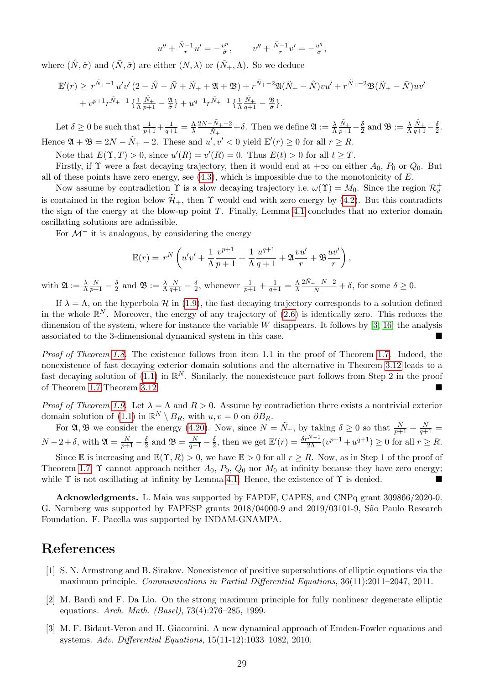$$
u'' + \frac{\hat{N}-1}{r}u' = -\frac{v^p}{\hat{\sigma}}, \qquad v'' + \frac{\bar{N}-1}{r}v' = -\frac{u^q}{\bar{\sigma}},
$$

where  $(\hat{N}, \hat{\sigma})$  and  $(\bar{N}, \bar{\sigma})$  are either  $(N, \lambda)$  or  $(\tilde{N}_+, \Lambda)$ . So we deduce

$$
\mathbb{E}'(r) \geq r^{\tilde{N}_+ - 1} u'v' (2 - \hat{N} - \bar{N} + \tilde{N}_+ + \mathfrak{A} + \mathfrak{B}) + r^{\tilde{N}_+ - 2} \mathfrak{A}(\tilde{N}_+ - \hat{N})vu' + r^{\tilde{N}_+ - 2} \mathfrak{B}(\tilde{N}_+ - \bar{N})uv'
$$
  
+  $v^{p+1}r^{\tilde{N}_+ - 1} \left\{ \frac{1}{\Lambda} \frac{\tilde{N}_+}{p+1} - \frac{\mathfrak{A}}{\tilde{\sigma}} \right\} + u^{q+1}r^{\tilde{N}_+ - 1} \left\{ \frac{1}{\Lambda} \frac{\tilde{N}_+}{q+1} - \frac{\mathfrak{B}}{\tilde{\sigma}} \right\}.$ 

Let  $\delta \geq 0$  be such that  $\frac{1}{p+1} + \frac{1}{q+1} = \frac{\Lambda}{\lambda}$ λ  $2N-\tilde{N}_{+}-2$  $\frac{-N_{+}-2}{\tilde{N}_{+}}+\delta$ . Then we define  $\mathfrak{A} := \frac{\lambda}{\Lambda}$  $\frac{\tilde{N}_+}{p+1} - \frac{\delta}{2}$  $\frac{\delta}{2}$  and  $\mathfrak{B}:=\frac{\lambda}{\Lambda}$  $\frac{\tilde{N}_+}{q+1} - \frac{\delta}{2}$  $\frac{\delta}{2}$ . Hence  $\mathfrak{A} + \mathfrak{B} = 2N - \tilde{N}_+ - 2$ . These and  $u', v' < 0$  yield  $\mathbb{E}'(r) \geq 0$  for all  $r \geq R$ .

Note that  $E(\Upsilon, T) > 0$ , since  $u'(R) = v'(R) = 0$ . Thus  $E(t) > 0$  for all  $t \geq T$ .

Firstly, if  $\Upsilon$  were a fast decaying trajectory, then it would end at  $+\infty$  on either  $A_0$ ,  $P_0$  or  $Q_0$ . But all of these points have zero energy, see  $(4.3)$ , which is impossible due to the monotonicity of  $E$ .

Now assume by contradiction  $\Upsilon$  is a slow decaying trajectory i.e.  $\omega(\Upsilon) = M_0$ . Since the region  $\mathcal{R}_d^+$ is contained in the region below  $\widetilde{\mathcal{H}}_+$ , then  $\Upsilon$  would end with zero energy by [\(4.2\)](#page-24-4). But this contradicts the sign of the energy at the blow-up point T. Finally, Lemma [4.1](#page-25-1) concludes that no exterior domain oscillating solutions are admissible.

For  $\mathcal{M}^-$  it is analogous, by considering the energy

$$
\mathbb{E}(r) = r^N \left( u'v' + \frac{1}{\Lambda} \frac{v^{p+1}}{p+1} + \frac{1}{\Lambda} \frac{u^{q+1}}{q+1} + \mathfrak{A} \frac{vu'}{r} + \mathfrak{B} \frac{uv'}{r} \right),
$$

with  $\mathfrak{A} := \frac{\lambda}{\Lambda}$  $\frac{N}{p+1}-\frac{\delta}{2}$  $\frac{\delta}{2}$  and  $\mathfrak{B} := \frac{\lambda}{\Lambda}$  $\frac{N}{q+1}-\frac{\delta}{2}$  $\frac{\delta}{2}$ , whenever  $\frac{1}{p+1} + \frac{1}{q+1} = \frac{\Lambda}{\lambda}$ λ  $2\tilde{N}-N-2$  $\frac{\delta}{\tilde{N}_-}$  +  $\delta$ , for some  $\delta \geq 0$ .

If  $\lambda = \Lambda$ , on the hyperbola H in [\(1.9\)](#page-1-4), the fast decaying trajectory corresponds to a solution defined in the whole  $\mathbb{R}^N$ . Moreover, the energy of any trajectory of  $(2.6)$  is identically zero. This reduces the dimension of the system, where for instance the variable W disappears. It follows by  $[3, 16]$  $[3, 16]$  the analysis associated to the 3-dimensional dynamical system in this case.

Proof of Theorem [1.8.](#page-4-2) The existence follows from item 1.1 in the proof of Theorem [1.7.](#page-4-1) Indeed, the nonexistence of fast decaying exterior domain solutions and the alternative in Theorem [3.12](#page-21-1) leads to a fast decaying solution of [\(1.1\)](#page-0-0) in  $\mathbb{R}^N$ . Similarly, the nonexistence part follows from Step 2 in the proof of Theorem [1.7](#page-4-1) Theorem [3.12.](#page-21-1)

Proof of Theorem [1.9.](#page-4-3) Let  $\lambda = \Lambda$  and  $R > 0$ . Assume by contradiction there exists a nontrivial exterior domain solution of [\(1.1\)](#page-0-0) in  $\mathbb{R}^N \setminus B_R$ , with  $u, v = 0$  on  $\partial B_R$ .

For  $\mathfrak{A}, \mathfrak{B}$  we consider the energy [\(4.20\)](#page-27-0). Now, since  $N = \tilde{N}_{+}$ , by taking  $\delta \geq 0$  so that  $\frac{N}{p+1} + \frac{N}{q+1} =$  $N-2+\delta$ , with  $\mathfrak{A}=\frac{N}{p+1}-\frac{\delta}{2}$  $\frac{\delta}{2}$  and  $\mathfrak{B} = \frac{N}{q+1} - \frac{\delta}{2}$  $\frac{\delta}{2}$ , then we get  $\mathbb{E}'(r) = \frac{\delta r^{N-1}}{2\Lambda} (v^{p+1} + u^{q+1}) \ge 0$  for all  $r \ge R$ .

Since E is increasing and  $\mathbb{E}(\Upsilon, R) > 0$ , we have  $\mathbb{E} > 0$  for all  $r \geq R$ . Now, as in Step 1 of the proof of Theorem [1.7,](#page-4-1)  $\Upsilon$  cannot approach neither  $A_0$ ,  $P_0$ ,  $Q_0$  nor  $M_0$  at infinity because they have zero energy; while  $\Upsilon$  is not oscillating at infinity by Lemma [4.1.](#page-25-1) Hence, the existence of  $\Upsilon$  is denied.

Acknowledgments. L. Maia was supported by FAPDF, CAPES, and CNPq grant 309866/2020-0. G. Nornberg was supported by FAPESP grants 2018/04000-9 and 2019/03101-9, São Paulo Research Foundation. F. Pacella was supported by INDAM-GNAMPA.

### References

- <span id="page-28-1"></span>[1] S. N. Armstrong and B. Sirakov. Nonexistence of positive supersolutions of elliptic equations via the maximum principle. Communications in Partial Differential Equations, 36(11):2011–2047, 2011.
- <span id="page-28-2"></span>[2] M. Bardi and F. Da Lio. On the strong maximum principle for fully nonlinear degenerate elliptic equations. Arch. Math. (Basel), 73(4):276–285, 1999.
- <span id="page-28-0"></span>[3] M. F. Bidaut-Veron and H. Giacomini. A new dynamical approach of Emden-Fowler equations and systems. Adv. Differential Equations, 15(11-12):1033–1082, 2010.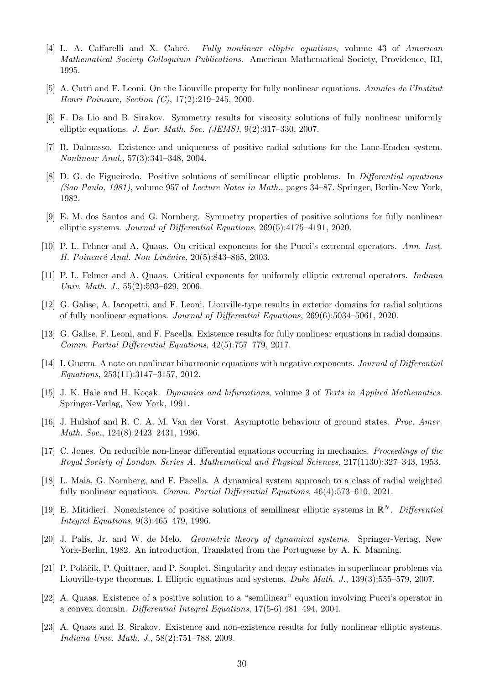- <span id="page-29-18"></span>[4] L. A. Caffarelli and X. Cabré. Fully nonlinear elliptic equations, volume 43 of American Mathematical Society Colloquium Publications. American Mathematical Society, Providence, RI, 1995.
- <span id="page-29-13"></span>[5] A. Cutri and F. Leoni. On the Liouville property for fully nonlinear equations. Annales de l'Institut Henri Poincare, Section (C), 17(2):219–245, 2000.
- <span id="page-29-1"></span>[6] F. Da Lio and B. Sirakov. Symmetry results for viscosity solutions of fully nonlinear uniformly elliptic equations. J. Eur. Math. Soc. (JEMS), 9(2):317–330, 2007.
- <span id="page-29-2"></span>[7] R. Dalmasso. Existence and uniqueness of positive radial solutions for the Lane-Emden system. Nonlinear Anal., 57(3):341–348, 2004.
- <span id="page-29-4"></span>[8] D. G. de Figueiredo. Positive solutions of semilinear elliptic problems. In Differential equations (Sao Paulo, 1981), volume 957 of Lecture Notes in Math., pages 34–87. Springer, Berlin-New York, 1982.
- <span id="page-29-0"></span>[9] E. M. dos Santos and G. Nornberg. Symmetry properties of positive solutions for fully nonlinear elliptic systems. Journal of Differential Equations, 269(5):4175–4191, 2020.
- <span id="page-29-6"></span>[10] P. L. Felmer and A. Quaas. On critical exponents for the Pucci's extremal operators. Ann. Inst. H. Poincaré Anal. Non Linéaire, 20(5):843–865, 2003.
- <span id="page-29-7"></span>[11] P. L. Felmer and A. Quaas. Critical exponents for uniformly elliptic extremal operators. Indiana Univ. Math. J., 55(2):593–629, 2006.
- <span id="page-29-9"></span>[12] G. Galise, A. Iacopetti, and F. Leoni. Liouville-type results in exterior domains for radial solutions of fully nonlinear equations. Journal of Differential Equations, 269(6):5034–5061, 2020.
- <span id="page-29-8"></span>[13] G. Galise, F. Leoni, and F. Pacella. Existence results for fully nonlinear equations in radial domains. Comm. Partial Differential Equations, 42(5):757–779, 2017.
- <span id="page-29-17"></span>[14] I. Guerra. A note on nonlinear biharmonic equations with negative exponents. Journal of Differential Equations, 253(11):3147–3157, 2012.
- <span id="page-29-15"></span>[15] J. K. Hale and H. Koçak. Dynamics and bifurcations, volume 3 of Texts in Applied Mathematics. Springer-Verlag, New York, 1991.
- <span id="page-29-16"></span>[16] J. Hulshof and R. C. A. M. Van der Vorst. Asymptotic behaviour of ground states. Proc. Amer. Math. Soc., 124(8):2423–2431, 1996.
- <span id="page-29-11"></span>[17] C. Jones. On reducible non-linear differential equations occurring in mechanics. Proceedings of the Royal Society of London. Series A. Mathematical and Physical Sciences, 217(1130):327–343, 1953.
- <span id="page-29-10"></span>[18] L. Maia, G. Nornberg, and F. Pacella. A dynamical system approach to a class of radial weighted fully nonlinear equations. Comm. Partial Differential Equations, 46(4):573–610, 2021.
- <span id="page-29-3"></span>[19] E. Mitidieri. Nonexistence of positive solutions of semilinear elliptic systems in  $\mathbb{R}^N$ . Differential Integral Equations, 9(3):465–479, 1996.
- <span id="page-29-14"></span>[20] J. Palis, Jr. and W. de Melo. Geometric theory of dynamical systems. Springer-Verlag, New York-Berlin, 1982. An introduction, Translated from the Portuguese by A. K. Manning.
- <span id="page-29-5"></span>[21] P. Poláčik, P. Quittner, and P. Souplet. Singularity and decay estimates in superlinear problems via Liouville-type theorems. I. Elliptic equations and systems. Duke Math. J., 139(3):555–579, 2007.
- <span id="page-29-19"></span>[22] A. Quaas. Existence of a positive solution to a "semilinear" equation involving Pucci's operator in a convex domain. Differential Integral Equations, 17(5-6):481–494, 2004.
- <span id="page-29-12"></span>[23] A. Quaas and B. Sirakov. Existence and non-existence results for fully nonlinear elliptic systems. Indiana Univ. Math. J., 58(2):751–788, 2009.